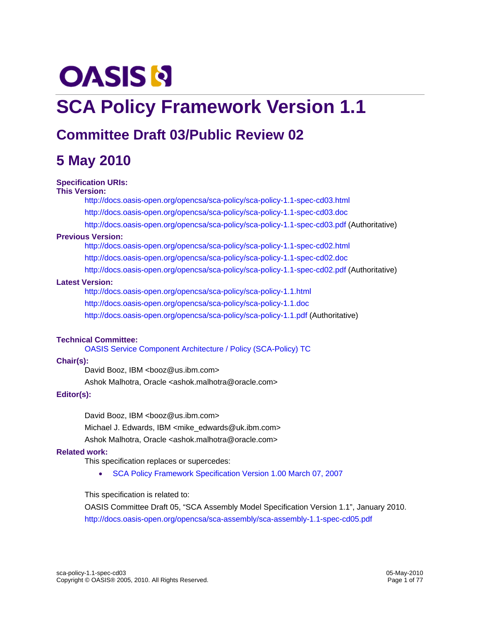# **OASIS N**

# **SCA Policy Framework Version 1.1**

# **Committee Draft 03/Public Review 02**

# **5 May 2010**

#### **Specification URIs:**

#### **This Version:**

http://docs.oasis-open.org/opencsa/sca-policy/sca-policy-1.1-spec-cd03.html http://docs.oasis-open.org/opencsa/sca-policy/sca-policy-1.1-spec-cd03.doc http://docs.oasis-open.org/opencsa/sca-policy/sca-policy-1.1-spec-cd03.pdf (Authoritative)

#### **Previous Version:**

http://docs.oasis-open.org/opencsa/sca-policy/sca-policy-1.1-spec-cd02.html http://docs.oasis-open.org/opencsa/sca-policy/sca-policy-1.1-spec-cd02.doc http://docs.oasis-open.org/opencsa/sca-policy/sca-policy-1.1-spec-cd02.pdf (Authoritative)

#### **Latest Version:**

http://docs.oasis-open.org/opencsa/sca-policy/sca-policy-1.1.html http://docs.oasis-open.org/opencsa/sca-policy/sca-policy-1.1.doc http://docs.oasis-open.org/opencsa/sca-policy/sca-policy-1.1.pdf (Authoritative)

#### **Technical Committee:**

OASIS Service Component Architecture / Policy (SCA-Policy) TC

#### **Chair(s):**

David Booz, IBM <booz@us.ibm.com>

Ashok Malhotra, Oracle <ashok.malhotra@oracle.com>

#### **Editor(s):**

David Booz, IBM <booz@us.ibm.com>

Michael J. Edwards, IBM <mike\_edwards@uk.ibm.com>

Ashok Malhotra, Oracle <ashok.malhotra@oracle.com>

#### **Related work:**

This specification replaces or supercedes:

• SCA Policy Framework Specification Version 1.00 March 07, 2007

This specification is related to:

OASIS Committee Draft 05, "SCA Assembly Model Specification Version 1.1", January 2010. http://docs.oasis-open.org/opencsa/sca-assembly/sca-assembly-1.1-spec-cd05.pdf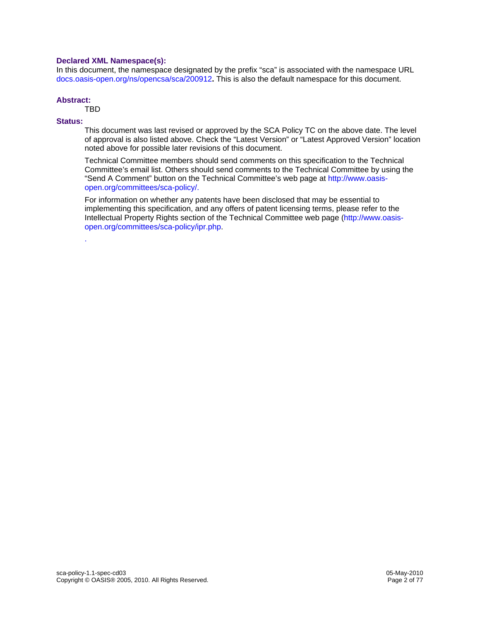#### **Declared XML Namespace(s):**

In this document, the namespace designated by the prefix "sca" is associated with the namespace URL docs.oasis-open.org/ns/opencsa/sca/200912**.** This is also the default namespace for this document.

#### **Abstract:**

TBD

.

#### **Status:**

This document was last revised or approved by the SCA Policy TC on the above date. The level of approval is also listed above. Check the "Latest Version" or "Latest Approved Version" location noted above for possible later revisions of this document.

Technical Committee members should send comments on this specification to the Technical Committee's email list. Others should send comments to the Technical Committee by using the "Send A Comment" button on the Technical Committee's web page at http://www.oasisopen.org/committees/sca-policy/.

For information on whether any patents have been disclosed that may be essential to implementing this specification, and any offers of patent licensing terms, please refer to the Intellectual Property Rights section of the Technical Committee web page (http://www.oasisopen.org/committees/sca-policy/ipr.php.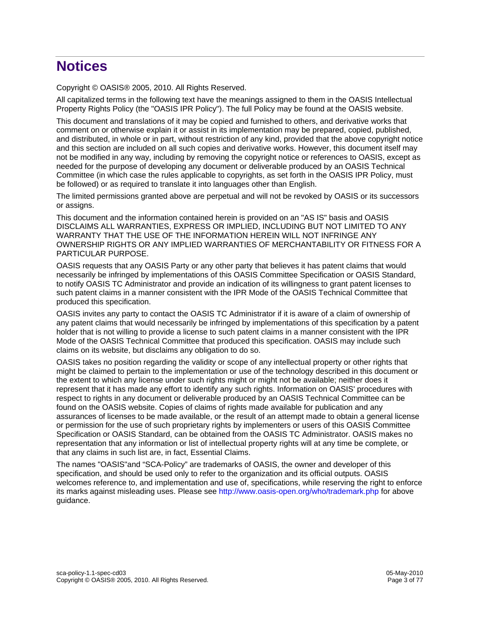# **Notices**

Copyright © OASIS® 2005, 2010. All Rights Reserved.

All capitalized terms in the following text have the meanings assigned to them in the OASIS Intellectual Property Rights Policy (the "OASIS IPR Policy"). The full Policy may be found at the OASIS website.

This document and translations of it may be copied and furnished to others, and derivative works that comment on or otherwise explain it or assist in its implementation may be prepared, copied, published, and distributed, in whole or in part, without restriction of any kind, provided that the above copyright notice and this section are included on all such copies and derivative works. However, this document itself may not be modified in any way, including by removing the copyright notice or references to OASIS, except as needed for the purpose of developing any document or deliverable produced by an OASIS Technical Committee (in which case the rules applicable to copyrights, as set forth in the OASIS IPR Policy, must be followed) or as required to translate it into languages other than English.

The limited permissions granted above are perpetual and will not be revoked by OASIS or its successors or assigns.

This document and the information contained herein is provided on an "AS IS" basis and OASIS DISCLAIMS ALL WARRANTIES, EXPRESS OR IMPLIED, INCLUDING BUT NOT LIMITED TO ANY WARRANTY THAT THE USE OF THE INFORMATION HEREIN WILL NOT INFRINGE ANY OWNERSHIP RIGHTS OR ANY IMPLIED WARRANTIES OF MERCHANTABILITY OR FITNESS FOR A PARTICULAR PURPOSE.

OASIS requests that any OASIS Party or any other party that believes it has patent claims that would necessarily be infringed by implementations of this OASIS Committee Specification or OASIS Standard, to notify OASIS TC Administrator and provide an indication of its willingness to grant patent licenses to such patent claims in a manner consistent with the IPR Mode of the OASIS Technical Committee that produced this specification.

OASIS invites any party to contact the OASIS TC Administrator if it is aware of a claim of ownership of any patent claims that would necessarily be infringed by implementations of this specification by a patent holder that is not willing to provide a license to such patent claims in a manner consistent with the IPR Mode of the OASIS Technical Committee that produced this specification. OASIS may include such claims on its website, but disclaims any obligation to do so.

OASIS takes no position regarding the validity or scope of any intellectual property or other rights that might be claimed to pertain to the implementation or use of the technology described in this document or the extent to which any license under such rights might or might not be available; neither does it represent that it has made any effort to identify any such rights. Information on OASIS' procedures with respect to rights in any document or deliverable produced by an OASIS Technical Committee can be found on the OASIS website. Copies of claims of rights made available for publication and any assurances of licenses to be made available, or the result of an attempt made to obtain a general license or permission for the use of such proprietary rights by implementers or users of this OASIS Committee Specification or OASIS Standard, can be obtained from the OASIS TC Administrator. OASIS makes no representation that any information or list of intellectual property rights will at any time be complete, or that any claims in such list are, in fact, Essential Claims.

The names "OASIS"and "SCA-Policy" are trademarks of OASIS, the owner and developer of this specification, and should be used only to refer to the organization and its official outputs. OASIS welcomes reference to, and implementation and use of, specifications, while reserving the right to enforce its marks against misleading uses. Please see http://www.oasis-open.org/who/trademark.php for above guidance.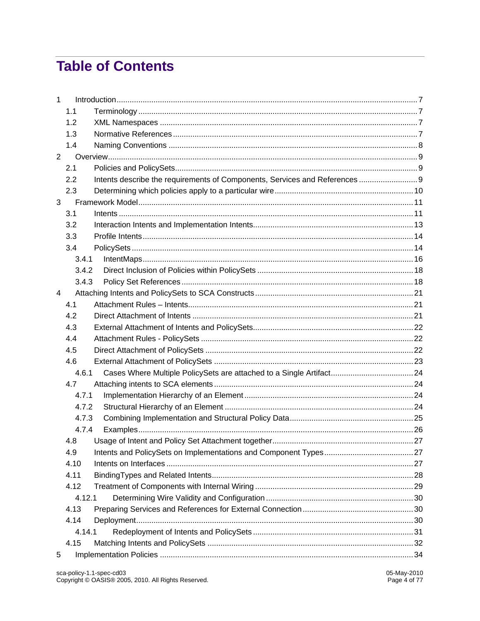# **Table of Contents**

| $\mathbf{1}$   |        |                                                                             |  |
|----------------|--------|-----------------------------------------------------------------------------|--|
|                | 1.1    |                                                                             |  |
|                | 1.2    |                                                                             |  |
|                | 1.3    |                                                                             |  |
|                | 1.4    |                                                                             |  |
| $\overline{2}$ |        |                                                                             |  |
|                | 2.1    |                                                                             |  |
|                | 2.2    | Intents describe the requirements of Components, Services and References  9 |  |
|                | 2.3    |                                                                             |  |
| 3              |        |                                                                             |  |
|                | 3.1    |                                                                             |  |
|                | 3.2    |                                                                             |  |
|                | 3.3    |                                                                             |  |
|                | 3.4    |                                                                             |  |
|                | 3.4.1  |                                                                             |  |
|                | 3.4.2  |                                                                             |  |
|                | 3.4.3  |                                                                             |  |
| 4              |        |                                                                             |  |
|                | 4.1    |                                                                             |  |
|                | 4.2    |                                                                             |  |
|                | 4.3    |                                                                             |  |
|                | 4.4    |                                                                             |  |
|                | 4.5    |                                                                             |  |
|                | 4.6    |                                                                             |  |
|                | 4.6.1  | Cases Where Multiple PolicySets are attached to a Single Artifact 24        |  |
|                | 4.7    |                                                                             |  |
|                | 4.7.1  |                                                                             |  |
|                | 4.7.2  |                                                                             |  |
|                | 4.7.3  |                                                                             |  |
|                | 4.7.4  |                                                                             |  |
|                | 4.8    |                                                                             |  |
|                | 4.9    |                                                                             |  |
|                | 4.10   |                                                                             |  |
|                | 4.11   |                                                                             |  |
|                | 4.12   |                                                                             |  |
|                | 4.12.1 |                                                                             |  |
|                | 4.13   |                                                                             |  |
|                | 4.14   |                                                                             |  |
|                | 4.14.1 |                                                                             |  |
|                | 4.15   |                                                                             |  |
| 5              |        |                                                                             |  |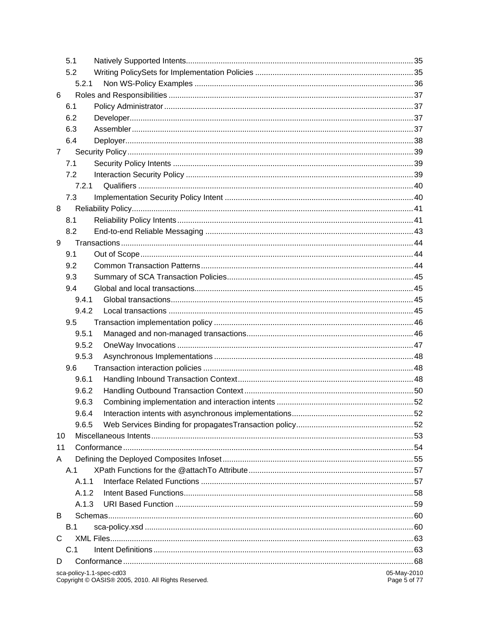| 5.1            |                                                                                 |                             |
|----------------|---------------------------------------------------------------------------------|-----------------------------|
| 5.2            |                                                                                 |                             |
| 5.2.1          |                                                                                 |                             |
| 6              |                                                                                 |                             |
| 6.1            |                                                                                 |                             |
| 6.2            |                                                                                 |                             |
| 6.3            |                                                                                 |                             |
| 6.4            |                                                                                 |                             |
| $\overline{7}$ |                                                                                 |                             |
| 7.1            |                                                                                 |                             |
| 7.2            |                                                                                 |                             |
|                | 7.2.1                                                                           |                             |
| 7.3            |                                                                                 |                             |
| 8              |                                                                                 |                             |
| 8.1            |                                                                                 |                             |
| 8.2            |                                                                                 |                             |
| 9              |                                                                                 |                             |
| 9.1            |                                                                                 |                             |
| 9.2            |                                                                                 |                             |
| 9.3            |                                                                                 |                             |
| 9.4            |                                                                                 |                             |
| 9.4.1          |                                                                                 |                             |
| 9.4.2          |                                                                                 |                             |
| 9.5            |                                                                                 |                             |
| 9.5.1          |                                                                                 |                             |
| 9.5.2          |                                                                                 |                             |
| 9.5.3          |                                                                                 |                             |
| 9.6            |                                                                                 |                             |
| 9.6.1          |                                                                                 |                             |
| 9.6.2          |                                                                                 |                             |
| 9.6.3          |                                                                                 |                             |
| 9.6.4          |                                                                                 |                             |
| 9.6.5          |                                                                                 |                             |
| 10             |                                                                                 |                             |
| 11             |                                                                                 |                             |
| A              |                                                                                 |                             |
| A.1            |                                                                                 |                             |
| A.1.1          |                                                                                 |                             |
| A.1.2          |                                                                                 |                             |
| A.1.3          |                                                                                 |                             |
| B              |                                                                                 |                             |
| B.1            |                                                                                 |                             |
| C              |                                                                                 |                             |
| C.1            |                                                                                 |                             |
| D              |                                                                                 |                             |
|                | sca-policy-1.1-spec-cd03<br>Copyright © OASIS® 2005, 2010. All Rights Reserved. | 05-May-2010<br>Page 5 of 77 |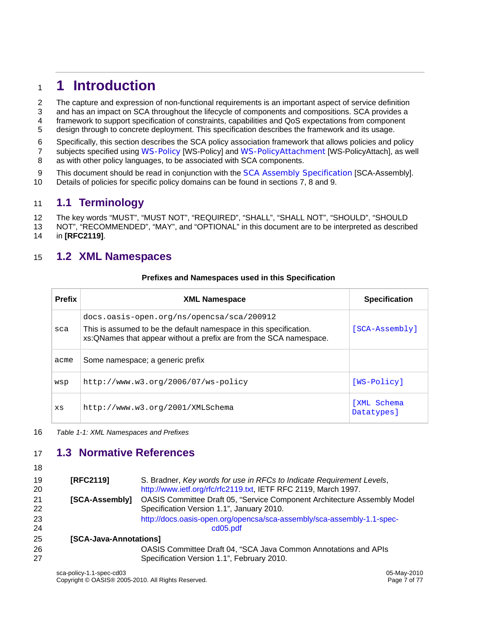# <sup>1</sup>**1 Introduction**

2 The capture and expression of non-functional requirements is an important aspect of service definition

- 3 and has an impact on SCA throughout the lifecycle of components and compositions. SCA provides a
- 4 framework to support specification of constraints, capabilities and QoS expectations from component
- 5 design through to concrete deployment. This specification describes the framework and its usage.
- 6 Specifically, this section describes the SCA policy association framework that allows policies and policy
- 7 subjects specified using WS-Policy [WS-Policy] and WS-PolicyAttachment [WS-PolicyAttach], as well 8 as with other policy languages, to be associated with SCA components.
- 
- 9 This document should be read in conjunction with the SCA Assembly Specification [SCA-Assembly]. 10 Details of policies for specific policy domains can be found in sections 7, 8 and 9.

# 11 **1.1 Terminology**

- 12 The key words "MUST", "MUST NOT", "REQUIRED", "SHALL", "SHALL NOT", "SHOULD", "SHOULD
- 13 NOT", "RECOMMENDED", "MAY", and "OPTIONAL" in this document are to be interpreted as described 14 in **[RFC2119]**.

# 15 **1.2 XML Namespaces**

#### **Prefixes and Namespaces used in this Specification**

| <b>Prefix</b> | <b>XML Namespace</b>                                                                                                                                                                   | <b>Specification</b>      |
|---------------|----------------------------------------------------------------------------------------------------------------------------------------------------------------------------------------|---------------------------|
| sca           | docs.oasis-open.org/ns/opencsa/sca/200912<br>This is assumed to be the default namespace in this specification.<br>xs: QNames that appear without a prefix are from the SCA namespace. | [SCA-Assembly]            |
| acme          | Some namespace; a generic prefix                                                                                                                                                       |                           |
| wsp           | $http://www.w3.org/2006/07/ws-policy$                                                                                                                                                  | [WS-Policy]               |
| XS            | http://www.w3.org/2001/XMLSchema                                                                                                                                                       | [XML Schema<br>Datatypes] |

16 *Table 1-1: XML Namespaces and Prefixes* 

# 17 **1.3 Normative References**

 $\overline{a}$ 

| 18       |                        |                                                                                                                                          |
|----------|------------------------|------------------------------------------------------------------------------------------------------------------------------------------|
| 19<br>20 | [RFC2119]              | S. Bradner, Key words for use in RFCs to Indicate Requirement Levels,<br>http://www.ietf.org/rfc/rfc2119.txt, IETF RFC 2119, March 1997. |
| 21<br>22 | [SCA-Assembly]         | OASIS Committee Draft 05, "Service Component Architecture Assembly Model<br>Specification Version 1.1", January 2010.                    |
| 23<br>24 |                        | http://docs.oasis-open.org/opencsa/sca-assembly/sca-assembly-1.1-spec-<br>cd05.pdf                                                       |
| 25       | [SCA-Java-Annotations] |                                                                                                                                          |
| 26<br>27 |                        | <b>OASIS Committee Draft 04, "SCA Java Common Annotations and APIs</b><br>Specification Version 1.1", February 2010.                     |
|          |                        |                                                                                                                                          |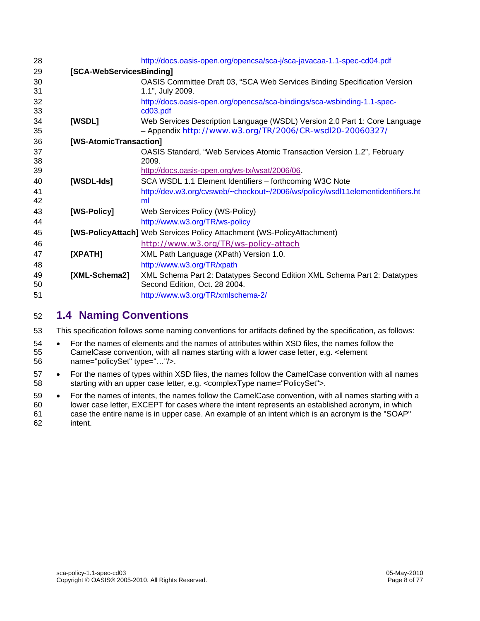| 28       |                          | http://docs.oasis-open.org/opencsa/sca-j/sca-javacaa-1.1-spec-cd04.pdf                                                                 |
|----------|--------------------------|----------------------------------------------------------------------------------------------------------------------------------------|
| 29       | [SCA-WebServicesBinding] |                                                                                                                                        |
| 30<br>31 |                          | OASIS Committee Draft 03, "SCA Web Services Binding Specification Version<br>1.1", July 2009.                                          |
| 32<br>33 |                          | http://docs.oasis-open.org/opencsa/sca-bindings/sca-wsbinding-1.1-spec-<br>cd03.pdf                                                    |
| 34<br>35 | [WSDL]                   | Web Services Description Language (WSDL) Version 2.0 Part 1: Core Language<br>- Appendix http://www.w3.org/TR/2006/CR-wsdl20-20060327/ |
| 36       | [WS-AtomicTransaction]   |                                                                                                                                        |
| 37<br>38 |                          | OASIS Standard, "Web Services Atomic Transaction Version 1.2", February<br>2009.                                                       |
| 39       |                          | http://docs.oasis-open.org/ws-tx/wsat/2006/06.                                                                                         |
| 40       | [WSDL-Ids]               | SCA WSDL 1.1 Element Identifiers - forthcoming W3C Note                                                                                |
| 41<br>42 |                          | http://dev.w3.org/cvsweb/~checkout~/2006/ws/policy/wsdl11elementidentifiers.ht<br>ml                                                   |
| 43       | [WS-Policy]              | Web Services Policy (WS-Policy)                                                                                                        |
| 44       |                          | http://www.w3.org/TR/ws-policy                                                                                                         |
| 45       |                          | [WS-PolicyAttach] Web Services Policy Attachment (WS-PolicyAttachment)                                                                 |
| 46       |                          | http://www.w3.org/TR/ws-policy-attach                                                                                                  |
| 47       | [XPATH]                  | XML Path Language (XPath) Version 1.0.                                                                                                 |
| 48       |                          | http://www.w3.org/TR/xpath                                                                                                             |
| 49<br>50 | [XML-Schema2]            | XML Schema Part 2: Datatypes Second Edition XML Schema Part 2: Datatypes<br>Second Edition, Oct. 28 2004.                              |
| 51       |                          | http://www.w3.org/TR/xmlschema-2/                                                                                                      |
|          |                          |                                                                                                                                        |

# 52 **1.4 Naming Conventions**

53 This specification follows some naming conventions for artifacts defined by the specification, as follows:

- 54 For the names of elements and the names of attributes within XSD files, the names follow the 55 CamelCase convention, with all names starting with a lower case letter, e.g. <element 56 name="policySet" type="…"/>.
- 57 For the names of types within XSD files, the names follow the CamelCase convention with all names 58 starting with an upper case letter, e.g. <complexType name="PolicySet">.
- 59 For the names of intents, the names follow the CamelCase convention, with all names starting with a 60 lower case letter, EXCEPT for cases where the intent represents an established acronym, in which 61 case the entire name is in upper case. An example of an intent which is an acronym is the "SOAP" 62 intent.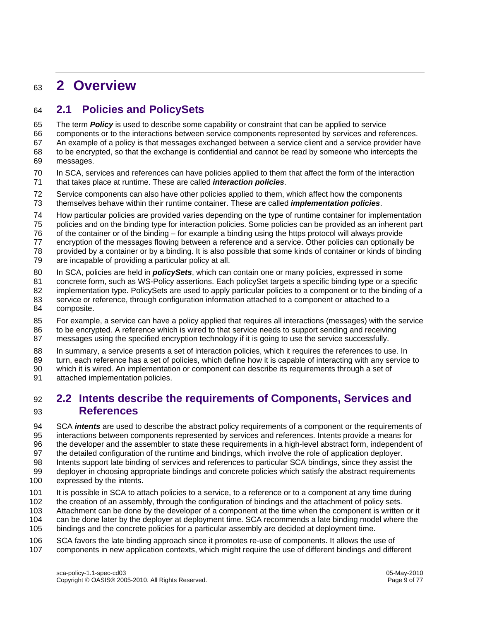# <sup>63</sup>**2 Overview**

# 64 **2.1 Policies and PolicySets**

65 The term *Policy* is used to describe some capability or constraint that can be applied to service

66 components or to the interactions between service components represented by services and references. 67 An example of a policy is that messages exchanged between a service client and a service provider have 68 to be encrypted, so that the exchange is confidential and cannot be read by someone who intercepts the

- 69 messages.
- 70 In SCA, services and references can have policies applied to them that affect the form of the interaction 71 that takes place at runtime. These are called *interaction policies*.

72 Service components can also have other policies applied to them, which affect how the components 73 themselves behave within their runtime container. These are called *implementation policies*.

74 How particular policies are provided varies depending on the type of runtime container for implementation

75 policies and on the binding type for interaction policies. Some policies can be provided as an inherent part

- 76 of the container or of the binding for example a binding using the https protocol will always provide
- 77 encryption of the messages flowing between a reference and a service. Other policies can optionally be
- 78 provided by a container or by a binding. It is also possible that some kinds of container or kinds of binding 79 are incapable of providing a particular policy at all.
- 
- 80 In SCA, policies are held in *policySets*, which can contain one or many policies, expressed in some
- 81 concrete form, such as WS-Policy assertions. Each policySet targets a specific binding type or a specific 82 implementation type. PolicySets are used to apply particular policies to a component or to the binding of a
- 83 service or reference, through configuration information attached to a component or attached to a
- 84 composite.
- 85 For example, a service can have a policy applied that requires all interactions (messages) with the service
- 86 to be encrypted. A reference which is wired to that service needs to support sending and receiving
- 87 messages using the specified encryption technology if it is going to use the service successfully.
- 88 In summary, a service presents a set of interaction policies, which it requires the references to use. In
- 89 turn, each reference has a set of policies, which define how it is capable of interacting with any service to
- 90 which it is wired. An implementation or component can describe its requirements through a set of
- 91 attached implementation policies.

# 92 **2.2 Intents describe the requirements of Components, Services and**  93 **References**

94 SCA *intents* are used to describe the abstract policy requirements of a component or the requirements of 95 interactions between components represented by services and references. Intents provide a means for 96 the developer and the assembler to state these requirements in a high-level abstract form, independent of 97 the detailed configuration of the runtime and bindings, which involve the role of application deployer.

- 98 Intents support late binding of services and references to particular SCA bindings, since they assist the
- 99 deployer in choosing appropriate bindings and concrete policies which satisfy the abstract requirements
- 100 expressed by the intents.
- 101 It is possible in SCA to attach policies to a service, to a reference or to a component at any time during
- 102 the creation of an assembly, through the configuration of bindings and the attachment of policy sets.
- 103 Attachment can be done by the developer of a component at the time when the component is written or it
- 104 can be done later by the deployer at deployment time. SCA recommends a late binding model where the
- 105 bindings and the concrete policies for a particular assembly are decided at deployment time.
- 106 SCA favors the late binding approach since it promotes re-use of components. It allows the use of
- 107 components in new application contexts, which might require the use of different bindings and different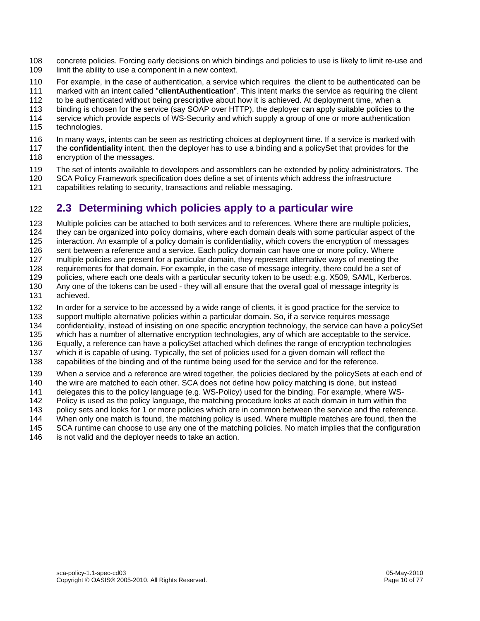- 108 concrete policies. Forcing early decisions on which bindings and policies to use is likely to limit re-use and 109 limit the ability to use a component in a new context.
- 110 For example, in the case of authentication, a service which requires the client to be authenticated can be
- 111 marked with an intent called "**clientAuthentication**". This intent marks the service as requiring the client
- 112 to be authenticated without being prescriptive about how it is achieved. At deployment time, when a
- 113 binding is chosen for the service (say SOAP over HTTP), the deployer can apply suitable policies to the 114 service which provide aspects of WS-Security and which supply a group of one or more authentication
- 115 technologies.
- 116 In many ways, intents can be seen as restricting choices at deployment time. If a service is marked with
- 117 the **confidentiality** intent, then the deployer has to use a binding and a policySet that provides for the 118 encryption of the messages.
- 119 The set of intents available to developers and assemblers can be extended by policy administrators. The
- 120 SCA Policy Framework specification does define a set of intents which address the infrastructure
- 121 capabilities relating to security, transactions and reliable messaging.

# 122 **2.3 Determining which policies apply to a particular wire**

123 Multiple policies can be attached to both services and to references. Where there are multiple policies,

- 124 they can be organized into policy domains, where each domain deals with some particular aspect of the
- 125 interaction. An example of a policy domain is confidentiality, which covers the encryption of messages
- 126 sent between a reference and a service. Each policy domain can have one or more policy. Where
- 127 multiple policies are present for a particular domain, they represent alternative ways of meeting the
- 128 requirements for that domain. For example, in the case of message integrity, there could be a set of
- 129 policies, where each one deals with a particular security token to be used: e.g. X509, SAML, Kerberos.
- 130 Any one of the tokens can be used they will all ensure that the overall goal of message integrity is 131 achieved.
- 132 In order for a service to be accessed by a wide range of clients, it is good practice for the service to
- 133 support multiple alternative policies within a particular domain. So, if a service requires message
- 134 confidentiality, instead of insisting on one specific encryption technology, the service can have a policySet
- 135 which has a number of alternative encryption technologies, any of which are acceptable to the service.
- 136 Equally, a reference can have a policySet attached which defines the range of encryption technologies
- 137 which it is capable of using. Typically, the set of policies used for a given domain will reflect the
- 138 capabilities of the binding and of the runtime being used for the service and for the reference.
- 139 When a service and a reference are wired together, the policies declared by the policySets at each end of
- 140 the wire are matched to each other. SCA does not define how policy matching is done, but instead
- 141 delegates this to the policy language (e.g. WS-Policy) used for the binding. For example, where WS-
- 142 Policy is used as the policy language, the matching procedure looks at each domain in turn within the
- 143 policy sets and looks for 1 or more policies which are in common between the service and the reference.
- 144 When only one match is found, the matching policy is used. Where multiple matches are found, then the
- 145 SCA runtime can choose to use any one of the matching policies. No match implies that the configuration
- 146 is not valid and the deplover needs to take an action.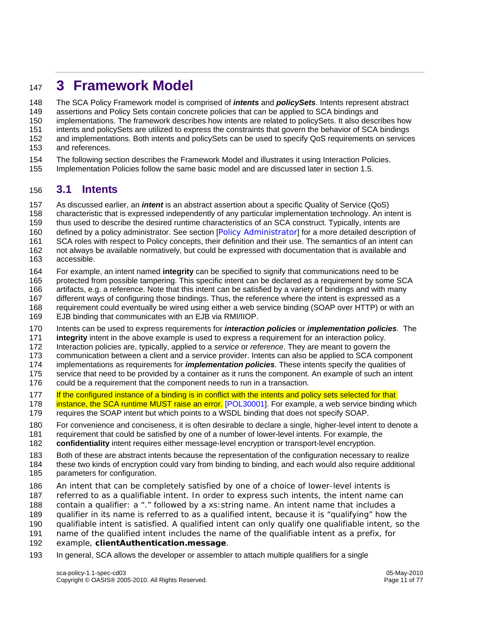# <sup>147</sup>**3 Framework Model**

148 The SCA Policy Framework model is comprised of *intents* and *policySets*. Intents represent abstract

149 assertions and Policy Sets contain concrete policies that can be applied to SCA bindings and

150 implementations. The framework describes how intents are related to policySets. It also describes how

151 intents and policySets are utilized to express the constraints that govern the behavior of SCA bindings

152 and implementations. Both intents and policySets can be used to specify QoS requirements on services

- 153 and references.
- 154 The following section describes the Framework Model and illustrates it using Interaction Policies.
- 155 Implementation Policies follow the same basic model and are discussed later in section 1.5.

# 156 **3.1 Intents**

157 As discussed earlier, an *intent* is an abstract assertion about a specific Quality of Service (QoS)

158 characteristic that is expressed independently of any particular implementation technology. An intent is

- 159 thus used to describe the desired runtime characteristics of an SCA construct. Typically, intents are
- 160 defined by a policy administrator. See section [Policy Administrator] for a more detailed description of
- 161 SCA roles with respect to Policy concepts, their definition and their use. The semantics of an intent can
- 162 not always be available normatively, but could be expressed with documentation that is available and 163 accessible.
- 164 For example, an intent named **integrity** can be specified to signify that communications need to be

165 protected from possible tampering. This specific intent can be declared as a requirement by some SCA

- 166 artifacts, e.g. a reference. Note that this intent can be satisfied by a variety of bindings and with many
- 167 different ways of configuring those bindings. Thus, the reference where the intent is expressed as a
- 168 requirement could eventually be wired using either a web service binding (SOAP over HTTP) or with an
- 169 EJB binding that communicates with an EJB via RMI/IIOP.

170 Intents can be used to express requirements for *interaction policies* or *implementation policies*. The

171 **integrity** intent in the above example is used to express a requirement for an interaction policy.

172 Interaction policies are, typically, applied to a *service* or *reference*. They are meant to govern the

173 communication between a client and a service provider. Intents can also be applied to SCA component

174 implementations as requirements for *implementation policies*. These intents specify the qualities of

175 service that need to be provided by a container as it runs the component. An example of such an intent

176 could be a requirement that the component needs to run in a transaction.

177 If the configured instance of a binding is in conflict with the intents and policy sets selected for that

- 178 instance, the SCA runtime MUST raise an error. [POL30001]. For example, a web service binding which 179 requires the SOAP intent but which points to a WSDL binding that does not specify SOAP.
- 180 For convenience and conciseness, it is often desirable to declare a single, higher-level intent to denote a
- 181 requirement that could be satisfied by one of a number of lower-level intents. For example, the

182 **confidentiality** intent requires either message-level encryption or transport-level encryption.

- 183 Both of these are abstract intents because the representation of the configuration necessary to realize
- 184 these two kinds of encryption could vary from binding to binding, and each would also require additional 185 parameters for configuration.
- 186 An intent that can be completely satisfied by one of a choice of lower-level intents is
- 187 referred to as a *qualifiable intent*. In order to express such intents, the intent name can
- 188 contain a qualifier: a "." followed by a *xs:string* name. An intent name that includes a
- 189 qualifier in its name is referred to as a *qualified intent*, because it is "qualifying" how the
- 190 qualifiable intent is satisfied. A qualified intent can only qualify one qualifiable intent, so the
- 191 name of the qualified intent includes the name of the qualifiable intent as a prefix, for
- 192 example, **clientAuthentication.message**.
- 193 In general, SCA allows the developer or assembler to attach multiple qualifiers for a single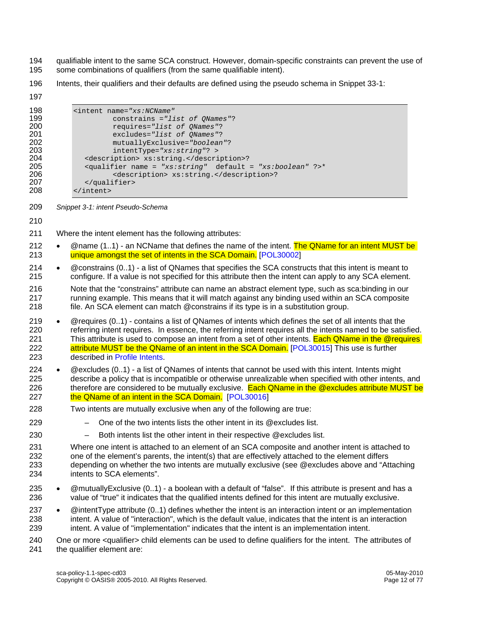194 qualifiable intent to the same SCA construct. However, domain-specific constraints can prevent the use of<br>195 some combinations of qualifiers (from the same qualifiable intent). some combinations of qualifiers (from the same qualifiable intent).

196 Intents, their qualifiers and their defaults are defined using the pseudo schema in Snippet 33-1:

| 197                                                                       |           |                                                                                                                                                                                                                                                                                                                                                                                                                                                           |
|---------------------------------------------------------------------------|-----------|-----------------------------------------------------------------------------------------------------------------------------------------------------------------------------------------------------------------------------------------------------------------------------------------------------------------------------------------------------------------------------------------------------------------------------------------------------------|
| 198<br>199<br>200<br>201<br>202<br>203<br>204<br>205<br>206<br>207<br>208 |           | <intent <br="" name="xs:NCName">constrains ="list of QNames"?<br/>requires="list of QNames"?<br/>excludes="list of QNames"?<br/>mutuallyExclusive="boolean"?<br/>intentType="xs:string"? &gt;<br/><description> xs:string.</description>?<br/><qualifier ?="" default="xs:boolean" name="xs:string">*<br/><description> xs:string.</description>?<br/></qualifier><br/></intent>                                                                          |
| 209                                                                       |           | Snippet 3-1: intent Pseudo-Schema                                                                                                                                                                                                                                                                                                                                                                                                                         |
| 210                                                                       |           |                                                                                                                                                                                                                                                                                                                                                                                                                                                           |
| 211                                                                       |           | Where the intent element has the following attributes:                                                                                                                                                                                                                                                                                                                                                                                                    |
| 212<br>213                                                                | $\bullet$ | @name (11) - an NCName that defines the name of the intent. The QName for an intent MUST be<br>unique amongst the set of intents in the SCA Domain. [POL30002]                                                                                                                                                                                                                                                                                            |
| 214<br>215                                                                | $\bullet$ | @constrains (01) - a list of QNames that specifies the SCA constructs that this intent is meant to<br>configure. If a value is not specified for this attribute then the intent can apply to any SCA element.                                                                                                                                                                                                                                             |
| 216<br>217<br>218                                                         |           | Note that the "constrains" attribute can name an abstract element type, such as sca:binding in our<br>running example. This means that it will match against any binding used within an SCA composite<br>file. An SCA element can match @constrains if its type is in a substitution group.                                                                                                                                                               |
| 219<br>220<br>221<br>222<br>223                                           | $\bullet$ | @requires (01) - contains a list of QNames of intents which defines the set of all intents that the<br>referring intent requires. In essence, the referring intent requires all the intents named to be satisfied.<br>This attribute is used to compose an intent from a set of other intents. Each QName in the @requires<br>attribute MUST be the QName of an intent in the SCA Domain. [POL30015] This use is further<br>described in Profile Intents. |
| 224<br>225<br>226<br>227                                                  | $\bullet$ | @excludes (01) - a list of QNames of intents that cannot be used with this intent. Intents might<br>describe a policy that is incompatible or otherwise unrealizable when specified with other intents, and<br>therefore are considered to be mutually exclusive. Each QName in the @excludes attribute MUST be<br>the QName of an intent in the SCA Domain. [POL30016]                                                                                   |
| 228                                                                       |           | Two intents are mutually exclusive when any of the following are true:                                                                                                                                                                                                                                                                                                                                                                                    |
| 229                                                                       |           | One of the two intents lists the other intent in its @excludes list.                                                                                                                                                                                                                                                                                                                                                                                      |
| 230                                                                       |           | Both intents list the other intent in their respective @excludes list.                                                                                                                                                                                                                                                                                                                                                                                    |
| 231<br>232<br>233<br>234                                                  |           | Where one intent is attached to an element of an SCA composite and another intent is attached to<br>one of the element's parents, the intent(s) that are effectively attached to the element differs<br>depending on whether the two intents are mutually exclusive (see @excludes above and "Attaching<br>intents to SCA elements".                                                                                                                      |
| 235<br>236                                                                | $\bullet$ | @mutuallyExclusive (01) - a boolean with a default of "false". If this attribute is present and has a<br>value of "true" it indicates that the qualified intents defined for this intent are mutually exclusive.                                                                                                                                                                                                                                          |
| 237<br>238<br>239                                                         | $\bullet$ | @intentType attribute (01) defines whether the intent is an interaction intent or an implementation<br>intent. A value of "interaction", which is the default value, indicates that the intent is an interaction<br>intent. A value of "implementation" indicates that the intent is an implementation intent.                                                                                                                                            |
| 240<br>241                                                                |           | One or more <qualifier> child elements can be used to define qualifiers for the intent. The attributes of<br/>the qualifier element are:</qualifier>                                                                                                                                                                                                                                                                                                      |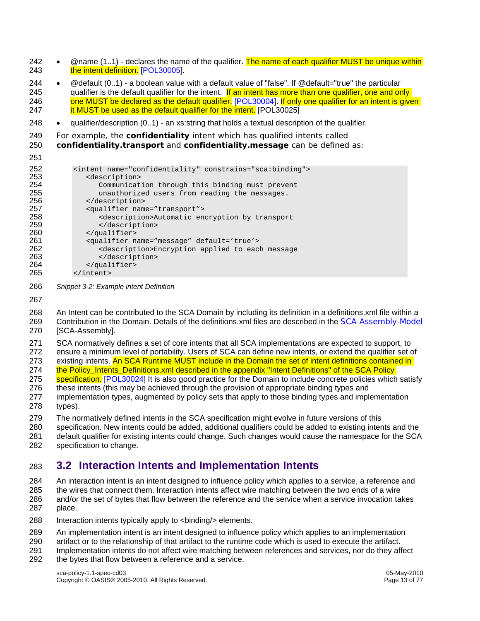- 242  $\circ$   $\circ$  mame (1..1) declares the name of the qualifier. The name of each qualifier MUST be unique within 243 **the intent definition.** [POL30005].
- 244 @default (0..1) a boolean value with a default value of "false". If @default="true" the particular 245 qualifier is the default qualifier for the intent. If an intent has more than one qualifier, one and only 246 one MUST be declared as the default qualifier. [POL30004]. If only one qualifier for an intent is given 247 **it MUST be used as the default qualifier for the intent.** [POL30025]
- 248 qualifier/description (0..1) an xs:string that holds a textual description of the qualifier.
- 249 For example, the **confidentiality** intent which has qualified intents called

250 **confidentiality.transport** and **confidentiality.message** can be defined as:

| 251 |                                                                   |
|-----|-------------------------------------------------------------------|
| 252 | <intent constrains="sca:binding" name="confidentiality"></intent> |
| 253 | <description></description>                                       |
| 254 | Communication through this binding must prevent                   |
| 255 | unauthorized users from reading the messages.                     |
| 256 |                                                                   |
| 257 | <qualifier name="transport"></qualifier>                          |
| 258 | <description>Automatic encryption by transport</description>      |
| 259 |                                                                   |
| 260 |                                                                   |
| 261 | <qualifier default="true" name="message"></qualifier>             |
| 262 | <description>Encryption applied to each message</description>     |
| 263 |                                                                   |
| 264 |                                                                   |
| 265 | $\langle$ intent>                                                 |

- 266 *Snippet 3-2: Example intent Definition*
- 267

268 An Intent can be contributed to the SCA Domain by including its definition in a definitions.xml file within a 269 Contribution in the Domain. Details of the definitions.xml files are described in the SCA Assembly Model 270 [SCA-Assembly].

271 SCA normatively defines a set of core intents that all SCA implementations are expected to support, to 272 ensure a minimum level of portability. Users of SCA can define new intents, or extend the qualifier set of

273 existing intents. An SCA Runtime MUST include in the Domain the set of intent definitions contained in

274 the Policy Intents Definitions.xml described in the appendix "Intent Definitions" of the SCA Policy

275 specification. [POL30024] It is also good practice for the Domain to include concrete policies which satisfy

- 276 these intents (this may be achieved through the provision of appropriate binding types and
- 277 implementation types, augmented by policy sets that apply to those binding types and implementation 278 types).
- 279 The normatively defined intents in the SCA specification might evolve in future versions of this
- 280 specification. New intents could be added, additional qualifiers could be added to existing intents and the
- 281 default qualifier for existing intents could change. Such changes would cause the namespace for the SCA 282 specification to change.

# 283 **3.2 Interaction Intents and Implementation Intents**

284 An interaction intent is an intent designed to influence policy which applies to a service, a reference and 285 the wires that connect them. Interaction intents affect wire matching between the two ends of a wire 286 and/or the set of bytes that flow between the reference and the service when a service invocation takes 287 place.

- 288 Interaction intents typically apply to <br/>binding/> elements.
- 289 An implementation intent is an intent designed to influence policy which applies to an implementation
- 290 artifact or to the relationship of that artifact to the runtime code which is used to execute the artifact.
- 291 Implementation intents do not affect wire matching between references and services, nor do they affect
- 292 the bytes that flow between a reference and a service.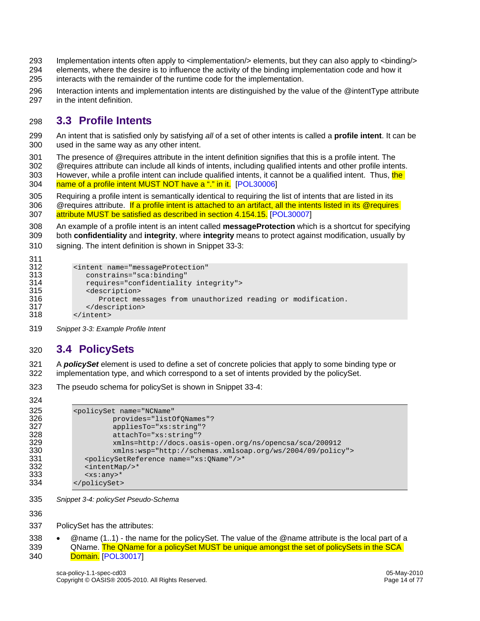- 293 Implementation intents often apply to <implementation/> elements, but they can also apply to <binding/>
- 294 elements, where the desire is to influence the activity of the binding implementation code and how it 295 interacts with the remainder of the runtime code for the implementation.
- 296 Interaction intents and implementation intents are distinguished by the value of the @intentType attribute 297 in the intent definition.

# 298 **3.3 Profile Intents**

- 299 An intent that is satisfied only by satisfying *all* of a set of other intents is called a **profile intent**. It can be 300 used in the same way as any other intent.
- 301 The presence of @requires attribute in the intent definition signifies that this is a profile intent. The 302 @requires attribute can include all kinds of intents, including qualified intents and other profile intents. 303 However, while a profile intent can include qualified intents, it cannot be a qualified intent. Thus, the 304 name of a profile intent MUST NOT have a "." in it. [POL30006]
- 305 Requiring a profile intent is semantically identical to requiring the list of intents that are listed in its 306 @requires attribute. If a profile intent is attached to an artifact, all the intents listed in its @requires 307 attribute MUST be satisfied as described in section 4.154.15. [POL30007]
- 308 An example of a profile intent is an intent called **messageProtection** which is a shortcut for specifying 309 both **confidentiality** and **integrity**, where **integrity** means to protect against modification, usually by
- 310 signing. The intent definition is shown in Snippet 33-3:

| 311 |                                                             |
|-----|-------------------------------------------------------------|
| 312 | <intent <="" name="messageProtection" th=""></intent>       |
| 313 | constrains="sca:binding"                                    |
| 314 | requires="confidentiality integrity">                       |
| 315 | <description></description>                                 |
| 316 | Protect messages from unauthorized reading or modification. |
| 317 |                                                             |
| 318 | $\langle$ intent>                                           |

319 *Snippet 3-3: Example Profile Intent* 

# 320 **3.4 PolicySets**

321 A *policySet* element is used to define a set of concrete policies that apply to some binding type or 322 implementation type, and which correspond to a set of intents provided by the policySet.

- 323 The pseudo schema for policySet is shown in Snippet 33-4:
- 324

```
325 <policySet name="NCName" 
326 provides="listOfQNames"?<br>327 appliesTo="xs:string"?
327 appliesTo="xs:string"? 
328 attachTo="xs:string"?<br>329 mins=http://docs.oas
329 xmlns=http://docs.oasis-open.org/ns/opencsa/sca/200912 
330 xmlns:wsp="http://schemas.xmlsoap.org/ws/2004/09/policy"> 
331 <policySetReference name="xs:QName"/>* 
332 <intentMap/>*<br>333 <xs:any>*
333 <xs:any>*<br>334 </policySet>
          334 </policySet>
```
335 *Snippet 3-4: policySet Pseudo-Schema* 

336

- 337 PolicySet has the attributes:
- 338 @name (1..1) the name for the policySet. The value of the @name attribute is the local part of a 339 QName. The QName for a policySet MUST be unique amongst the set of policySets in the SCA 340 Domain. [POL30017]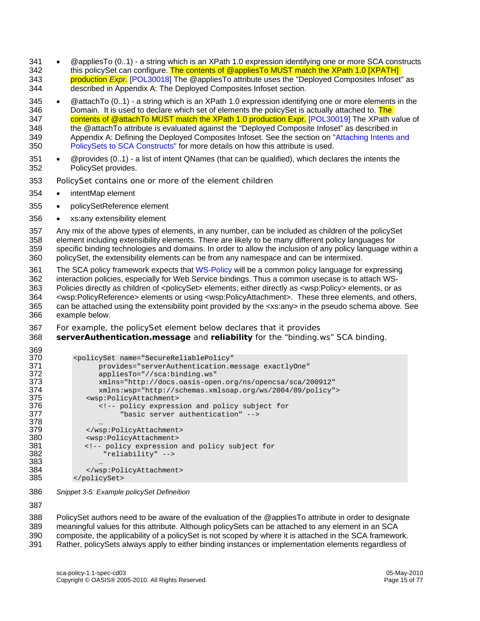- 341 @appliesTo (0..1) a string which is an XPath 1.0 expression identifying one or more SCA constructs 342 this policySet can configure. The contents of @appliesTo MUST match the XPath 1.0 [XPATH] 343 production *Expr.* [POL30018] The @appliesTo attribute uses the "Deployed Composites Infoset" as 344 described in Appendix A: The Deployed Composites Infoset section.
- 345 @attachTo (0..1) a string which is an XPath 1.0 expression identifying one or more elements in the 346 Domain. It is used to declare which set of elements the policySet is actually attached to. The 347 contents of @attachTo MUST match the XPath 1.0 production Expr. [POL30019] The XPath value of 348 the @attachTo attribute is evaluated against the "Deployed Composite Infoset" as described in 349 Appendix A: Defining the Deployed Composites Infoset. See the section on "Attaching Intents and 350 PolicySets to SCA Constructs" for more details on how this attribute is used.
- 351 @provides (0..1) a list of intent QNames (that can be qualified), which declares the intents the 352 PolicySet provides.
- 353 PolicySet contains one or more of the element children
- 354 intentMap element
- 355 policySetReference element
- 356 xs:any extensibility element
- 357 Any mix of the above types of elements, in any number, can be included as children of the policySet 358 element including extensibility elements. There are likely to be many different policy languages for 359 specific binding technologies and domains. In order to allow the inclusion of any policy language within a 360 policySet, the extensibility elements can be from any namespace and can be intermixed.
- 361 The SCA policy framework expects that WS-Policy will be a common policy language for expressing 362 interaction policies, especially for Web Service bindings. Thus a common usecase is to attach WS-363 Policies directly as children of <policySet> elements; either directly as <wsp:Policy> elements, or as 364 <wsp:PolicyReference> elements or using <wsp:PolicyAttachment>. These three elements, and others, 365 can be attached using the extensibility point provided by the <xs:any> in the pseudo schema above. See 366 example below.
- 367 For example, the policySet element below declares that it provides
- 368 **serverAuthentication.message** and **reliability** for the "binding.ws" SCA binding.

| ວບອ |                                                                                                     |
|-----|-----------------------------------------------------------------------------------------------------|
| 370 | <policyset <="" name="SecureReliablePolicy" th=""></policyset>                                      |
| 371 | provides="serverAuthentication.message exactlyOne"                                                  |
| 372 | $appliesTo="//sca:binding.ws"$                                                                      |
| 373 | xmlns="http://docs.oasis-open.org/ns/opencsa/sca/200912"                                            |
| 374 | $xmlns:wsp="http://schemas.xmlsoap.org/ws/2004/09/policy"$                                          |
| 375 | <wsp:policyattachment></wsp:policyattachment>                                                       |
| 376 | policy expression and policy subject for</th></tr><tr><th>377</th><th>"basic server authentication" |
| 378 | $\ddotsc$                                                                                           |
| 379 |                                                                                                     |
| 380 | <wsp:policyattachment></wsp:policyattachment>                                                       |
| 381 | policy expression and policy subject for</th></tr><tr><th>382</th><th>"reliability"                 |
| 383 | $\cdots$                                                                                            |
| 384 |                                                                                                     |
| 385 |                                                                                                     |
|     |                                                                                                     |

386 *Snippet 3-5: Example policySet Defineition* 

387

369

388 PolicySet authors need to be aware of the evaluation of the @appliesTo attribute in order to designate 389 meaningful values for this attribute. Although policySets can be attached to any element in an SCA 390 composite, the applicability of a policySet is not scoped by where it is attached in the SCA framework. 391 Rather, policySets always apply to either binding instances or implementation elements regardless of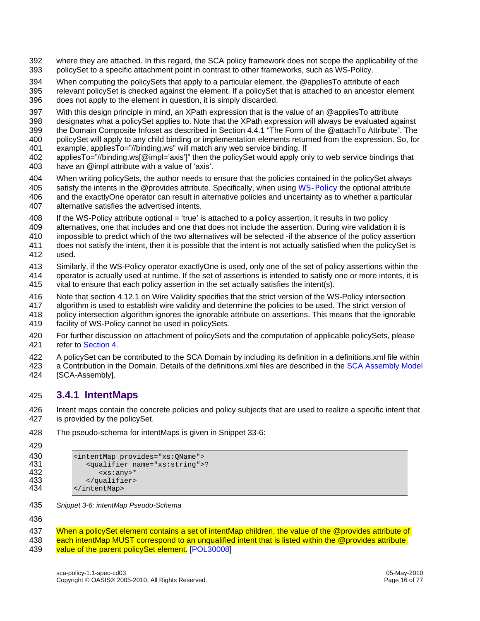- 392 where they are attached. In this regard, the SCA policy framework does not scope the applicability of the 393 policySet to a specific attachment point in contrast to other frameworks, such as WS-Policy.
- 394 When computing the policySets that apply to a particular element, the @appliesTo attribute of each
- 395 relevant policySet is checked against the element. If a policySet that is attached to an ancestor element 396 does not apply to the element in question, it is simply discarded.
- 397 With this design principle in mind, an XPath expression that is the value of an @appliesTo attribute
- 398 designates what a policySet applies to. Note that the XPath expression will always be evaluated against
- 399 the Domain Composite Infoset as described in Section 4.4.1 "The Form of the @attachTo Attribute". The
- 400 policySet will apply to any child binding or implementation elements returned from the expression. So, for
- 401 example, appliesTo="//binding.ws" will match any web service binding. If
- 402 appliesTo="//binding.ws[@impl='axis']" then the policySet would apply only to web service bindings that 403 have an @impl attribute with a value of 'axis'.
- 404 When writing policySets, the author needs to ensure that the policies contained in the policySet always
- 405 satisfy the intents in the @provides attribute. Specifically, when using WS-Policy the optional attribute 406 and the exactlyOne operator can result in alternative policies and uncertainty as to whether a particular 407 alternative satisfies the advertised intents.
- 408 If the WS-Policy attribute optional = 'true' is attached to a policy assertion, it results in two policy
- 409 alternatives, one that includes and one that does not include the assertion. During wire validation it is
- 410 impossible to predict which of the two alternatives will be selected -if the absence of the policy assertion
- 411 does not satisfy the intent, then it is possible that the intent is not actually satisfied when the policySet is
- 412 used.
- 413 Similarly, if the WS-Policy operator exactlyOne is used, only one of the set of policy assertions within the 414 operator is actually used at runtime. If the set of assertions is intended to satisfy one or more intents, it is
- 415 vital to ensure that each policy assertion in the set actually satisfies the intent(s).
- 416 Note that section 4.12.1 on Wire Validity specifies that the strict version of the WS-Policy intersection
- 417 algorithm is used to establish wire validity and determine the policies to be used. The strict version of
- 418 policy intersection algorithm ignores the ignorable attribute on assertions. This means that the ignorable 419 facility of WS-Policy cannot be used in policySets.
- 420 For further discussion on attachment of policySets and the computation of applicable policySets, please 421 refer to Section 4.
- 422 A policySet can be contributed to the SCA Domain by including its definition in a definitions.xml file within
- 423 a Contribution in the Domain. Details of the definitions.xml files are described in the SCA Assembly Model 424 [SCA-Assembly].

### 425 **3.4.1 IntentMaps**

- 426 Intent maps contain the concrete policies and policy subjects that are used to realize a specific intent that 427 is provided by the policySet.
- 428 The pseudo-schema for intentMaps is given in Snippet 33-6:

```
429
```
- 430 <intentMap provides="xs:QName"><br>431 < qualifier name="xs:string"> 431 <qualifier name="xs:string">?<br>432 <xs:any>\* 432 <xs:any>\* 433 </qualifier><br>434 </intentMap> 434 </intentMap>
- 435 *Snippet 3-6: intentMap Pseudo-Schema*

436

- 437 When a policySet element contains a set of intentMap children, the value of the @provides attribute of 438 each intentMap MUST correspond to an unqualified intent that is listed within the @provides attribute
- 439 value of the parent policySet element. [POL30008]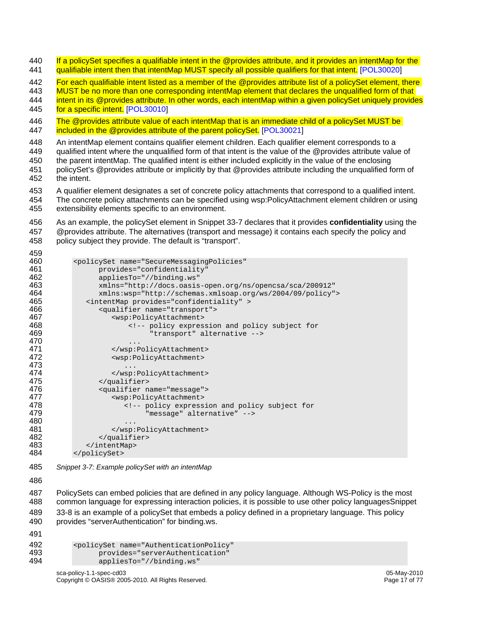440 If a policySet specifies a qualifiable intent in the @provides attribute, and it provides an intentMap for the 441 qualifiable intent then that intentMap MUST specify all possible qualifiers for that intent. [POL30020]

442 For each qualifiable intent listed as a member of the @provides attribute list of a policySet element, there

443 MUST be no more than one corresponding intentMap element that declares the unqualified form of that

444 intent in its @provides attribute. In other words, each intentMap within a given policySet uniquely provides 445 for a specific intent. [POL30010]

446 The @provides attribute value of each intentMap that is an immediate child of a policySet MUST be 447 **included in the @provides attribute of the parent policySet.** [POL30021]

448 An intentMap element contains qualifier element children. Each qualifier element corresponds to a

449 qualified intent where the unqualified form of that intent is the value of the @provides attribute value of

450 the parent intentMap. The qualified intent is either included explicitly in the value of the enclosing 451 policySet's @provides attribute or implicitly by that @provides attribute including the unqualified form of

452 the intent.

459

453 A qualifier element designates a set of concrete policy attachments that correspond to a qualified intent.

454 The concrete policy attachments can be specified using wsp:PolicyAttachment element children or using 455 extensibility elements specific to an environment.

456 As an example, the policySet element in Snippet 33-7 declares that it provides **confidentiality** using the 457 @provides attribute. The alternatives (transport and message) it contains each specify the policy and 458 policy subject they provide. The default is "transport".

| ™   |                                                                                               |
|-----|-----------------------------------------------------------------------------------------------|
| 460 | <policyset <="" name="SecureMessagingPolicies" th=""></policyset>                             |
| 461 | provides="confidentiality"                                                                    |
| 462 | appliesTo="//binding.ws"                                                                      |
| 463 | $xmlns="http://docs.oasis-open.org/ns/opencsa/sca/200912"$                                    |
| 464 | xmlns:wsp="http://schemas.xmlsoap.org/ws/2004/09/policy">                                     |
| 465 | <intentmap provides="confidentiality"></intentmap>                                            |
| 466 | <qualifier name="transport"></qualifier>                                                      |
| 467 | <wsp:policyattachment></wsp:policyattachment>                                                 |
| 468 | policy expression and policy subject for</th></tr><tr><th>469</th><th>"transport" alternative |
| 470 | .                                                                                             |
| 471 |                                                                                               |
| 472 | <wsp:policyattachment></wsp:policyattachment>                                                 |
| 473 |                                                                                               |
| 474 |                                                                                               |
| 475 |                                                                                               |
| 476 | <qualifier name="message"></qualifier>                                                        |
| 477 | <wsp:policyattachment></wsp:policyattachment>                                                 |
| 478 | policy expression and policy subject for</th></tr><tr><th>479</th><th>"message" alternative"  |
| 480 | .                                                                                             |
| 481 |                                                                                               |
| 482 |                                                                                               |
| 483 |                                                                                               |
| 484 |                                                                                               |
|     |                                                                                               |

485 *Snippet 3-7: Example policySet with an intentMap* 

486

487 PolicySets can embed policies that are defined in any policy language. Although WS-Policy is the most 488 common language for expressing interaction policies, it is possible to use other policy languagesSnippet 489 33-8 is an example of a policySet that embeds a policy defined in a proprietary language. This policy 490 provides "serverAuthentication" for binding.ws.

491

| 492        | <policyset <="" name="AuthenticationPolicy" th=""></policyset> |
|------------|----------------------------------------------------------------|
| 493<br>494 | provides="serverAuthentication"<br>appliesTo="//binding.ws"    |
|            |                                                                |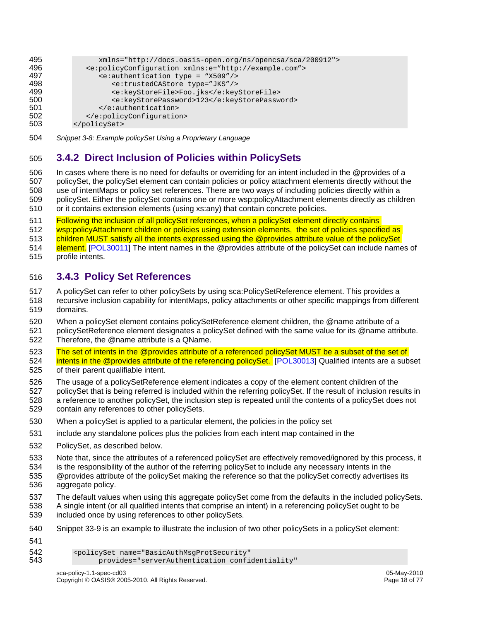| 495 | $xmlns="http://docs.oasis-open.org/ns/opencsa/sca/200912"$                   |
|-----|------------------------------------------------------------------------------|
| 496 | <e:policyconfiguration xmlns:e="http://example.com"></e:policyconfiguration> |
| 497 | $\epsilon$ :authentication type = "X509"/>                                   |
| 498 | <e:trustedcastore type="JKS"></e:trustedcastore>                             |
| 499 | <e:keystorefile>Foo.jks</e:keystorefile>                                     |
| 500 | <e:keystorepassword>123</e:keystorepassword>                                 |
| 501 |                                                                              |
| 502 |                                                                              |
| 503 |                                                                              |

504 *Snippet 3-8: Example policySet Using a Proprietary Language*

### 505 **3.4.2 Direct Inclusion of Policies within PolicySets**

506 In cases where there is no need for defaults or overriding for an intent included in the @provides of a 507 policySet, the policySet element can contain policies or policy attachment elements directly without the 508 use of intentMaps or policy set references. There are two ways of including policies directly within a 509 policySet. Either the policySet contains one or more wsp:policyAttachment elements directly as children 510 or it contains extension elements (using xs:any) that contain concrete policies.

511 Following the inclusion of all policySet references, when a policySet element directly contains

- 512 wsp:policyAttachment children or policies using extension elements, the set of policies specified as
- 513 children MUST satisfy all the intents expressed using the @provides attribute value of the policySet
- 514 element. [POL30011] The intent names in the @provides attribute of the policySet can include names of
- 515 profile intents.

#### 516 **3.4.3 Policy Set References**

- 517 A policySet can refer to other policySets by using sca:PolicySetReference element. This provides a
- 518 recursive inclusion capability for intentMaps, policy attachments or other specific mappings from different 519 domains.
- 520 When a policySet element contains policySetReference element children, the @name attribute of a
- 521 policySetReference element designates a policySet defined with the same value for its @name attribute. 522 Therefore, the @name attribute is a QName.
- 523 The set of intents in the @provides attribute of a referenced policySet MUST be a subset of the set of 524 intents in the @provides attribute of the referencing policySet. [POL30013] Qualified intents are a subset 525 of their parent qualifiable intent.
- 526 The usage of a policySetReference element indicates a copy of the element content children of the
- 527 policySet that is being referred is included within the referring policySet. If the result of inclusion results in
- 528 a reference to another policySet, the inclusion step is repeated until the contents of a policySet does not 529 contain any references to other policySets.
- 530 When a policySet is applied to a particular element, the policies in the policy set
- 531 include any standalone polices plus the policies from each intent map contained in the
- 532 PolicySet, as described below.
- 533 Note that, since the attributes of a referenced policySet are effectively removed/ignored by this process, it
- 534 is the responsibility of the author of the referring policySet to include any necessary intents in the
- 535 @provides attribute of the policySet making the reference so that the policySet correctly advertises its 536 aggregate policy.
- 537 The default values when using this aggregate policySet come from the defaults in the included policySets.
- 538 A single intent (or all qualified intents that comprise an intent) in a referencing policySet ought to be 539 included once by using references to other policySets.
- 540 Snippet 33-9 is an example to illustrate the inclusion of two other policySets in a policySet element:
- 541

```
542 <policySet name="BasicAuthMsgProtSecurity"<br>543 provides="serverAuthentication confi
                      provides="serverAuthentication confidentiality"
```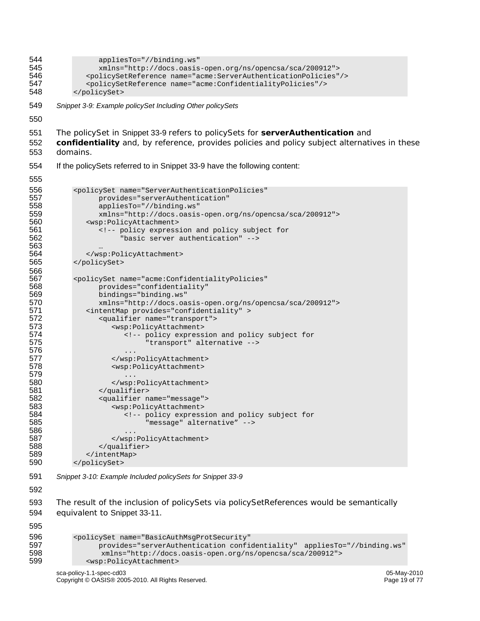```
544 appliesTo="//binding.ws"<br>545 mins="http://docs.oasis
545 xmlns="http://docs.oasis-open.org/ns/opencsa/sca/200912"> 
546 <policySetReference name="acme:ServerAuthenticationPolicies"/><br>547 <policySetReference name="acme:ConfidentialityPolicies"/>
547 <policySetReference name="acme:ConfidentialityPolicies"/> 
            548 </policySet> 
549 Snippet 3-9: Example policySet Including Other policySets 
550 
551 The policySet in Snippet 33-9 refers to policySets for serverAuthentication and 
552 confidentiality and, by reference, provides policies and policy subject alternatives in these 
553 domains. 
554 If the policySets referred to in Snippet 33-9 have the following content: 
555 
556 <policySet name="ServerAuthenticationPolicies" 
557 provides="serverAuthentication"<br>558 appliesTo="//binding.ws"
558 appliesTo="//binding.ws"<br>559 mmlns="http://docs.oasis
559 xmlns="http://docs.oasis-open.org/ns/opencsa/sca/200912"><br>560 wsp:PolicyAttachment>
560 <wsp:PolicyAttachment><br>561 <wsp:Therman <t-- policy express
561 <!-- policy expression and policy subject for 
                         "basic server authentication" -->
563<br>564
564 </wsp:PolicyAttachment><br>565 </policySet>
            565 </policySet> 
566<br>567
567 <policySet name="acme:ConfidentialityPolicies" 
568 provides="confidentiality"<br>569 bindings="binding.ws"
569 bindings="binding.ws" 
570 xmlns="http://docs.oasis-open.org/ns/opencsa/sca/200912"><br>571 <intentMap provides="confidentiality" >
571 <intentMap provides="confidentiality" ><br>572 <qualifier name="transport">
572 <qualifier name="transport"><br>573 <wsp:PolicyAttachment>
573 <wsp:PolicyAttachment><br>574 <wsp:PolicyAttachment>
574 \leq -- policy expression and policy subject for<br>575 \leq "transport" alternative -->
                                "transport" alternative -->
576 ... 
577 </wsp:PolicyAttachment><br>578 <wsp:PolicyAttachment>
                       578 <wsp:PolicyAttachment> 
579 ...<br>\frac{580}{100} ...
580 </wsp:PolicyAttachment><br>581 </gualifier>
581 </qualifier><br>582 <qualifier n
582 <qualifier name="message"> 
583 <wsp:PolicyAttachment> 
584 \leq -- policy expression and policy subject for 585
                                "message" alternative" -->
586 ...<br>587 ...
                      587 </wsp:PolicyAttachment> 
588 </qualifier><br>589 </intentMap>
589 </intentMap><br>590 </policySet>
            590 </policySet>
```
591 *Snippet 3-10: Example Included policySets for Snippet 33-9* 

592

593 The result of the inclusion of policySets via policySetReferences would be semantically 594 equivalent to Snippet 33-11.

595

```
596 <policySet name="BasicAuthMsgProtSecurity" 
597 provides="serverAuthentication confidentiality" appliesTo="//binding.ws"<br>598 mmlns="http://docs.oasis-open.org/ns/opencsa/sca/200912">
598 xmlns="http://docs.oasis-open.org/ns/opencsa/sca/200912"> 
               599 <wsp:PolicyAttachment>
```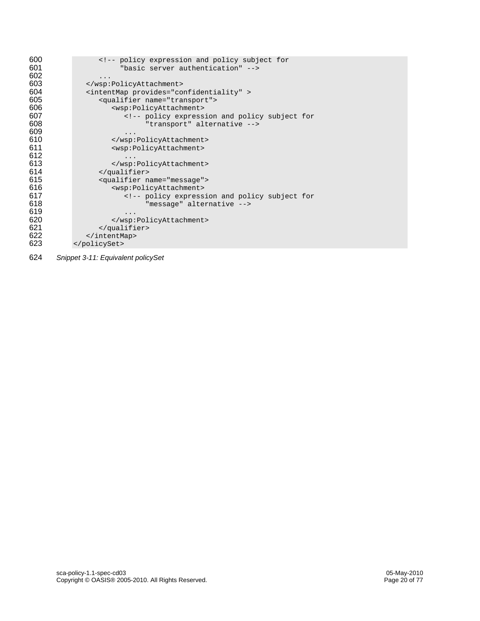| 600 | policy expression and policy subject for</th></tr><tr><th>601</th><th>"basic server authentication" |
|-----|-----------------------------------------------------------------------------------------------------|
| 602 |                                                                                                     |
| 603 |                                                                                                     |
| 604 | <intentmap provides="confidentiality"></intentmap>                                                  |
| 605 | <qualifier name="transport"></qualifier>                                                            |
| 606 | <wsp:policyattachment></wsp:policyattachment>                                                       |
| 607 | policy expression and policy subject for</th></tr><tr><th>608</th><th>"transport" alternative       |
| 609 | .                                                                                                   |
| 610 |                                                                                                     |
| 611 | <wsp:policyattachment></wsp:policyattachment>                                                       |
| 612 |                                                                                                     |
| 613 |                                                                                                     |
| 614 |                                                                                                     |
| 615 | <qualifier name="message"></qualifier>                                                              |
| 616 | <wsp:policyattachment></wsp:policyattachment>                                                       |
| 617 | policy expression and policy subject for</th></tr><tr><th>618</th><th>"message" alternative         |
| 619 |                                                                                                     |
| 620 |                                                                                                     |
| 621 |                                                                                                     |
| 622 |                                                                                                     |
| 623 |                                                                                                     |

*Snippet 3-11: Equivalent policySet*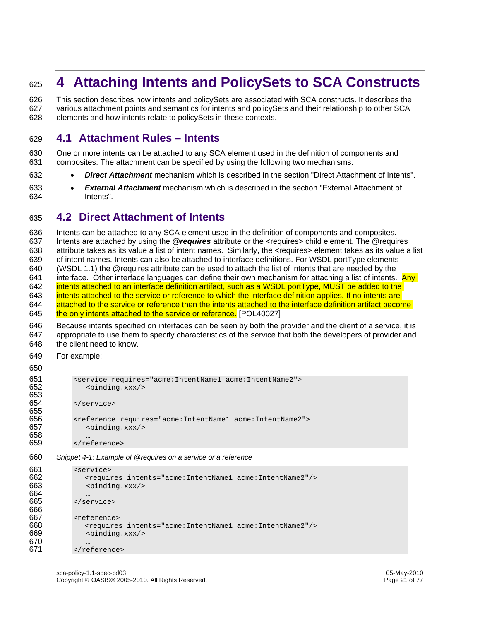# <sup>625</sup>**4 Attaching Intents and PolicySets to SCA Constructs**

626 This section describes how intents and policySets are associated with SCA constructs. It describes the 627 various attachment points and semantics for intents and policySets and their relationship to other SCA 628 elements and how intents relate to policySets in these contexts.

### 629 **4.1 Attachment Rules – Intents**

630 One or more intents can be attached to any SCA element used in the definition of components and 631 composites. The attachment can be specified by using the following two mechanisms:

- 632 *Direct Attachment* mechanism which is described in the section "Direct Attachment of Intents".
- 633 *External Attachment* mechanism which is described in the section "External Attachment of 634 Intents".

### 635 **4.2 Direct Attachment of Intents**

636 Intents can be attached to any SCA element used in the definition of components and composites. 637 Intents are attached by using the *@requires* attribute or the <requires> child element. The @requires 638 attribute takes as its value a list of intent names. Similarly, the <requires> element takes as its value a list 639 of intent names. Intents can also be attached to interface definitions. For WSDL portType elements 640 (WSDL 1.1) the @requires attribute can be used to attach the list of intents that are needed by the 641 interface. Other interface languages can define their own mechanism for attaching a list of intents.  $\rho_{\text{AV}}$ 642 intents attached to an interface definition artifact, such as a WSDL portType, MUST be added to the 643 intents attached to the service or reference to which the interface definition applies. If no intents are 644 attached to the service or reference then the intents attached to the interface definition artifact become 645 the only intents attached to the service or reference. [POL40027]

646 Because intents specified on interfaces can be seen by both the provider and the client of a service, it is 647 appropriate to use them to specify characteristics of the service that both the developers of provider and 648 the client need to know.

649 For example:

```
650 
651 <service requires="acme:IntentName1 acme:IntentName2"><br>652 <br/>>>> <br/>>binding.xxx/>
               652 <binding.xxx/> 
653 … 
654 </service> 
655 
656 <reference requires="acme:IntentName1 acme:IntentName2"> 
657 <binding.xxx/> 
658<br>659
            659 </reference>
```
660 *Snippet 4-1: Example of @requires on a service or a reference* 

```
661 <service><br>662 <regui
               662 <requires intents="acme:IntentName1 acme:IntentName2"/> 
663 <binding.xxx/> 
664<br>665
            665 </service> 
666<br>667
667 <reference><br>668 <requires
668 <requires intents="acme:IntentName1 acme:IntentName2"/> 
                669 <binding.xxx/> 
670<br>671
            </reference>
```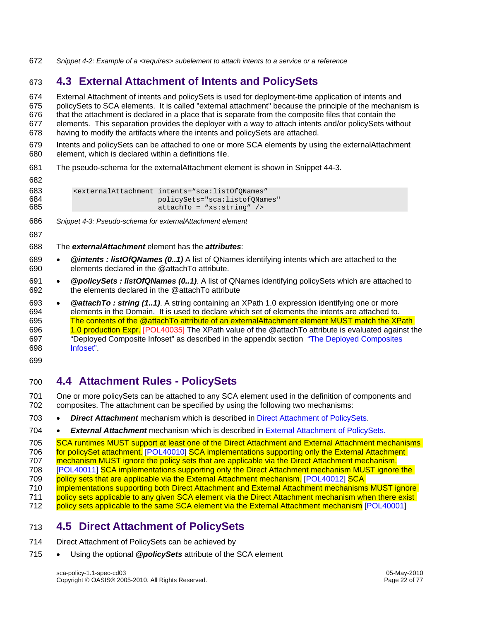672 *Snippet 4-2: Example of a <requires> subelement to attach intents to a service or a reference* 

# 673 **4.3 External Attachment of Intents and PolicySets**

674 External Attachment of intents and policySets is used for deployment-time application of intents and 675 policySets to SCA elements. It is called "external attachment" because the principle of the mechanism is 676 that the attachment is declared in a place that is separate from the composite files that contain the 677 elements. This separation provides the deployer with a way to attach intents and/or policySets without 678 having to modify the artifacts where the intents and policySets are attached.

679 Intents and policySets can be attached to one or more SCA elements by using the externalAttachment 680 element, which is declared within a definitions file.

681 The pseudo-schema for the externalAttachment element is shown in Snippet 44-3.

| <u>uuz</u>        |                                                                                                                                                                            |
|-------------------|----------------------------------------------------------------------------------------------------------------------------------------------------------------------------|
| 683<br>684<br>685 | <externalattachment_intents="sca:listofonames"<br>policySets="sca:listofONames"<br/><math>attachTo = "xs:string"</math></externalattachment_intents="sca:listofonames"<br> |
|                   |                                                                                                                                                                            |

- 686 *Snippet 4-3: Pseudo-schema for externalAttachment element*
- 687

682

- 688 The *externalAttachment* element has the *attributes*:
- 689 *@intents : listOfQNames (0..1)* A list of QNames identifying intents which are attached to the 690 elements declared in the @attachTo attribute.
- 691 *@policySets : listOfQNames (0..1)*. A list of QNames identifying policySets which are attached to 692 the elements declared in the @attachTo attribute

693 • *@attachTo : string (1..1)*. A string containing an XPath 1.0 expression identifying one or more 694 elements in the Domain. It is used to declare which set of elements the intents are attached to. 695 The contents of the @attachTo attribute of an externalAttachment element MUST match the XPath 696 1.0 production Expr. [POL40035] The XPath value of the @attachTo attribute is evaluated against the 697 "Deployed Composite Infoset" as described in the appendix section "The Deployed Composites 698 Infoset".

699

# 700 **4.4 Attachment Rules - PolicySets**

701 One or more policySets can be attached to any SCA element used in the definition of components and 702 composites. The attachment can be specified by using the following two mechanisms:

703 • *Direct Attachment* mechanism which is described in Direct Attachment of PolicySets.

704 • *External Attachment* mechanism which is described in External Attachment of PolicySets.

705 SCA runtimes MUST support at least one of the Direct Attachment and External Attachment mechanisms 706 for policySet attachment. [POL40010] SCA implementations supporting only the External Attachment 707 mechanism MUST ignore the policy sets that are applicable via the Direct Attachment mechanism. 708 [POL40011] SCA implementations supporting only the Direct Attachment mechanism MUST ignore the 709 policy sets that are applicable via the External Attachment mechanism. [POL40012] SCA 710 implementations supporting both Direct Attachment and External Attachment mechanisms MUST ignore

711 policy sets applicable to any given SCA element via the Direct Attachment mechanism when there exist

712 policy sets applicable to the same SCA element via the External Attachment mechanism [POL40001]

# 713 **4.5 Direct Attachment of PolicySets**

- 714 Direct Attachment of PolicySets can be achieved by
- 715 Using the optional *@policySets* attribute of the SCA element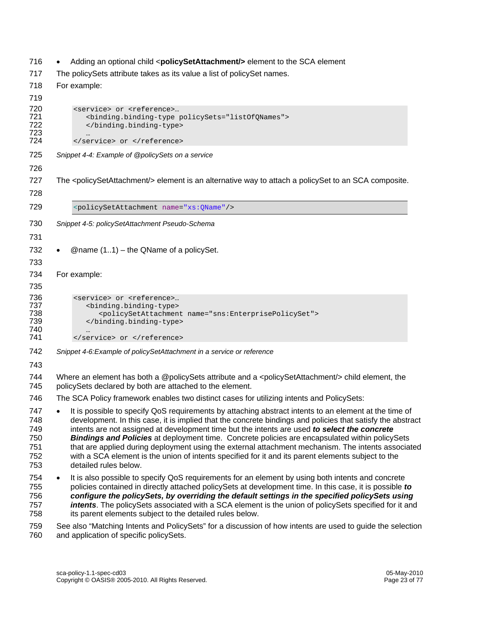- 716 Adding an optional child <**policySetAttachment/>** element to the SCA element
- 717 The policySets attribute takes as its value a list of policySet names.

```
718 For example: 
719 
720 <service> or <reference>...<br>721 <br/>binding.binding-type
721 <br />
chinding.binding-type policySets="listOfQNames">
</binding.binding-type>
                 </binding.binding-type>
723<br>724
             </service> or </reference>
725 Snippet 4-4: Example of @policySets on a service 
726 
727 The <policySetAttachment/> element is an alternative way to attach a policySet to an SCA composite. 
728 
729 <policySetAttachment name="xs:QName"/> 
730 Snippet 4-5: policySetAttachment Pseudo-Schema
731 
732 • @name (1..1) – the QName of a policySet.
733 
734 For example: 
735 
736 <service> or <reference>...<br>737 <br/>binding.binding-type>
737 binding.binding-type><br>738 <policySetAttachmen
738 <policySetAttachment name="sns:EnterprisePolicySet"><br>739 </binding.binding-type>
                 </binding.binding-type>
740<br>741
             741 </service> or </reference> 
742 Snippet 4-6:Example of policySetAttachment in a service or reference
```
- 743
- 744 Where an element has both a @policySets attribute and a <policySetAttachment/> child element, the 745 policySets declared by both are attached to the element.
- 746 The SCA Policy framework enables two distinct cases for utilizing intents and PolicySets:
- 747 It is possible to specify QoS requirements by attaching abstract intents to an element at the time of 748 development. In this case, it is implied that the concrete bindings and policies that satisfy the abstract 749 intents are not assigned at development time but the intents are used *to select the concrete*  750 *Bindings and Policies* at deployment time. Concrete policies are encapsulated within policySets 751 that are applied during deployment using the external attachment mechanism. The intents associated 752 with a SCA element is the union of intents specified for it and its parent elements subject to the 753 detailed rules below.
- 754 It is also possible to specify QoS requirements for an element by using both intents and concrete 755 policies contained in directly attached policySets at development time. In this case, it is possible *to*  756 *configure the policySets, by overriding the default settings in the specified policySets using*  757 *intents*. The policySets associated with a SCA element is the union of policySets specified for it and 758 its parent elements subject to the detailed rules below.

759 See also "Matching Intents and PolicySets" for a discussion of how intents are used to guide the selection 760 and application of specific policySets.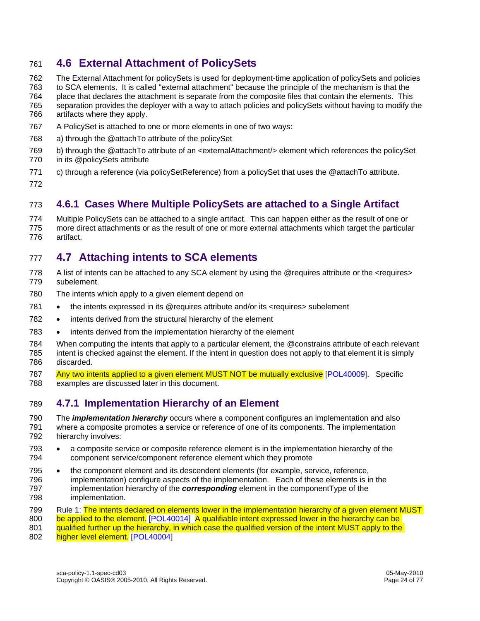# 761 **4.6 External Attachment of PolicySets**

- 762 The External Attachment for policySets is used for deployment-time application of policySets and policies
- 763 to SCA elements. It is called "external attachment" because the principle of the mechanism is that the
- 764 place that declares the attachment is separate from the composite files that contain the elements. This
- 765 separation provides the deployer with a way to attach policies and policySets without having to modify the 766 artifacts where they apply.
- 767 A PolicySet is attached to one or more elements in one of two ways:
- 768 a) through the @attachTo attribute of the policySet
- 769 b) through the @attachTo attribute of an <externalAttachment/> element which references the policySet 770 in its @policySets attribute
- 771 c) through a reference (via policySetReference) from a policySet that uses the @attachTo attribute. 772

# 773 **4.6.1 Cases Where Multiple PolicySets are attached to a Single Artifact**

774 Multiple PolicySets can be attached to a single artifact. This can happen either as the result of one or 775 more direct attachments or as the result of one or more external attachments which target the particular 776 artifact.

# 777 **4.7 Attaching intents to SCA elements**

- 778 A list of intents can be attached to any SCA element by using the @requires attribute or the <requires> 779 subelement.
- 780 The intents which apply to a given element depend on
- 781 the intents expressed in its @requires attribute and/or its <requires> subelement
- 782 intents derived from the structural hierarchy of the element
- 783 intents derived from the implementation hierarchy of the element
- 784 When computing the intents that apply to a particular element, the @constrains attribute of each relevant 785 intent is checked against the element. If the intent in question does not apply to that element it is simply 786 discarded.
- 787 Any two intents applied to a given element MUST NOT be mutually exclusive [POL40009]. Specific 788 examples are discussed later in this document.

# 789 **4.7.1 Implementation Hierarchy of an Element**

- 790 The *implementation hierarchy* occurs where a component configures an implementation and also 791 where a composite promotes a service or reference of one of its components. The implementation 792 hierarchy involves:
- 793 a composite service or composite reference element is in the implementation hierarchy of the 794 component service/component reference element which they promote
- 795 the component element and its descendent elements (for example, service, reference, 796 implementation) configure aspects of the implementation. Each of these elements is in the 797 implementation hierarchy of the *corresponding* element in the componentType of the 798 implementation.
- 799 Rule 1: The intents declared on elements lower in the implementation hierarchy of a given element MUST 800 be applied to the element. [POL40014] A qualifiable intent expressed lower in the hierarchy can be 801 gualified further up the hierarchy, in which case the qualified version of the intent MUST apply to the
- 802 higher level element. [POL40004]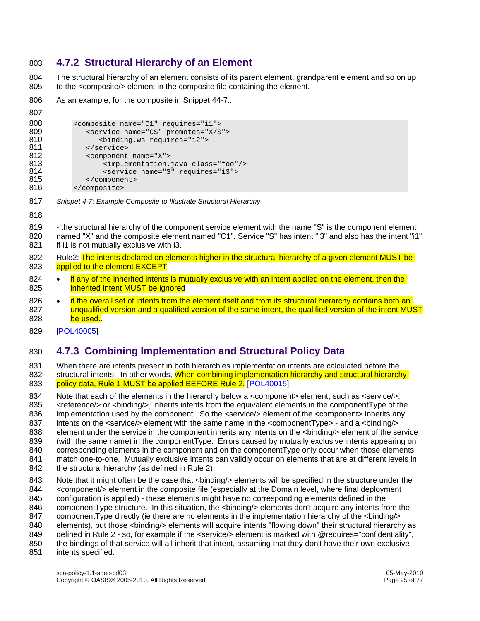# 803 **4.7.2 Structural Hierarchy of an Element**

804 The structural hierarchy of an element consists of its parent element, grandparent element and so on up 805 to the <composite/> element in the composite file containing the element.

806 As an example, for the composite in Snippet 44-7::

```
807
```

```
808 <composite name="C1" requires="i1"><br>809 <service name="CS" promotes="X/S
809 <service name="CS" promotes="X/S"> 
810 <binding.ws requires="i2"> 
811 </service><br>812 <component
812 <component name="X"><br>813 <component <a>>>> <implementation.
813 <implementation.java class="foo"/><br>814 <service name="S" requires="i3">
814 <service name="S" requires="i3"><br>815 </component>
                 </component>
816 </composite>
```
- 817 *Snippet 4-7: Example Composite to Illustrate Structural Hierarchy*
- 818

819 - the structural hierarchy of the component service element with the name "S" is the component element 820 named "X" and the composite element named "C1". Service "S" has intent "i3" and also has the intent "i1" 821 if i1 is not mutually exclusive with i3.

- 822 Rule2: The intents declared on elements higher in the structural hierarchy of a given element MUST be 823 applied to the element EXCEPT
- 824 if any of the inherited intents is mutually exclusive with an intent applied on the element, then the 825 **inherited intent MUST be ignored**

826 • if the overall set of intents from the element itself and from its structural hierarchy contains both an 827 unqualified version and a qualified version of the same intent, the qualified version of the intent MUST 828 be used.

829 [POL40005]

### 830 **4.7.3 Combining Implementation and Structural Policy Data**

831 When there are intents present in both hierarchies implementation intents are calculated before the 832 structural intents. In other words, When combining implementation hierarchy and structural hierarchy 833 policy data, Rule 1 MUST be applied BEFORE Rule 2. [POL40015]

834 Note that each of the elements in the hierarchy below a <component> element, such as <service/>, 835 <reference/> or <binding/>, inherits intents from the equivalent elements in the componentType of the 836 implementation used by the component. So the <service/> element of the <component> inherits any 837 intents on the <service/> element with the same name in the <componentType> - and a <br/>kbinding/> 838 element under the service in the component inherits any intents on the <binding/> element of the service 839 (with the same name) in the componentType. Errors caused by mutually exclusive intents appearing on 840 corresponding elements in the component and on the componentType only occur when those elements 841 match one-to-one. Mutually exclusive intents can validly occur on elements that are at different levels in 842 the structural hierarchy (as defined in Rule 2).

- 843 Note that it might often be the case that <binding/> elements will be specified in the structure under the 844 <component/> element in the composite file (especially at the Domain level, where final deployment
- 845 configuration is applied) these elements might have no corresponding elements defined in the 846 componentType structure. In this situation, the <binding/> elements don't acquire any intents from the
- 847 componentType directly (ie there are no elements in the implementation hierarchy of the <br/>binding/>
- 848 elements), but those <binding/> elements will acquire intents "flowing down" their structural hierarchy as
- 849 defined in Rule 2 so, for example if the <service/> element is marked with @requires="confidentiality",
- 850 the bindings of that service will all inherit that intent, assuming that they don't have their own exclusive
- 851 intents specified.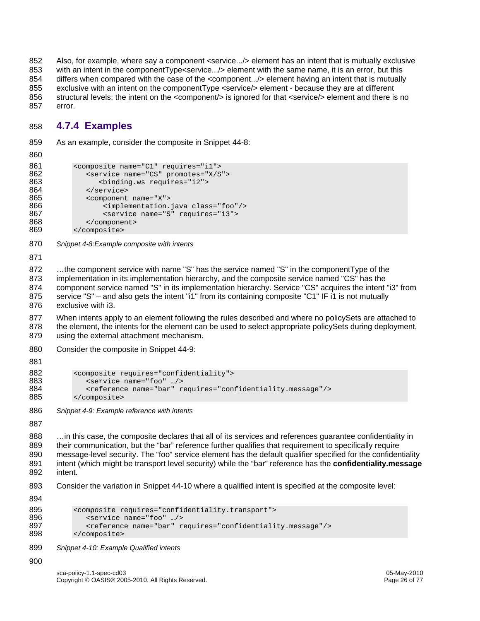852 Also, for example, where say a component <service.../> element has an intent that is mutually exclusive 853 with an intent in the componentType<service.../> element with the same name, it is an error, but this 854 differs when compared with the case of the <component.../> element having an intent that is mutually 855 exclusive with an intent on the componentType <service/> element - because they are at different 856 structural levels: the intent on the <component/> is ignored for that <service/> element and there is no 857 error.

# 858 **4.7.4 Examples**

859 As an example, consider the composite in Snippet 44-8:

```
860
```

```
861 <composite name="C1" requires="i1"><br>862 <service name="CS" promotes="X/S
862 <service name="CS" promotes="X/S"><br>863 <br/>>>> <blnding.ws requires="i2">
                        863 <binding.ws requires="i2"> 
864 </service><br>865 <component
865 <component name="X"><br>866 <componentation.
866 <implementation.java class="foo"/><br>867 <service name="S" requires="i3">
867 < service name="S" requires="i3"><br>868 < /component>
868 </component><br>869 </composite>
               869 </composite>
```
870 *Snippet 4-8:Example composite with intents* 

871

872 ...the component service with name "S" has the service named "S" in the componentType of the 873 implementation in its implementation hierarchy, and the composite service named "CS" has the 874 component service named "S" in its implementation hierarchy. Service "CS" acquires the intent "i3" from 875 service "S" – and also gets the intent "i1" from its containing composite "C1" IF i1 is not mutually 876 exclusive with i3.

877 When intents apply to an element following the rules described and where no policySets are attached to 878 the element, the intents for the element can be used to select appropriate policySets during deployment, 879 using the external attachment mechanism.

880 Consider the composite in Snippet 44-9:

881

```
882 <composite requires="confidentiality"><br>883 <service name="foo" .../>
883 <service name="foo" …/> 
884 <reference name="bar" requires="confidentiality.message"/><br>885 </composite>
            885 </composite>
```
886 *Snippet 4-9: Example reference with intents* 

887

888 …in this case, the composite declares that all of its services and references guarantee confidentiality in 889 their communication, but the "bar" reference further qualifies that requirement to specifically require 890 message-level security. The "foo" service element has the default qualifier specified for the confidentiality 891 intent (which might be transport level security) while the "bar" reference has the **confidentiality.message**  892 intent.

893 Consider the variation in Snippet 44-10 where a qualified intent is specified at the composite level:

894

```
895 <composite requires="confidentiality.transport"><br>896 <composite name="foo" .../>
896 <service name="foo" …/> 
897 <reference name="bar" requires="confidentiality.message"/><br>898 </composite>
            898 </composite>
```
899 *Snippet 4-10: Example Qualified intents* 

900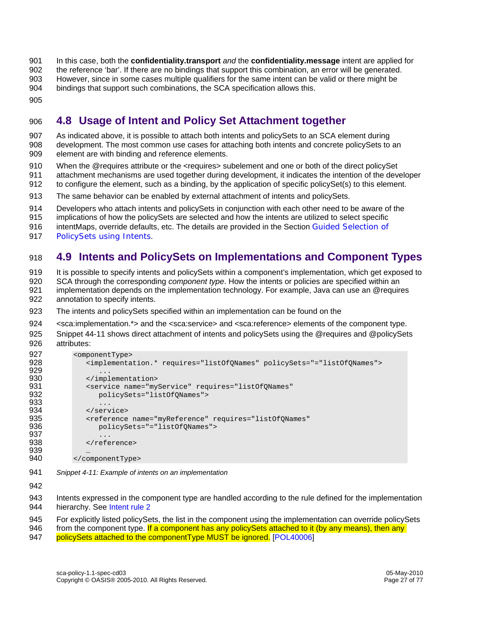- 901 In this case, both the **confidentiality.transport** *and* the **confidentiality.message** intent are applied for
- 902 the reference 'bar'. If there are no bindings that support this combination, an error will be generated.
- 903 However, since in some cases multiple qualifiers for the same intent can be valid or there might be
- 904 bindings that support such combinations, the SCA specification allows this.
- 905

# 906 **4.8 Usage of Intent and Policy Set Attachment together**

- 907 As indicated above, it is possible to attach both intents and policySets to an SCA element during 908 development. The most common use cases for attaching both intents and concrete policySets to an 909 element are with binding and reference elements.
- 910 When the @requires attribute or the <requires> subelement and one or both of the direct policySet
- 911 attachment mechanisms are used together during development, it indicates the intention of the developer
- 912 to configure the element, such as a binding, by the application of specific policySet(s) to this element.
- 913 The same behavior can be enabled by external attachment of intents and policySets.
- 914 Developers who attach intents and policySets in conjunction with each other need to be aware of the
- 915 implications of how the policySets are selected and how the intents are utilized to select specific
- 916 intentMaps, override defaults, etc. The details are provided in the Section Guided Selection of
- 917 PolicySets using Intents.

# 918 **4.9 Intents and PolicySets on Implementations and Component Types**

919 It is possible to specify intents and policySets within a component's implementation, which get exposed to

920 SCA through the corresponding *component type*. How the intents or policies are specified within an

- 921 implementation depends on the implementation technology. For example, Java can use an @requires 922 annotation to specify intents.
- 923 The intents and policySets specified within an implementation can be found on the
- 924 <sca:implementation.\*> and the <sca:service> and <sca:reference> elements of the component type.
- 925 Snippet 44-11 shows direct attachment of intents and policySets using the @requires and @policySets 926 attributes:

```
927 <omponentType><br>928 <implementa
                928 <implementation.* requires="listOfQNames" policySets="="listOfQNames"> 
929<br>930
930 </implementation><br>931 <service name="my
931 <service name="myService" requires="listOfQNames"<br>932 policySets="listOfONames">
                    932 policySets="listOfQNames"> 
933 ...<br>934 </serv
934 </service> 
935 <reference name="myReference" requires="listOfQNames"<br>936 policySets="="listOfONames">
                    936 policySets="="listOfQNames"> 
937 ...<br>938 /refe
                </reference>
939 …<br>940 </com
             940 </componentType>
```
941 *Snippet 4-11: Example of intents on an implementation* 

942

943 Intents expressed in the component type are handled according to the rule defined for the implementation 944 hierarchy. See Intent rule 2

945 For explicitly listed policySets, the list in the component using the implementation can override policySets

946 from the component type. If a component has any policySets attached to it (by any means), then any

947 policySets attached to the componentType MUST be ignored. [POL40006]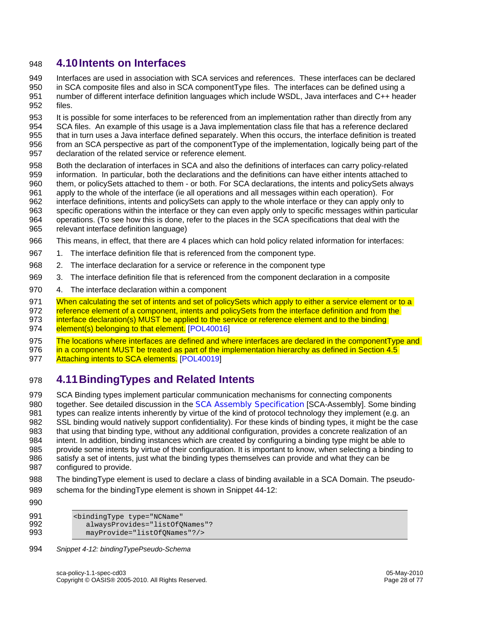### 948 **4.10 Intents on Interfaces**

949 Interfaces are used in association with SCA services and references. These interfaces can be declared 950 in SCA composite files and also in SCA componentType files. The interfaces can be defined using a 951 number of different interface definition languages which include WSDL, Java interfaces and C++ header 952 files.

953 It is possible for some interfaces to be referenced from an implementation rather than directly from any 954 SCA files. An example of this usage is a Java implementation class file that has a reference declared 955 that in turn uses a Java interface defined separately. When this occurs, the interface definition is treated 956 from an SCA perspective as part of the componentType of the implementation, logically being part of the

- 957 declaration of the related service or reference element. 958 Both the declaration of interfaces in SCA and also the definitions of interfaces can carry policy-related 959 information. In particular, both the declarations and the definitions can have either intents attached to
- 960 them, or policySets attached to them or both. For SCA declarations, the intents and policySets always
- 961 apply to the whole of the interface (ie all operations and all messages within each operation). For
- 962 interface definitions, intents and policySets can apply to the whole interface or they can apply only to 963 specific operations within the interface or they can even apply only to specific messages within particular
- 964 operations. (To see how this is done, refer to the places in the SCA specifications that deal with the
- 965 relevant interface definition language)
- 966 This means, in effect, that there are 4 places which can hold policy related information for interfaces:
- 967 1. The interface definition file that is referenced from the component type.
- 968 2. The interface declaration for a service or reference in the component type
- 969 3. The interface definition file that is referenced from the component declaration in a composite
- 970 4. The interface declaration within a component

971 When calculating the set of intents and set of policySets which apply to either a service element or to a

972 reference element of a component, intents and policySets from the interface definition and from the

973 interface declaration(s) MUST be applied to the service or reference element and to the binding

- 974 element(s) belonging to that element. [POL40016]
- 975 The locations where interfaces are defined and where interfaces are declared in the componentType and
- 976 in a component MUST be treated as part of the implementation hierarchy as defined in Section 4.5
- 977 Attaching intents to SCA elements. [POL40019]

# 978 **4.11 BindingTypes and Related Intents**

979 SCA Binding types implement particular communication mechanisms for connecting components 980 together. See detailed discussion in the SCA Assembly Specification [SCA-Assembly]. Some binding 981 types can realize intents inherently by virtue of the kind of protocol technology they implement (e.g. an 982 SSL binding would natively support confidentiality). For these kinds of binding types, it might be the case 983 that using that binding type, without any additional configuration, provides a concrete realization of an 984 intent. In addition, binding instances which are created by configuring a binding type might be able to 985 provide some intents by virtue of their configuration. It is important to know, when selecting a binding to 986 satisfy a set of intents, just what the binding types themselves can provide and what they can be 987 configured to provide.

- 988 The bindingType element is used to declare a class of binding available in a SCA Domain. The pseudo-989 schema for the bindingType element is shown in Snippet 44-12:
- 990

| 991  | <bindingtype <="" th="" type="NCName"></bindingtype> |
|------|------------------------------------------------------|
| 992. | alwaysProvides="listOfONames"?                       |
| 993. | mayProvide="listOfONames"?/>                         |

994 *Snippet 4-12: bindingTypePseudo-Schema*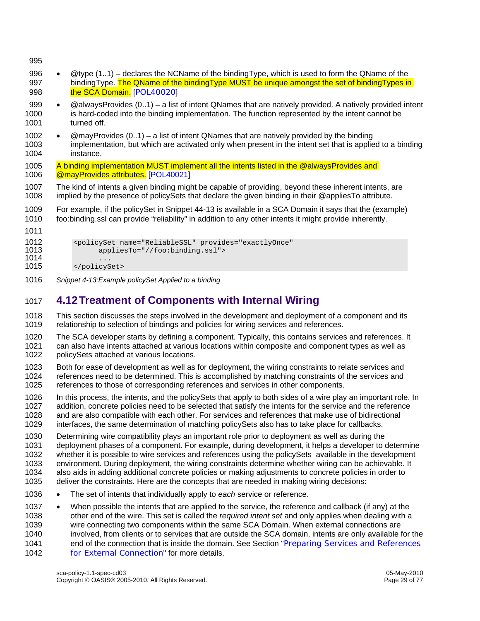996 • @type (1..1) – declares the NCName of the bindingType, which is used to form the QName of the 997 bindingType. The QName of the bindingType MUST be unique amongst the set of bindingTypes in 998 the SCA Domain. [POL40020] 999 • @alwaysProvides (0..1) – a list of intent QNames that are natively provided. A natively provided intent 1000 is hard-coded into the binding implementation. The function represented by the intent cannot be 1001 turned off. 1002 • @mayProvides (0..1) – a list of intent QNames that are natively provided by the binding 1003 implementation, but which are activated only when present in the intent set that is applied to a binding 1004 instance. 1005 A binding implementation MUST implement all the intents listed in the @alwaysProvides and 1006 @mayProvides attributes. [POL40021] 1007 The kind of intents a given binding might be capable of providing, beyond these inherent intents, are 1008 implied by the presence of policySets that declare the given binding in their @appliesTo attribute. 1009 For example, if the policySet in Snippet 44-13 is available in a SCA Domain it says that the (example) 1010 foo:binding.ssl can provide "reliability" in addition to any other intents it might provide inherently. 1011 1012 <policySet name="ReliableSSL" provides="exactlyOnce" appliesTo="//foo:binding.ssl"> 1014 ...<br>1015 */policys* </policySet> 1016 *Snippet 4-13:Example policySet Applied to a binding* 

# 1017 **4.12 Treatment of Components with Internal Wiring**

1018 This section discusses the steps involved in the development and deployment of a component and its 1019 relationship to selection of bindings and policies for wiring services and references.

1020 The SCA developer starts by defining a component. Typically, this contains services and references. It 1021 can also have intents attached at various locations within composite and component types as well as 1022 policySets attached at various locations. policySets attached at various locations.

1023 Both for ease of development as well as for deployment, the wiring constraints to relate services and<br>1024 references need to be determined. This is accomplished by matching constraints of the services and references need to be determined. This is accomplished by matching constraints of the services and 1025 references to those of corresponding references and services in other components.

1026 In this process, the intents, and the policySets that apply to both sides of a wire play an important role. In 1027 addition, concrete policies need to be selected that satisfy the intents for the service and the reference 1028 and are also compatible with each other. For services and references that make use of bidirectional 1029 interfaces, the same determination of matching policySets also has to take place for callbacks.

1030 Determining wire compatibility plays an important role prior to deployment as well as during the 1031 deployment phases of a component. For example, during development, it helps a developer to determine 1032 whether it is possible to wire services and references using the policySets available in the development 1033 environment. During deployment, the wiring constraints determine whether wiring can be achievable. It 1034 also aids in adding additional concrete policies or making adjustments to concrete policies in order to 1035 deliver the constraints. Here are the concepts that are needed in making wiring decisions:

1036 • The set of intents that individually apply to *each* service or reference.

1037 • When possible the intents that are applied to the service, the reference and callback (if any) at the 1038 other end of the wire. This set is called the *required intent set* and only applies when dealing with a 1039 wire connecting two components within the same SCA Domain. When external connections are 1040 involved, from clients or to services that are outside the SCA domain, intents are only available for the 1041 end of the connection that is inside the domain. See Section "Preparing Services and References 1042 for External Connection" for more details.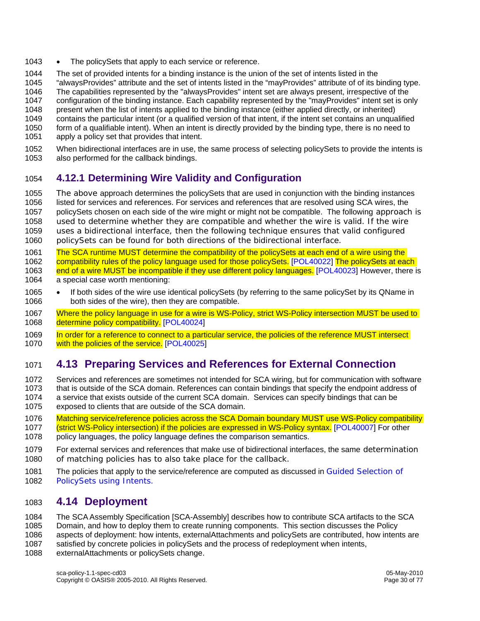- 1043 The policySets that apply to each service or reference.
- 1044 The set of provided intents for a binding instance is the union of the set of intents listed in the
- 1045 "alwaysProvides" attribute and the set of intents listed in the "mayProvides" attribute of of its binding type.
- 1046 The capabilities represented by the "alwaysProvides" intent set are always present, irrespective of the<br>1047 configuration of the binding instance. Each capability represented by the "mayProvides" intent set is or
- configuration of the binding instance. Each capability represented by the "mayProvides" intent set is only
- 1048 present when the list of intents applied to the binding instance (either applied directly, or inherited)
- 1049 contains the particular intent (or a qualified version of that intent, if the intent set contains an unqualified 1050 form of a qualifiable intent). When an intent is directly provided by the binding type, there is no need to
- 1051 apply a policy set that provides that intent.
- 1052 When bidirectional interfaces are in use, the same process of selecting policySets to provide the intents is 1053 also performed for the callback bindings.

# 1054 **4.12.1 Determining Wire Validity and Configuration**

- 1055 The above approach determines the policySets that are used in conjunction with the binding instances 1056 listed for services and references. For services and references that are resolved using SCA wires, the 1057 policySets chosen on each side of the wire might or might not be compatible. The following approach is 1058 used to determine whether they are compatible and whether the wire is valid. If the wire 1059 uses a bidirectional interface, then the following technique ensures that valid configured 1060 policySets can be found for both directions of the bidirectional interface.
- 1061 The SCA runtime MUST determine the compatibility of the policySets at each end of a wire using the 1062 compatibility rules of the policy language used for those policySets. [POL40022] The policySets at each 1063 end of a wire MUST be incompatible if they use different policy languages. [POL40023] However, there is 1064 a special case worth mentioning:
- 1065 If both sides of the wire use identical policySets (by referring to the same policySet by its QName in 1066 both sides of the wire), then they are compatible.
- 1067 Where the policy language in use for a wire is WS-Policy, strict WS-Policy intersection MUST be used to 1068 determine policy compatibility. [POL40024]
- 1069 In order for a reference to connect to a particular service, the policies of the reference MUST intersect 1070 with the policies of the service. [POL40025]

# 1071 **4.13 Preparing Services and References for External Connection**

- 1072 Services and references are sometimes not intended for SCA wiring, but for communication with software<br>1073 that is outside of the SCA domain. References can contain bindings that specify the endpoint address of that is outside of the SCA domain. References can contain bindings that specify the endpoint address of 1074 a service that exists outside of the current SCA domain. Services can specify bindings that can be 1075 exposed to clients that are outside of the SCA domain.
- 1076 Matching service/reference policies across the SCA Domain boundary MUST use WS-Policy compatibility 1077 (strict WS-Policy intersection) if the policies are expressed in WS-Policy syntax. [POL40007] For other 1078 policy languages, the policy language defines the comparison semantics.
- 1079 For external services and references that make use of bidirectional interfaces, the same determination 1080 of matching policies has to also take place for the callback.
- 1081 The policies that apply to the service/reference are computed as discussed in Guided Selection of 1082 PolicySets using Intents.

# 1083 **4.14 Deployment**

- 1084 The SCA Assembly Specification [SCA-Assembly] describes how to contribute SCA artifacts to the SCA
- 1085 Domain, and how to deploy them to create running components. This section discusses the Policy
- 1086 aspects of deployment: how intents, externalAttachments and policySets are contributed, how intents are
- 1087 satisfied by concrete policies in policySets and the process of redeployment when intents,
- 1088 externalAttachments or policySets change.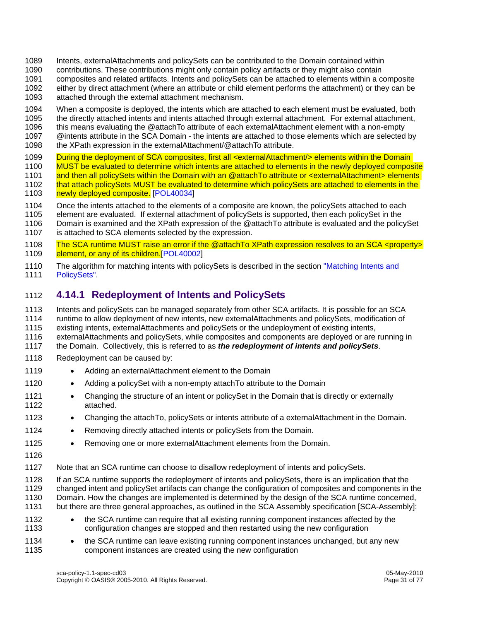- 1089 Intents, externalAttachments and policySets can be contributed to the Domain contained within
- 1090 contributions. These contributions might only contain policy artifacts or they might also contain
- 1091 composites and related artifacts. Intents and policySets can be attached to elements within a composite
- 1092 either by direct attachment (where an attribute or child element performs the attachment) or they can be
- 1093 attached through the external attachment mechanism.
- 1094 When a composite is deployed, the intents which are attached to each element must be evaluated, both
- 1095 the directly attached intents and intents attached through external attachment. For external attachment,
- 1096 this means evaluating the @attachTo attribute of each externalAttachment element with a non-empty
- 1097 @intents attribute in the SCA Domain the intents are attached to those elements which are selected by
- 1098 the XPath expression in the externalAttachment/@attachTo attribute.
- 1099 During the deployment of SCA composites, first all <externalAttachment/> elements within the Domain
- 1100 MUST be evaluated to determine which intents are attached to elements in the newly deployed composite
- 1101 and then all policySets within the Domain with an @attachTo attribute or <externalAttachment> elements
- 1102 that attach policySets MUST be evaluated to determine which policySets are attached to elements in the 1103 newly deployed composite. [POL40034]
- 1104 Once the intents attached to the elements of a composite are known, the policySets attached to each
- 1105 element are evaluated. If external attachment of policySets is supported, then each policySet in the
- 1106 Domain is examined and the XPath expression of the @attachTo attribute is evaluated and the policySet 1107 is attached to SCA elements selected by the expression.
- 1108 The SCA runtime MUST raise an error if the @attachTo XPath expression resolves to an SCA <property> 1109 element, or any of its children.[POL40002]
- 1110 The algorithm for matching intents with policySets is described in the section "Matching Intents and 1111 PolicySets".

# 1112 **4.14.1 Redeployment of Intents and PolicySets**

1113 Intents and policySets can be managed separately from other SCA artifacts. It is possible for an SCA 1114 runtime to allow deployment of new intents, new externalAttachments and policySets, modification of

- 1115 existing intents, externalAttachments and policySets or the undeployment of existing intents,
- 1116 externalAttachments and policySets, while composites and components are deployed or are running in
- 1117 the Domain. Collectively, this is referred to as *the redeployment of intents and policySets*.
- 1118 Redeployment can be caused by:
- 1119 Adding an external Attachment element to the Domain
- 1120 Adding a policySet with a non-empty attach To attribute to the Domain
- 1121 Changing the structure of an intent or policySet in the Domain that is directly or externally 1122 attached.
- 1123 Changing the attachTo, policySets or intents attribute of a externalAttachment in the Domain.
- 1124 Removing directly attached intents or policySets from the Domain.
- 1125 Removing one or more external Attachment elements from the Domain.
- 1126
- 1127 Note that an SCA runtime can choose to disallow redeployment of intents and policySets.
- 1128 If an SCA runtime supports the redeployment of intents and policySets, there is an implication that the 1129 changed intent and policySet artifacts can change the configuration of composites and components in the 1130 Domain. How the changes are implemented is determined by the design of the SCA runtime concerned, 1131 but there are three general approaches, as outlined in the SCA Assembly specification [SCA-Assembly]:
- 1132 the SCA runtime can require that all existing running component instances affected by the 1133 configuration changes are stopped and then restarted using the new configuration
- 1134 the SCA runtime can leave existing running component instances unchanged, but any new 1135 component instances are created using the new configuration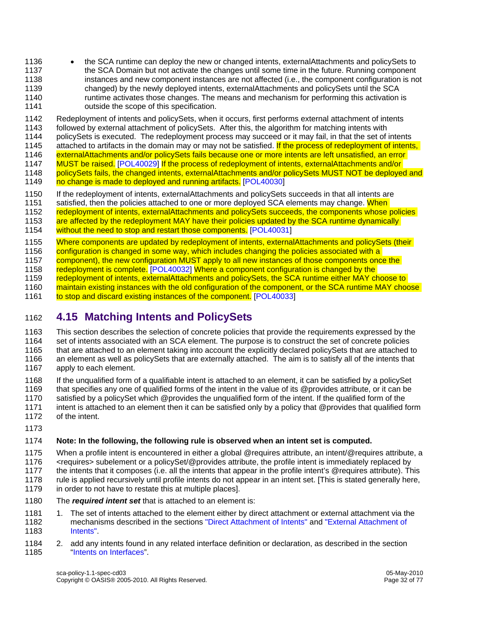- 1136 the SCA runtime can deploy the new or changed intents, externalAttachments and policySets to 1137 the SCA Domain but not activate the changes until some time in the future. Running component 1138 instances and new component instances are not affected (i.e., the component configuration is not 1139 changed) by the newly deployed intents, externalAttachments and policySets until the SCA 1140 runtime activates those changes. The means and mechanism for performing this activation is 1141 outside the scope of this specification.
- 1142 Redeployment of intents and policySets, when it occurs, first performs external attachment of intents 1143 followed by external attachment of policySets. After this, the algorithm for matching intents with followed by external attachment of policySets. After this, the algorithm for matching intents with
- 1144 policySets is executed. The redeployment process may succeed or it may fail, in that the set of intents
- 1145 attached to artifacts in the domain may or may not be satisfied. If the process of redeployment of intents,
- 1146 externalAttachments and/or policySets fails because one or more intents are left unsatisfied, an error
- 1147 MUST be raised. [POL40029] If the process of redeployment of intents, externalAttachments and/or
- 1148 policySets fails, the changed intents, externalAttachments and/or policySets MUST NOT be deployed and 1149 no change is made to deployed and running artifacts. [POL40030]
- 1150 If the redeployment of intents, externalAttachments and policySets succeeds in that all intents are
- 1151 satisfied, then the policies attached to one or more deployed SCA elements may change. When
- 1152 redeployment of intents, externalAttachments and policySets succeeds, the components whose policies
- 1153 are affected by the redeployment MAY have their policies updated by the SCA runtime dynamically
- 1154 without the need to stop and restart those components. [POL40031]
- 1155 Where components are updated by redeployment of intents, externalAttachments and policySets (their
- 1156 configuration is changed in some way, which includes changing the policies associated with a
- 1157 component), the new configuration MUST apply to all new instances of those components once the
- 1158 redeployment is complete. [POL40032] Where a component configuration is changed by the
- 1159 redeployment of intents, externalAttachments and policySets, the SCA runtime either MAY choose to
- 1160 maintain existing instances with the old configuration of the component, or the SCA runtime MAY choose
- 1161 to stop and discard existing instances of the component. [POL40033]

# 1162 **4.15 Matching Intents and PolicySets**

- 1163 This section describes the selection of concrete policies that provide the requirements expressed by the 1164 set of intents associated with an SCA element. The purpose is to construct the set of concrete policies 1165 that are attached to an element taking into account the explicitly declared policySets that are attached to 1166 an element as well as policySets that are externally attached. The aim is to satisfy all of the intents that 1167 apply to each element.
- 1168 If the unqualified form of a qualifiable intent is attached to an element, it can be satisfied by a policySet 1169 that specifies any one of qualified forms of the intent in the value of its @provides attribute, or it can be 1170 satisfied by a policySet which @provides the unqualified form of the intent. If the qualified form of the
- 1171 intent is attached to an element then it can be satisfied only by a policy that @provides that qualified form 1172 of the intent.
- 1173

#### 1174 **Note: In the following, the following rule is observed when an intent set is computed.**

- 1175 When a profile intent is encountered in either a global @requires attribute, an intent/@requires attribute, a 1176 <requires> subelement or a policySet/@provides attribute, the profile intent is immediately replaced by
- 1177 the intents that it composes (i.e. all the intents that appear in the profile intent's @requires attribute). This 1178 rule is applied recursively until profile intents do not appear in an intent set. [This is stated generally here,
- 1179 in order to not have to restate this at multiple places.
- 1180 The *required intent set* that is attached to an element is:
- 1181 1. The set of intents attached to the element either by direct attachment or external attachment via the 1182 mechanisms described in the sections "Direct Attachment of Intents" and "External Attachment of 1183 Intents". Intents".
- 1184 2. add any intents found in any related interface definition or declaration, as described in the section 1185 "Intents on Interfaces".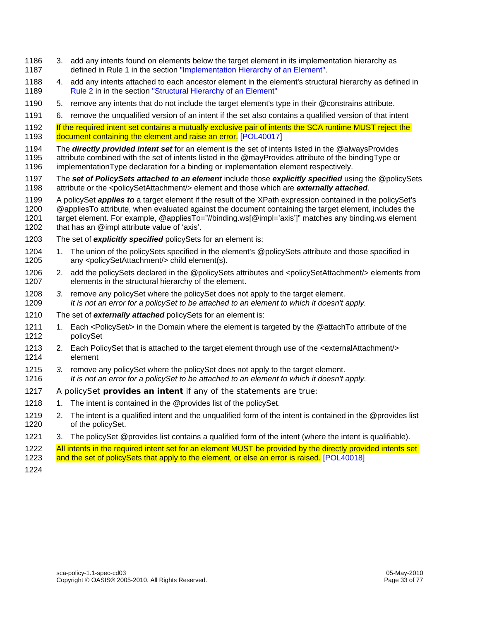- 1186 3. add any intents found on elements below the target element in its implementation hierarchy as 1187 defined in Rule 1 in the section "Implementation Hierarchy of an Element".
- 1188 4. add any intents attached to each ancestor element in the element's structural hierarchy as defined in 1189 Rule 2 in in the section "Structural Hierarchy of an Element"
- 1190 5. remove any intents that do not include the target element's type in their @constrains attribute.
- 1191 6. remove the unqualified version of an intent if the set also contains a qualified version of that intent
- 1192 If the required intent set contains a mutually exclusive pair of intents the SCA runtime MUST reject the 1193 document containing the element and raise an error. [POL40017]
- 1194 The *directly provided intent set* for an element is the set of intents listed in the @alwaysProvides
- 1195 attribute combined with the set of intents listed in the @mayProvides attribute of the bindingType or 1196 implementationType declaration for a binding or implementation element respectively.
- 1197 The *set of PolicySets attached to an element* include those *explicitly specified* using the @policySets 1198 attribute or the <policySetAttachment/> element and those which are *externally attached*.
- 1199 A policySet *applies to* a target element if the result of the XPath expression contained in the policySet's
- 1200 @appliesTo attribute, when evaluated against the document containing the target element, includes the
- 1201 target element. For example, @appliesTo="//binding.ws[@impl='axis']" matches any binding.ws element 1202 that has an @impl attribute value of 'axis'.
- 1203 The set of *explicitly specified* policySets for an element is:
- 1204 1. The union of the policySets specified in the element's @policySets attribute and those specified in 1205 any <policySetAttachment/> child element(s).
- 1206 2. add the policySets declared in the @policySets attributes and <policySetAttachment/> elements from 1207 elements in the structural hierarchy of the element.
- 1208 *3.* remove any policySet where the policySet does not apply to the target element. 1209 *It is not an error for a policySet to be attached to an element to which it doesn't apply.*
- 1210 The set of *externally attached* policySets for an element is:
- 1211 1. Each <PolicySet/> in the Domain where the element is targeted by the @attachTo attribute of the 1212 policySet
- 1213 2. Each PolicySet that is attached to the target element through use of the <externalAttachment/> 1214 element
- 1215 *3.* remove any policySet where the policySet does not apply to the target element. 1216 *It is not an error for a policySet to be attached to an element to which it doesn't apply.*
- 1217 A policySet *provides an intent* if any of the statements are true:
- 1218 1. The intent is contained in the @provides list of the policySet.
- 1219 2. The intent is a qualified intent and the unqualified form of the intent is contained in the @provides list 1220 of the policySet.
- 1221 3. The policySet @provides list contains a qualified form of the intent (where the intent is qualifiable).
- 1222 All intents in the required intent set for an element MUST be provided by the directly provided intents set
- 1223 and the set of policySets that apply to the element, or else an error is raised. [POL40018]
- 1224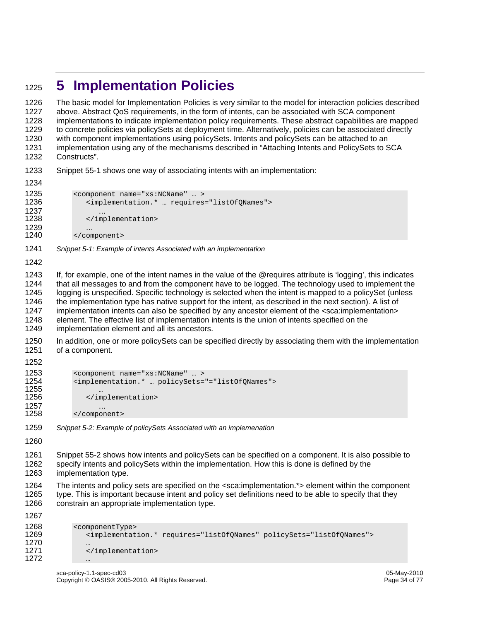# <sup>1225</sup>**5 Implementation Policies**

1226 The basic model for Implementation Policies is very similar to the model for interaction policies described 1227 above. Abstract QoS requirements, in the form of intents, can be associated with SCA component 1228 implementations to indicate implementation policy requirements. These abstract capabilities are mapped 1229 to concrete policies via policySets at deployment time. Alternatively, policies can be associated directly 1230 with component implementations using policySets. Intents and policySets can be attached to an 1231 implementation using any of the mechanisms described in "Attaching Intents and PolicySets to SCA 1232 Constructs".

1233 Snippet 55-1 shows one way of associating intents with an implementation:

```
1234 
1235 <component name="xs:NCName" ...><br>1236 <implementation.* ... requires
                  1236 <implementation.* … requires="listOfQNames"> 
1237 …
                  </implementation>
1239 …<br>1240 </com
              </component>
```
- 1241 *Snippet 5-1: Example of intents Associated with an implementation*
- 1242

1243 If, for example, one of the intent names in the value of the @requires attribute is 'logging', this indicates 1244 that all messages to and from the component have to be logged. The technology used to implement the 1245 logging is unspecified. Specific technology is selected when the intent is mapped to a policySet (unless 1246 the implementation type has native support for the intent, as described in the next section). A list of 1247 implementation intents can also be specified by any ancestor element of the <sca:implementation> 1248 element. The effective list of implementation intents is the union of intents specified on the

1249 implementation element and all its ancestors.

1250 In addition, one or more policySets can be specified directly by associating them with the implementation 1251 of a component.

```
1252
```

```
1253 <component name="xs:NCName" … > 
            1254 <implementation.* … policySets="="listOfQNames"> 
1255 … 
               </implementation>
1257 …<br>1258 </compor
            </component>
```
1260

1261 Snippet 55-2 shows how intents and policySets can be specified on a component. It is also possible to 1262 specify intents and policySets within the implementation. How this is done is defined by the 1263 implementation type.

1264 The intents and policy sets are specified on the <sca:implementation.\*> element within the component 1265 type. This is important because intent and policy set definitions need to be able to specify that they 1266 constrain an appropriate implementation type.

1267

1270<br>1271

```
1268 <componentType><br>1269 <implementat
                1269 <implementation.* requires="listOfQNames" policySets="listOfQNames"> 
                </implementation>
1272 …
```
<sup>1259</sup> *Snippet 5-2: Example of policySets Associated with an implemenation*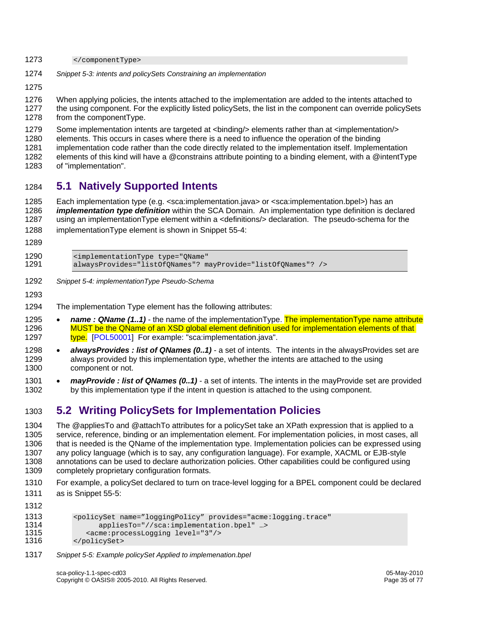- 1273 </componentType>
- 1274 *Snippet 5-3: intents and policySets Constraining an implementation*

1275

1276 When applying policies, the intents attached to the implementation are added to the intents attached to 1277 the using component. For the explicitly listed policySets, the list in the component can override policySets

- 1278 from the componentType.
- 1279 Some implementation intents are targeted at <binding/> elements rather than at <implementation/>
- 1280 elements. This occurs in cases where there is a need to influence the operation of the binding
- 1281 implementation code rather than the code directly related to the implementation itself. Implementation
- 1282 elements of this kind will have a @constrains attribute pointing to a binding element, with a @intentType
- 1283 of "implementation".

# 1284 **5.1 Natively Supported Intents**

1285 Each implementation type (e.g. <sca:implementation.java> or <sca:implementation.bpel>) has an 1286 *implementation type definition* within the SCA Domain. An implementation type definition is declared 1287 using an implementationType element within a <definitions/> declaration. The pseudo-schema for the

- 1288 implementationType element is shown in Snippet 55-4:
- 1289
- 1290 <implementationType type="QName"<br>1291 alwaysProvides="listOfONames"? m 1291 alwaysProvides="listOfQNames"? mayProvide="listOfQNames"? />
- 1292 *Snippet 5-4: implementationType Pseudo-Schema*
- 1293
- 1294 The implementation Type element has the following attributes:
- 1295 *name : QName (1..1)* the name of the implementationType. The implementationType name attribute 1296 MUST be the QName of an XSD global element definition used for implementation elements of that 1297 type. [POL50001] For example: "sca:implementation.java".
- 1298 *alwaysProvides : list of QNames (0..1)* a set of intents. The intents in the alwaysProvides set are 1299 always provided by this implementation type, whether the intents are attached to the using 1300 component or not.
- 1301 *mayProvide : list of QNames (0..1)* a set of intents. The intents in the mayProvide set are provided 1302 by this implementation type if the intent in question is attached to the using component.

# 1303 **5.2 Writing PolicySets for Implementation Policies**

1304 The @appliesTo and @attachTo attributes for a policySet take an XPath expression that is applied to a 1305 service, reference, binding or an implementation element. For implementation policies, in most cases, all 1306 that is needed is the QName of the implementation type. Implementation policies can be expressed using 1307 any policy language (which is to say, any configuration language). For example, XACML or EJB-style 1308 annotations can be used to declare authorization policies. Other capabilities could be configured using 1309 completely proprietary configuration formats.

1310 For example, a policySet declared to turn on trace-level logging for a BPEL component could be declared 1311 as is Snippet 55-5:

```
1312 
1313 <policySet name="loggingPolicy" provides="acme:logging.trace"<br>1314 appliesTo="//sca:implementation.bpel" ...>
1314 appliesTo="//sca:implementation.bpel" ...><br>1315 <acme:processLogging level="3"/>
1315 <acme:processLogging level="3"/><br>1316 </policySet>
                </policySet>
```
1317 *Snippet 5-5: Example policySet Applied to implemenation.bpel*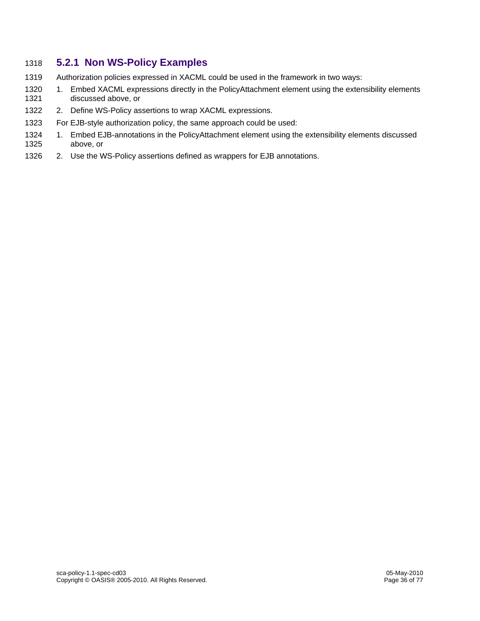### 1318 **5.2.1 Non WS-Policy Examples**

- 1319 Authorization policies expressed in XACML could be used in the framework in two ways:
- 1320 1. Embed XACML expressions directly in the PolicyAttachment element using the extensibility elements 1321 discussed above, or
- 1322 2. Define WS-Policy assertions to wrap XACML expressions.
- 1323 For EJB-style authorization policy, the same approach could be used:
- 1324 1. Embed EJB-annotations in the PolicyAttachment element using the extensibility elements discussed 1325 above, or
- 1326 2. Use the WS-Policy assertions defined as wrappers for EJB annotations.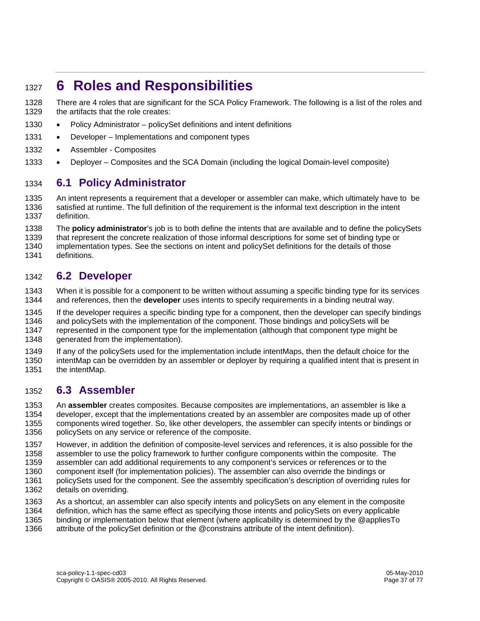## <sup>1327</sup>**6 Roles and Responsibilities**

1328 There are 4 roles that are significant for the SCA Policy Framework. The following is a list of the roles and 1329 the artifacts that the role creates:

- 1330 Policy Administrator policySet definitions and intent definitions
- 1331 Developer Implementations and component types
- 1332 Assembler Composites
- 1333 Deployer Composites and the SCA Domain (including the logical Domain-level composite)

#### 1334 **6.1 Policy Administrator**

1335 An intent represents a requirement that a developer or assembler can make, which ultimately have to be 1336 satisfied at runtime. The full definition of the requirement is the informal text description in the intent 1337 definition.

1338 The **policy administrator**'s job is to both define the intents that are available and to define the policySets 1339 that represent the concrete realization of those informal descriptions for some set of binding type or

1340 implementation types. See the sections on intent and policySet definitions for the details of those 1341 definitions.

#### 1342 **6.2 Developer**

1343 When it is possible for a component to be written without assuming a specific binding type for its services 1344 and references, then the **developer** uses intents to specify requirements in a binding neutral way.

1345 If the developer requires a specific binding type for a component, then the developer can specify bindings

1346 and policySets with the implementation of the component. Those bindings and policySets will be 1347 represented in the component type for the implementation (although that component type might be

1348 generated from the implementation).

1349 If any of the policySets used for the implementation include intentMaps, then the default choice for the

1350 intentMap can be overridden by an assembler or deployer by requiring a qualified intent that is present in 1351 the intentMap.

#### 1352 **6.3 Assembler**

1353 An **assembler** creates composites. Because composites are implementations, an assembler is like a 1354 developer, except that the implementations created by an assembler are composites made up of other 1355 components wired together. So, like other developers, the assembler can specify intents or bindings or 1356 policySets on any service or reference of the composite.

1357 However, in addition the definition of composite-level services and references, it is also possible for the

1358 assembler to use the policy framework to further configure components within the composite. The 1359 assembler can add additional requirements to any component's services or references or to the

1360 component itself (for implementation policies). The assembler can also override the bindings or

- 1361 policySets used for the component. See the assembly specification's description of overriding rules for 1362 details on overriding.
- 1363 As a shortcut, an assembler can also specify intents and policySets on any element in the composite
- 1364 definition, which has the same effect as specifying those intents and policySets on every applicable
- 1365 binding or implementation below that element (where applicability is determined by the @appliesTo
- 1366 attribute of the policySet definition or the @constrains attribute of the intent definition).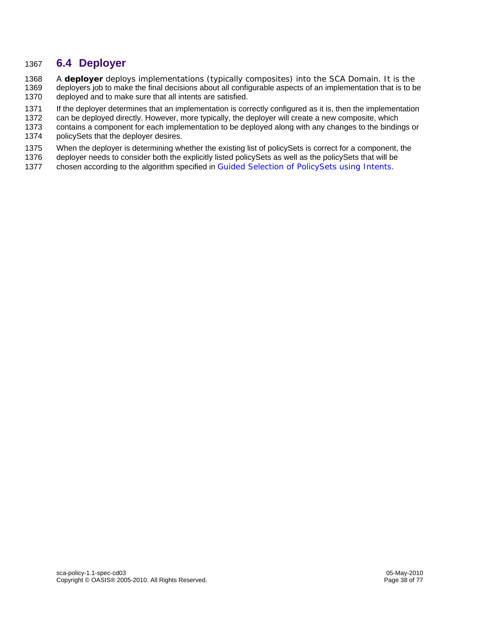#### 1367 **6.4 Deployer**

1368 A **deployer** deploys implementations (typically composites) into the SCA Domain. It is the deployers job to make the final decisions about all configurable aspects of an implementation that is to be 1370 deployed and to make sure that all intents are satisfied.

1371 If the deployer determines that an implementation is correctly configured as it is, then the implementation

1372 can be deployed directly. However, more typically, the deployer will create a new composite, which

1373 contains a component for each implementation to be deployed along with any changes to the bindings or

1374 policySets that the deployer desires.

1375 When the deployer is determining whether the existing list of policySets is correct for a component, the

1376 deployer needs to consider both the explicitly listed policySets as well as the policySets that will be

1377 chosen according to the algorithm specified in Guided Selection of PolicySets using Intents.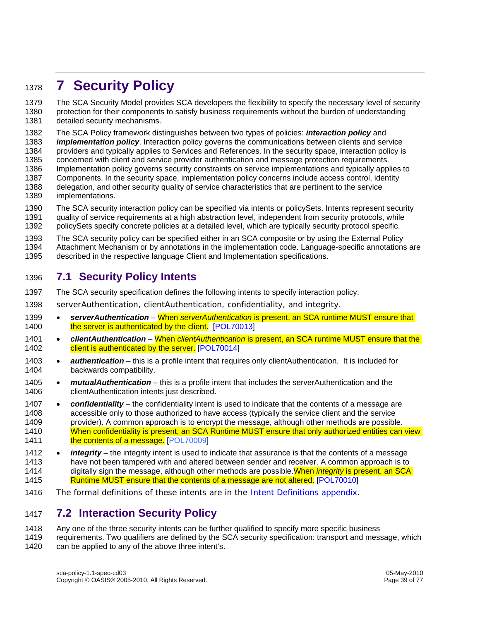# <sup>1378</sup>**7 Security Policy**

1379 The SCA Security Model provides SCA developers the flexibility to specify the necessary level of security 1380 protection for their components to satisfy business requirements without the burden of understanding 1381 detailed security mechanisms.

1382 The SCA Policy framework distinguishes between two types of policies: *interaction policy* and *implementation policy*. Interaction policy governs the communications between clients and service

1384 providers and typically applies to Services and References. In the security space, interaction policy is

1385 concerned with client and service provider authentication and message protection requirements.

- 1386 Implementation policy governs security constraints on service implementations and typically applies to
- 1387 Components. In the security space, implementation policy concerns include access control, identity
- 1388 delegation, and other security quality of service characteristics that are pertinent to the service 1389 implementations.
- 1390 The SCA security interaction policy can be specified via intents or policySets. Intents represent security 1391 quality of service requirements at a high abstraction level, independent from security protocols, while 1392 policySets specify concrete policies at a detailed level, which are typically security protocol specific.
- 1393 The SCA security policy can be specified either in an SCA composite or by using the External Policy

1394 Attachment Mechanism or by annotations in the implementation code. Language-specific annotations are

1395 described in the respective language Client and Implementation specifications.

#### 1396 **7.1 Security Policy Intents**

- 1397 The SCA security specification defines the following intents to specify interaction policy:
- 1398 serverAuthentication, clientAuthentication, confidentiality, and integrity.
- 1399 *serverAuthentication*  When *serverAuthentication* is present, an SCA runtime MUST ensure that 1400 the server is authenticated by the client. [POL70013]
- 1401 *clientAuthentication*  When *clientAuthentication* is present, an SCA runtime MUST ensure that the 1402 client is authenticated by the server. [POL70014]
- 1403 *authentication* this is a profile intent that requires only clientAuthentication. It is included for 1404 backwards compatibility.
- 1405 *mutualAuthentication* this is a profile intent that includes the serverAuthentication and the 1406 clientAuthentication intents just described.
- 1407 *confidentiality* the confidentiality intent is used to indicate that the contents of a message are 1408 accessible only to those authorized to have access (typically the service client and the service 1409 provider). A common approach is to encrypt the message, although other methods are possible. 1410 When confidentiality is present, an SCA Runtime MUST ensure that only authorized entities can view 1411 the contents of a message. [POL70009]
- 1412 *integrity*  the integrity intent is used to indicate that assurance is that the contents of a message 1413 have not been tampered with and altered between sender and receiver. A common approach is to 1414 digitally sign the message, although other methods are possible.When *integrity* is present, an SCA 1415 Runtime MUST ensure that the contents of a message are not altered. [POL70010]
- 1416 The formal definitions of these intents are in the Intent Definitions appendix.

#### 1417 **7.2 Interaction Security Policy**

- 1418 Any one of the three security intents can be further qualified to specify more specific business
- 1419 requirements. Two qualifiers are defined by the SCA security specification: transport and message, which 1420 can be applied to any of the above three intent's.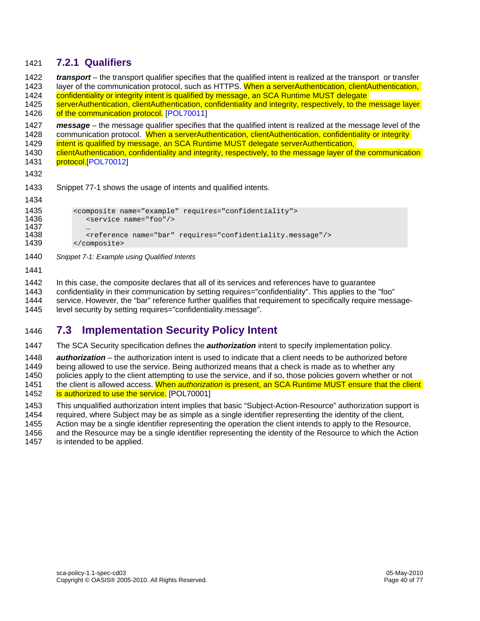#### 1421 **7.2.1 Qualifiers**

1422 *transport* – the transport qualifier specifies that the qualified intent is realized at the transport or transfer 1423 layer of the communication protocol, such as HTTPS. When a serverAuthentication, clientAuthentication, 1424 confidentiality or integrity intent is qualified by message, an SCA Runtime MUST delegate 1425 serverAuthentication, clientAuthentication, confidentiality and integrity, respectively, to the message layer 1426 of the communication protocol. [POL70011] 1427 *message* – the message qualifier specifies that the qualified intent is realized at the message level of the 1428 communication protocol. When a serverAuthentication, clientAuthentication, confidentiality or integrity 1429 intent is qualified by message, an SCA Runtime MUST delegate serverAuthentication, 1430 clientAuthentication, confidentiality and integrity, respectively, to the message layer of the communication 1431 protocol.<sup>[POL70012]</sup> 1432 1433 Snippet 77-1 shows the usage of intents and qualified intents.

```
1435 <composite name="example" requires="confidentiality"><br>1436 <service name="foo"/>
                  1436 <service name="foo"/> 
1437<br>1438
1438 <reference name="bar" requires="confidentiality.message"/><br>1439 </composite>
              </composite>
```
1440 *Snippet 7-1: Example using Qualified Intents*

1441

1434

- 1442 In this case, the composite declares that all of its services and references have to guarantee
- 1443 confidentiality in their communication by setting requires="confidentiality". This applies to the "foo"
- 1444 service. However, the "bar" reference further qualifies that requirement to specifically require message-

1445 level security by setting requires="confidentiality.message".

#### 1446 **7.3 Implementation Security Policy Intent**

1447 The SCA Security specification defines the *authorization* intent to specify implementation policy.

1448 *authorization* – the authorization intent is used to indicate that a client needs to be authorized before

1449 being allowed to use the service. Being authorized means that a check is made as to whether any

1450 policies apply to the client attempting to use the service, and if so, those policies govern whether or not

- 1451 the client is allowed access. When *authorization* is present, an SCA Runtime MUST ensure that the client 1452 is authorized to use the service. [POL70001]
- 1453 This unqualified authorization intent implies that basic "Subject-Action-Resource" authorization support is

1454 required, where Subject may be as simple as a single identifier representing the identity of the client,

1455 Action may be a single identifier representing the operation the client intends to apply to the Resource,

1456 and the Resource may be a single identifier representing the identity of the Resource to which the Action 1457 is intended to be applied.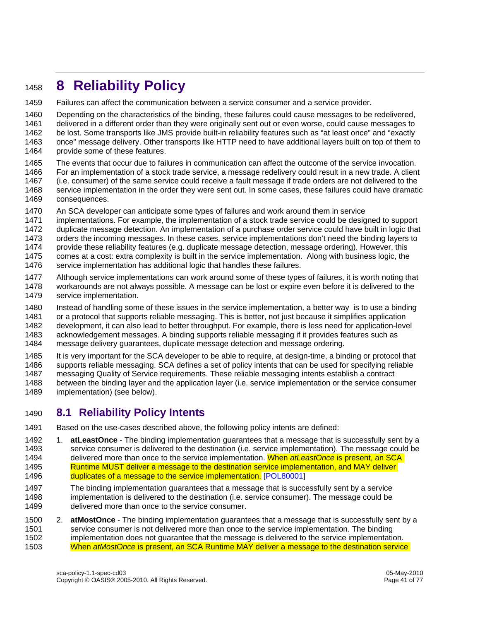# <sup>1458</sup>**8 Reliability Policy**

1459 Failures can affect the communication between a service consumer and a service provider.

1460 Depending on the characteristics of the binding, these failures could cause messages to be redelivered, 1461 delivered in a different order than they were originally sent out or even worse, could cause messages to 1462 be lost. Some transports like JMS provide built-in reliability features such as "at least once" and "exactly<br>1463 once" message delivery. Other transports like HTTP need to have additional lavers built on top of them once" message delivery. Other transports like HTTP need to have additional layers built on top of them to

- 1464 provide some of these features.
- 1465 The events that occur due to failures in communication can affect the outcome of the service invocation.
- 1466 For an implementation of a stock trade service, a message redelivery could result in a new trade. A client
- 1467 (i.e. consumer) of the same service could receive a fault message if trade orders are not delivered to the 1468 service implementation in the order they were sent out. In some cases, these failures could have dramatic
- 1469 consequences.
- 1470 An SCA developer can anticipate some types of failures and work around them in service
- 1471 implementations. For example, the implementation of a stock trade service could be designed to support
- 1472 duplicate message detection. An implementation of a purchase order service could have built in logic that
- 1473 orders the incoming messages. In these cases, service implementations don't need the binding layers to
- 1474 provide these reliability features (e.g. duplicate message detection, message ordering). However, this
- 1475 comes at a cost: extra complexity is built in the service implementation. Along with business logic, the 1476 service implementation has additional logic that handles these failures.
- 1477 Although service implementations can work around some of these types of failures, it is worth noting that 1478 workarounds are not always possible. A message can be lost or expire even before it is delivered to the 1479 service implementation.
- 1480 Instead of handling some of these issues in the service implementation, a better way is to use a binding 1481 or a protocol that supports reliable messaging. This is better, not just because it simplifies application 1482 development, it can also lead to better throughput. For example, there is less need for application-level 1483 acknowledgement messages. A binding supports reliable messaging if it provides features such as
- 1484 message delivery guarantees, duplicate message detection and message ordering.
- 1485 It is very important for the SCA developer to be able to require, at design-time, a binding or protocol that 1486 supports reliable messaging. SCA defines a set of policy intents that can be used for specifying reliable 1487 messaging Quality of Service requirements. These reliable messaging intents establish a contract 1488 between the binding layer and the application layer (i.e. service implementation or the service consumer
- 1489 implementation) (see below).

#### 1490 **8.1 Reliability Policy Intents**

- 1491 Based on the use-cases described above, the following policy intents are defined:
- 1492 1. **atLeastOnce**  The binding implementation guarantees that a message that is successfully sent by a 1493 service consumer is delivered to the destination (i.e. service implementation). The message could be 1494 delivered more than once to the service implementation. When *atLeastOnce* is present, an SCA 1495 **Runtime MUST deliver a message to the destination service implementation, and MAY deliver** 1496 duplicates of a message to the service implementation. [POL80001]
- 1497 The binding implementation guarantees that a message that is successfully sent by a service 1498 implementation is delivered to the destination (i.e. service consumer). The message could be 1499 delivered more than once to the service consumer.
- 1500 2. **atMostOnce**  The binding implementation guarantees that a message that is successfully sent by a 1501 service consumer is not delivered more than once to the service implementation. The binding 1502 implementation does not guarantee that the message is delivered to the service implementation. 1503 When *atMostOnce* is present, an SCA Runtime MAY deliver a message to the destination service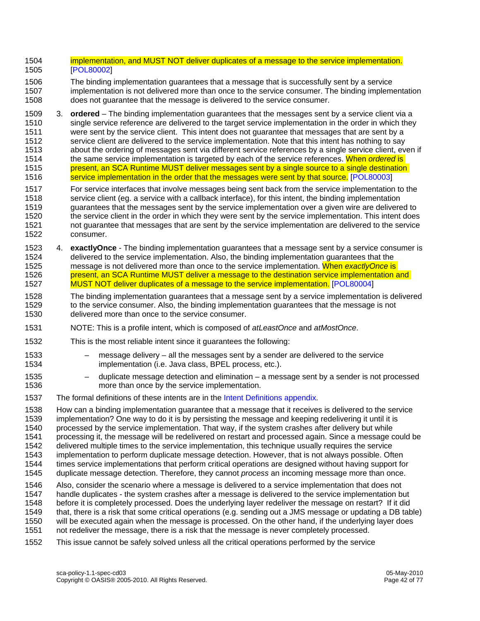- 1504 implementation, and MUST NOT deliver duplicates of a message to the service implementation. 1505 [POL80002]
- 1506 The binding implementation guarantees that a message that is successfully sent by a service 1507 implementation is not delivered more than once to the service consumer. The binding implementation 1508 does not guarantee that the message is delivered to the service consumer.
- 1509 3. **ordered**  The binding implementation guarantees that the messages sent by a service client via a 1510 single service reference are delivered to the target service implementation in the order in which they 1511 were sent by the service client. This intent does not guarantee that messages that are sent by a 1512 service client are delivered to the service implementation. Note that this intent has nothing to say 1513 about the ordering of messages sent via different service references by a single service client, even if 1514 the same service implementation is targeted by each of the service references. When *ordered* is 1515 **present, an SCA Runtime MUST deliver messages sent by a single source to a single destination** 1516 service implementation in the order that the messages were sent by that source. [POL80003]
- 1517 For service interfaces that involve messages being sent back from the service implementation to the 1518 service client (eg. a service with a callback interface), for this intent, the binding implementation 1519 guarantees that the messages sent by the service implementation over a given wire are delivered to 1520 the service client in the order in which they were sent by the service implementation. This intent does 1521 not guarantee that messages that are sent by the service implementation are delivered to the service 1522 consumer.
- 1523 4. **exactlyOnce**  The binding implementation guarantees that a message sent by a service consumer is 1524 delivered to the service implementation. Also, the binding implementation guarantees that the 1525 message is not delivered more than once to the service implementation. When *exactlyOnce* is 1526 present, an SCA Runtime MUST deliver a message to the destination service implementation and 1527 MUST NOT deliver duplicates of a message to the service implementation. [POL80004]
- 1528 The binding implementation guarantees that a message sent by a service implementation is delivered 1529 to the service consumer. Also, the binding implementation guarantees that the message is not 1530 delivered more than once to the service consumer.
- 1531 NOTE: This is a profile intent, which is composed of *atLeastOnce* and *atMostOnce*.
- 1532 This is the most reliable intent since it guarantees the following:
	-

1533 – message delivery – all the messages sent by a sender are delivered to the service 1534 implementation (i.e. Java class, BPEL process, etc.).

- 1535 duplicate message detection and elimination a message sent by a sender is not processed 1536 more than once by the service implementation.
- 1537 The formal definitions of these intents are in the Intent Definitions appendix.

1538 How can a binding implementation guarantee that a message that it receives is delivered to the service 1539 implementation? One way to do it is by persisting the message and keeping redelivering it until it is 1540 processed by the service implementation. That way, if the system crashes after delivery but while processed by the service implementation. That way, if the system crashes after delivery but while 1541 processing it, the message will be redelivered on restart and processed again. Since a message could be 1542 delivered multiple times to the service implementation, this technique usually requires the service 1543 implementation to perform duplicate message detection. However, that is not always possible. Often 1544 times service implementations that perform critical operations are designed without having support for 1545 duplicate message detection. Therefore, they cannot *process* an incoming message more than once.

1546 Also, consider the scenario where a message is delivered to a service implementation that does not 1547 handle duplicates - the system crashes after a message is delivered to the service implementation but 1548 before it is completely processed. Does the underlying layer redeliver the message on restart? If it did 1549 that, there is a risk that some critical operations (e.g. sending out a JMS message or updating a DB table) 1550 will be executed again when the message is processed. On the other hand, if the underlying layer does 1551 not redeliver the message, there is a risk that the message is never completely processed.

1552 This issue cannot be safely solved unless all the critical operations performed by the service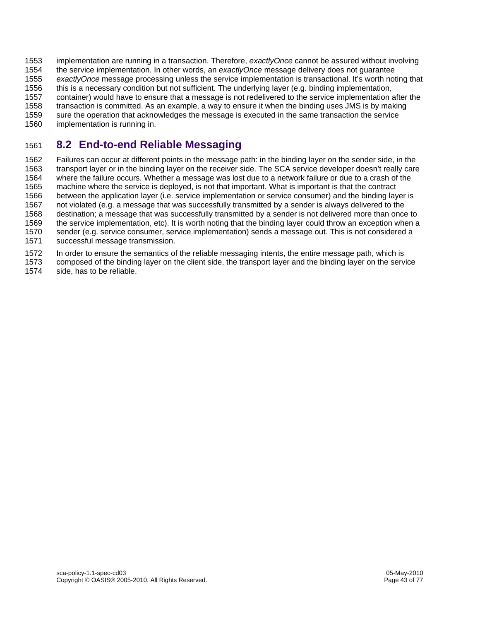1553 implementation are running in a transaction. Therefore, *exactlyOnce* cannot be assured without involving 1554 the service implementation. In other words, an *exactlyOnce* message delivery does not guarantee 1555 *exactlyOnce* message processing unless the service implementation is transactional. It's worth noting that 1556 this is a necessary condition but not sufficient. The underlying layer (e.g. binding implementation, 1557 container) would have to ensure that a message is not redelivered to the service implementation after the 1558 transaction is committed. As an example, a way to ensure it when the binding uses JMS is by making 1559 sure the operation that acknowledges the message is executed in the same transaction the service 1560 implementation is running in.

### 1561 **8.2 End-to-end Reliable Messaging**

1562 Failures can occur at different points in the message path: in the binding layer on the sender side, in the 1563 transport layer or in the binding layer on the receiver side. The SCA service developer doesn't really care 1564 where the failure occurs. Whether a message was lost due to a network failure or due to a crash of the 1565 machine where the service is deployed, is not that important. What is important is that the contract 1566 between the application layer (i.e. service implementation or service consumer) and the binding layer is 1567 not violated (e.g. a message that was successfully transmitted by a sender is always delivered to the 1568 destination; a message that was successfully transmitted by a sender is not delivered more than once to 1569 the service implementation, etc). It is worth noting that the binding layer could throw an exception when a 1570 sender (e.g. service consumer, service implementation) sends a message out. This is not considered a 1571 successful message transmission.

- 1572 In order to ensure the semantics of the reliable messaging intents, the entire message path, which is
- 1573 composed of the binding layer on the client side, the transport layer and the binding layer on the service
- 1574 side, has to be reliable.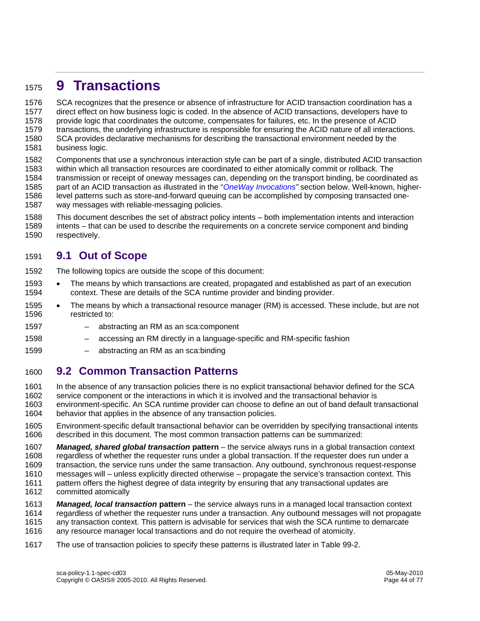## <sup>1575</sup>**9 Transactions**

1576 SCA recognizes that the presence or absence of infrastructure for ACID transaction coordination has a 1577 direct effect on how business logic is coded. In the absence of ACID transactions, developers have to 1578 provide logic that coordinates the outcome, compensates for failures, etc. In the presence of ACID 1579 transactions, the underlying infrastructure is responsible for ensuring the ACID nature of all interactions. 1580 SCA provides declarative mechanisms for describing the transactional environment needed by the 1581 business logic.

1582 Components that use a synchronous interaction style can be part of a single, distributed ACID transaction<br>1583 vithin which all transaction resources are coordinated to either atomically commit or rollback. The within which all transaction resources are coordinated to either atomically commit or rollback. The 1584 transmission or receipt of oneway messages can, depending on the transport binding, be coordinated as 1585 part of an ACID transaction as illustrated in the "*OneWay Invocations"* section below. Well-known, higher-1586 level patterns such as store-and-forward queuing can be accomplished by composing transacted one-1587 way messages with reliable-messaging policies.

- 1588 This document describes the set of abstract policy intents both implementation intents and interaction
- 1589 intents that can be used to describe the requirements on a concrete service component and binding 1590 respectively.

#### 1591 **9.1 Out of Scope**

1592 The following topics are outside the scope of this document:

- 1593 The means by which transactions are created, propagated and established as part of an execution 1594 context. These are details of the SCA runtime provider and binding provider.
- 1595 The means by which a transactional resource manager (RM) is accessed. These include, but are not 1596 restricted to:
- 1597 abstracting an RM as an sca:component
- 1598 accessing an RM directly in a language-specific and RM-specific fashion
- 1599 abstracting an RM as an sca:binding

#### 1600 **9.2 Common Transaction Patterns**

- 1601 In the absence of any transaction policies there is no explicit transactional behavior defined for the SCA
- 1602 service component or the interactions in which it is involved and the transactional behavior is
- 1603 environment-specific. An SCA runtime provider can choose to define an out of band default transactional 1604 behavior that applies in the absence of any transaction policies.
- 1605 Environment-specific default transactional behavior can be overridden by specifying transactional intents 1606 described in this document. The most common transaction patterns can be summarized:
- 1607 *Managed, shared global transaction* **pattern** the service always runs in a global transaction context 1608 regardless of whether the requester runs under a global transaction. If the requester does run under a
- 1609 transaction, the service runs under the same transaction. Any outbound, synchronous request-response
- 1610 messages will unless explicitly directed otherwise propagate the service's transaction context. This
- 1611 pattern offers the highest degree of data integrity by ensuring that any transactional updates are 1612 committed atomically
- 1613 *Managed, local transaction* **pattern** the service always runs in a managed local transaction context 1614 regardless of whether the requester runs under a transaction. Any outbound messages will not propagate 1615 any transaction context. This pattern is advisable for services that wish the SCA runtime to demarcate 16<br>1616 any resource manager local transactions and do not require the overhead of atomicity. any resource manager local transactions and do not require the overhead of atomicity.
- 1617 The use of transaction policies to specify these patterns is illustrated later in Table 99-2.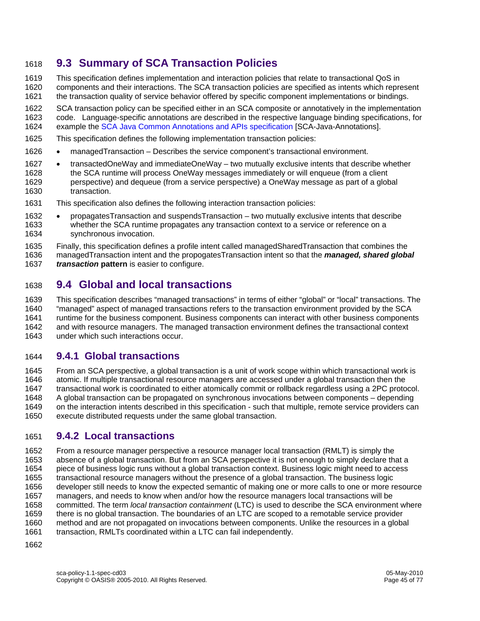#### 1618 **9.3 Summary of SCA Transaction Policies**

1619 This specification defines implementation and interaction policies that relate to transactional QoS in

1620 components and their interactions. The SCA transaction policies are specified as intents which represent

1621 the transaction quality of service behavior offered by specific component implementations or bindings.

1622 SCA transaction policy can be specified either in an SCA composite or annotatively in the implementation<br>1623 code. Language-specific annotations are described in the respective language binding specifications, for code. Language-specific annotations are described in the respective language binding specifications, for

1624 example the SCA Java Common Annotations and APIs specification [SCA-Java-Annotations].

- 1625 This specification defines the following implementation transaction policies:
- 1626 managedTransaction Describes the service component's transactional environment.
- 1627 transactedOneWay and immediateOneWay two mutually exclusive intents that describe whether<br>1628 the SCA runtime will process OneWay messages immediately or will engueue (from a client the SCA runtime will process OneWay messages immediately or will enqueue (from a client 1629 perspective) and dequeue (from a service perspective) a OneWay message as part of a global 1630 transaction.
- 1631 This specification also defines the following interaction transaction policies:
- 1632 propagatesTransaction and suspendsTransaction two mutually exclusive intents that describe whether the SCA runtime propagates any transaction context to a service or reference on a 1634 synchronous invocation.
- 1635 Finally, this specification defines a profile intent called managedSharedTransaction that combines the 1636 managedTransaction intent and the propogatesTransaction intent so that the *managed, shared global*
- *transaction* pattern is easier to configure.

#### 1638 **9.4 Global and local transactions**

1639 This specification describes "managed transactions" in terms of either "global" or "local" transactions. The 1640 "managed" aspect of managed transactions refers to the transaction environment provided by the SCA 1641 runtime for the business component. Business components can interact with other business components 1642 and with resource managers. The managed transaction environment defines the transactional context 1643 under which such interactions occur. under which such interactions occur.

#### 1644 **9.4.1 Global transactions**

1645 From an SCA perspective, a global transaction is a unit of work scope within which transactional work is 1646 atomic. If multiple transactional resource managers are accessed under a global transaction then the<br>1647 transactional work is coordinated to either atomically commit or rollback regardless using a 2PC proto 1647 transactional work is coordinated to either atomically commit or rollback regardless using a 2PC protocol. 1648 A global transaction can be propagated on synchronous invocations between components – depending 1649 on the interaction intents described in this specification - such that multiple, remote service providers can 1650 execute distributed requests under the same global transaction.

#### 1651 **9.4.2 Local transactions**

1652 From a resource manager perspective a resource manager local transaction (RMLT) is simply the 1653 absence of a global transaction. But from an SCA perspective it is not enough to simply declare that a 1654 piece of business logic runs without a global transaction context. Business logic might need to access 1655 transactional resource managers without the presence of a global transaction. The business logic 1656 developer still needs to know the expected semantic of making one or more calls to one or more resource 1657 managers, and needs to know when and/or how the resource managers local transactions will be 1658 committed. The term *local transaction containment* (LTC) is used to describe the SCA environment where 1659 there is no global transaction. The boundaries of an LTC are scoped to a remotable service provider 1660 method and are not propagated on invocations between components. Unlike the resources in a global 1661 transaction, RMLTs coordinated within a LTC can fail independently. 1662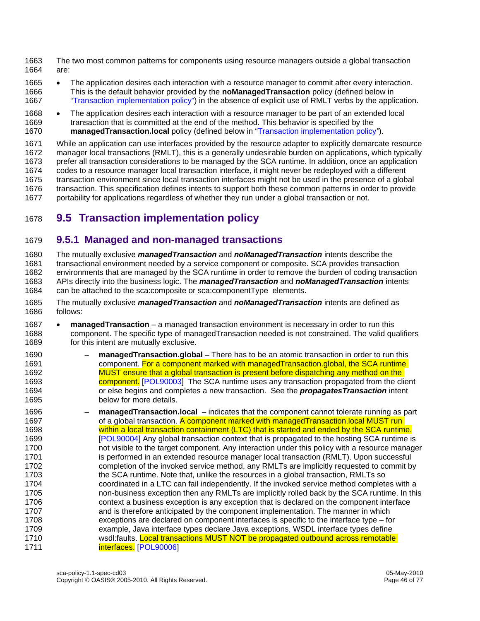1663 The two most common patterns for components using resource managers outside a global transaction 1664 are:

- 1665 The application desires each interaction with a resource manager to commit after every interaction. 1666 This is the default behavior provided by the **noManagedTransaction** policy (defined below in 1667 "Transaction implementation policy") in the absence of explicit use of RMLT verbs by the application.
- 1668 The application desires each interaction with a resource manager to be part of an extended local 1669 transaction that is committed at the end of the method. This behavior is specified by the 1670 **managedTransaction.local** policy (defined below in "Transaction implementation policy*"*).

1671 While an application can use interfaces provided by the resource adapter to explicitly demarcate resource 1672 manager local transactions (RMLT), this is a generally undesirable burden on applications, which typically 1673 prefer all transaction considerations to be managed by the SCA runtime. In addition, once an application 1674 codes to a resource manager local transaction interface, it might never be redeployed with a different 1675 transaction environment since local transaction interfaces might not be used in the presence of a global 1676 transaction. This specification defines intents to support both these common patterns in order to provide 1677 portability for applications regardless of whether they run under a global transaction or not.

## 1678 **9.5 Transaction implementation policy**

#### 1679 **9.5.1 Managed and non-managed transactions**

1680 The mutually exclusive *managedTransaction* and *noManagedTransaction* intents describe the 1681 transactional environment needed by a service component or composite. SCA provides transaction 1682 environments that are managed by the SCA runtime in order to remove the burden of coding transaction 1683 APIs directly into the business logic. The *managedTransaction* and *noManagedTransaction* intents 1684 can be attached to the sca:composite or sca:componentType elements.

- 1685 The mutually exclusive *managedTransaction* and *noManagedTransaction* intents are defined as follows:
- 1687 **managedTransaction** a managed transaction environment is necessary in order to run this 1688 component. The specific type of managedTransaction needed is not constrained. The valid qualifiers 1689 for this intent are mutually exclusive.
- 1690 **managedTransaction.global** There has to be an atomic transaction in order to run this 1691 component. For a component marked with managedTransaction.global, the SCA runtime 1692 MUST ensure that a global transaction is present before dispatching any method on the 1693 component. [POL90003] The SCA runtime uses any transaction propagated from the client 1694 or else begins and completes a new transaction. See the *propagatesTransaction* intent 1695 below for more details.
- 1696 **managedTransaction.local**  indicates that the component cannot tolerate running as part 1697 of a global transaction. A component marked with managedTransaction.local MUST run 1698 within a local transaction containment (LTC) that is started and ended by the SCA runtime. 1699 [POL90004] Any global transaction context that is propagated to the hosting SCA runtime is 1700 not visible to the target component. Any interaction under this policy with a resource manager 1701 is performed in an extended resource manager local transaction (RMLT). Upon successful 1702 completion of the invoked service method, any RMLTs are implicitly requested to commit by 1703 the SCA runtime. Note that, unlike the resources in a global transaction, RMLTs so 1704 coordinated in a LTC can fail independently. If the invoked service method completes with a 1705 non-business exception then any RMLTs are implicitly rolled back by the SCA runtime. In this 1706 context a business exception is any exception that is declared on the component interface 1707 and is therefore anticipated by the component implementation. The manner in which 1708 exceptions are declared on component interfaces is specific to the interface type – for 1709 example, Java interface types declare Java exceptions, WSDL interface types define 1710 wsdl:faults. Local transactions MUST NOT be propagated outbound across remotable 1711 **interfaces.** [POL90006]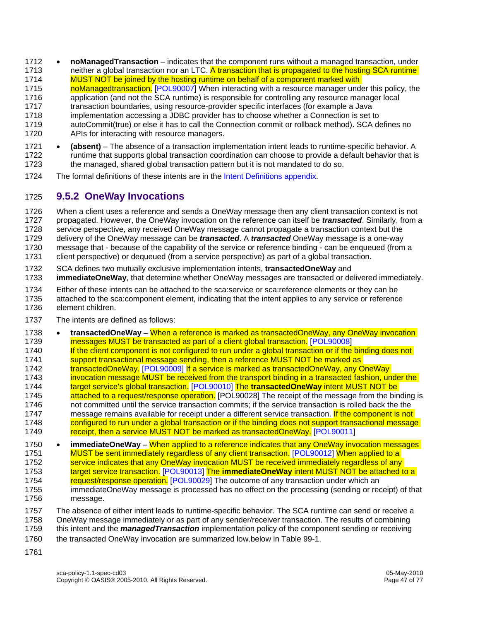- 1712 **noManagedTransaction** indicates that the component runs without a managed transaction, under 1713 neither a global transaction nor an LTC. A transaction that is propagated to the hosting SCA runtime
- 1714 MUST NOT be joined by the hosting runtime on behalf of a component marked with
- 1715 noManagedtransaction. [POL90007] When interacting with a resource manager under this policy, the
- 1716 application (and not the SCA runtime) is responsible for controlling any resource manager local
- 1717 transaction boundaries, using resource-provider specific interfaces (for example a Java 1718 implementation accessing a JDBC provider has to choose whether a Connection is set to
- 1719 autoCommit(true) or else it has to call the Connection commit or rollback method). SCA defines no 1720 APIs for interacting with resource managers.
- 1721 **(absent)** The absence of a transaction implementation intent leads to runtime-specific behavior. A 1722 runtime that supports global transaction coordination can choose to provide a default behavior that is 1723 the managed, shared global transaction pattern but it is not mandated to do so.
- 1724 The formal definitions of these intents are in the Intent Definitions appendix.

#### 1725 **9.5.2 OneWay Invocations**

- 1726 When a client uses a reference and sends a OneWay message then any client transaction context is not
- 1727 propagated. However, the OneWay invocation on the reference can itself be *transacted*. Similarly, from a 1728 service perspective, any received OneWay message cannot propagate a transaction context but the
- 1729 delivery of the OneWay message can be *transacted*. A *transacted* OneWay message is a one-way
- 1730 message that because of the capability of the service or reference binding can be enqueued (from a
- 1731 client perspective) or dequeued (from a service perspective) as part of a global transaction.
- 1732 SCA defines two mutually exclusive implementation intents, **transactedOneWay** and
- 1733 **immediateOneWay**, that determine whether OneWay messages are transacted or delivered immediately.
- 1734 Either of these intents can be attached to the sca:service or sca:reference elements or they can be 1735 attached to the sca:component element, indicating that the intent applies to any service or reference 1736 element children.
- 1737 The intents are defined as follows:
- 1738 **transactedOneWay** When a reference is marked as transactedOneWay, any OneWay invocation 1739 messages MUST be transacted as part of a client global transaction. [POL90008] 1740 If the client component is not configured to run under a global transaction or if the binding does not 1<br>1741 Support transactional message sending, then a reference MUST NOT be marked as support transactional message sending, then a reference MUST NOT be marked as 1742 transactedOneWay. [POL90009] If a service is marked as transactedOneWay, any OneWay 1743 invocation message MUST be received from the transport binding in a transacted fashion, under the 1744 target service's global transaction. [POL90010] The **transactedOneWay** intent MUST NOT be 1745 **attached to a request/response operation.** [POL90028] The receipt of the message from the binding is 1746 not committed until the service transaction commits; if the service transaction is rolled back the the 1747 message remains available for receipt under a different service transaction. If the component is not 1748 configured to run under a global transaction or if the binding does not support transactional message<br>1749 **configure** receipt, then a service MUST NOT be marked as transactedOneWay. [POL90011] receipt, then a service MUST NOT be marked as transactedOneWay. [POL90011]
- 1750 **immediateOneWay** When applied to a reference indicates that any OneWay invocation messages 1751 MUST be sent immediately regardless of any client transaction. [POL90012] When applied to a 1752 service indicates that any OneWay invocation MUST be received immediately regardless of any 1753 target service transaction. [POL90013] The **immediateOneWay** intent MUST NOT be attached to a 1754 request/response operation. [POL90029] The outcome of any transaction under which an 1755 immediateOneWay message is processed has no effect on the processing (sending or receipt) of that
- 1756 message.
- 1757 The absence of either intent leads to runtime-specific behavior. The SCA runtime can send or receive a
- 1758 OneWay message immediately or as part of any sender/receiver transaction. The results of combining
- 1759 this intent and the *managedTransaction* implementation policy of the component sending or receiving
- 1760 the transacted OneWay invocation are summarized low.below in Table 99-1.
- 1761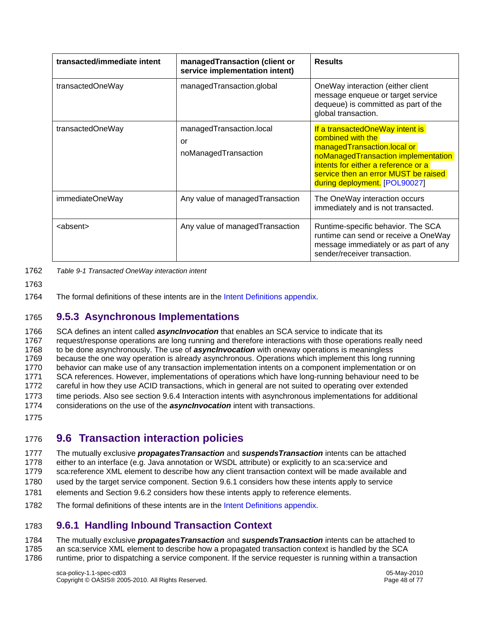| transacted/immediate intent | managedTransaction (client or<br>service implementation intent) | <b>Results</b>                                                                                                                                                                                                                             |
|-----------------------------|-----------------------------------------------------------------|--------------------------------------------------------------------------------------------------------------------------------------------------------------------------------------------------------------------------------------------|
| transactedOneWay            | managedTransaction.global                                       | OneWay interaction (either client<br>message enqueue or target service<br>dequeue) is committed as part of the<br>global transaction.                                                                                                      |
| transactedOneWay            | managedTransaction.local<br>or<br>noManagedTransaction          | If a transactedOneWay intent is<br>combined with the<br>managedTransaction.local or<br>noManagedTransaction implementation<br>intents for either a reference or a<br>service then an error MUST be raised<br>during deployment. [POL90027] |
| immediateOneWay             | Any value of managed Transaction                                | The OneWay interaction occurs<br>immediately and is not transacted.                                                                                                                                                                        |
| <absent></absent>           | Any value of managedTransaction                                 | Runtime-specific behavior. The SCA<br>runtime can send or receive a OneWay<br>message immediately or as part of any<br>sender/receiver transaction.                                                                                        |

1762 *Table 9-1 Transacted OneWay interaction intent* 

1763

1764 The formal definitions of these intents are in the Intent Definitions appendix.

#### 1765 **9.5.3 Asynchronous Implementations**

1766 SCA defines an intent called **asyncinvocation** that enables an SCA service to indicate that its<br>1767 Frequest/response operations are long running and therefore interactions with those operations request/response operations are long running and therefore interactions with those operations really need 1768 to be done asynchronously. The use of *asyncInvocation* with oneway operations is meaningless 1769 because the one way operation is already asynchronous. Operations which implement this long running 1770 behavior can make use of any transaction implementation intents on a component implementation or on 1771 SCA references. However, implementations of operations which have long-running behaviour need to be 1772 careful in how they use ACID transactions, which in general are not suited to operating over extended 1773 time periods. Also see section 9.6.4 Interaction intents with asynchronous implementations for additional 1774 considerations on the use of the *asyncInvocation* intent with transactions. 1775

#### 1776 **9.6 Transaction interaction policies**

1777 The mutually exclusive *propagatesTransaction* and *suspendsTransaction* intents can be attached 1778 either to an interface (e.g. Java annotation or WSDL attribute) or explicitly to an sca:service and 1779 sca:reference XML element to describe how any client transaction context will be made available and 1780 used by the target service component. Section 9.6.1 considers how these intents apply to service 1781 elements and Section 9.6.2 considers how these intents apply to reference elements. 1782 The formal definitions of these intents are in the Intent Definitions appendix.

#### 1783 **9.6.1 Handling Inbound Transaction Context**

1784 The mutually exclusive *propagatesTransaction* and *suspendsTransaction* intents can be attached to 1785 an sca:service XML element to describe how a propagated transaction context is handled by the SCA 1786 runtime, prior to dispatching a service component. If the service requester is running within a transaction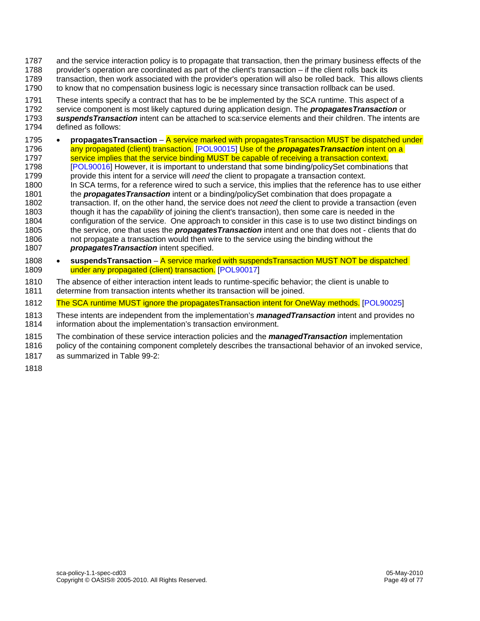- 1787 and the service interaction policy is to propagate that transaction, then the primary business effects of the
- 1788 provider's operation are coordinated as part of the client's transaction if the client rolls back its
- 1789 transaction, then work associated with the provider's operation will also be rolled back. This allows clients 1790 to know that no compensation business logic is necessary since transaction rollback can be used.
- 
- 1791 These intents specify a contract that has to be be implemented by the SCA runtime. This aspect of a 1792 service component is most likely captured during application design. The *propagatesTransaction* or
- 1793 *suspendsTransaction* intent can be attached to sca:service elements and their children. The intents are 1794 defined as follows:
- 1795 **propagatesTransaction** A service marked with propagatesTransaction MUST be dispatched under 1796 any propagated (client) transaction. [POL90015] Use of the *propagatesTransaction* intent on a 1797 service implies that the service binding MUST be capable of receiving a transaction context.
- 1798 [POL90016] However, it is important to understand that some binding/policySet combinations that 1799 provide this intent for a service will *need* the client to propagate a transaction context.
- 1800 In SCA terms, for a reference wired to such a service, this implies that the reference has to use either
- 1801 the *propagatesTransaction* intent or a binding/policySet combination that does propagate a 1802 transaction. If, on the other hand, the service does not *need* the client to provide a transaction (even 1803 though it has the *capability* of joining the client's transaction), then some care is needed in the 1804 configuration of the service. One approach to consider in this case is to use two distinct bindings on 1805 the service, one that uses the *propagatesTransaction* intent and one that does not - clients that do 1806 not propagate a transaction would then wire to the service using the binding without the
- 1807 *propagatesTransaction* intent specified.
- 1808 **suspendsTransaction** A service marked with suspendsTransaction MUST NOT be dispatched 1809 under any propagated (client) transaction. [POL90017]
- 1810 The absence of either interaction intent leads to runtime-specific behavior; the client is unable to 1811 determine from transaction intents whether its transaction will be joined.
- 1812 The SCA runtime MUST ignore the propagatesTransaction intent for OneWay methods. [POL90025]
- 1813 These intents are independent from the implementation's *managedTransaction* intent and provides no information about the implementation's transaction environment.
- 1815 The combination of these service interaction policies and the *managedTransaction* implementation
- 1816 policy of the containing component completely describes the transactional behavior of an invoked service,
- 1817 as summarized in Table 99-2:
- 1818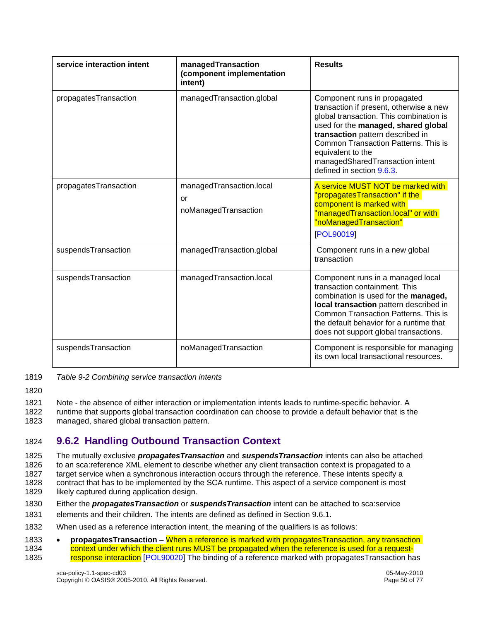| service interaction intent | managedTransaction<br>(component implementation<br>intent) | <b>Results</b>                                                                                                                                                                                                                                                                                                             |
|----------------------------|------------------------------------------------------------|----------------------------------------------------------------------------------------------------------------------------------------------------------------------------------------------------------------------------------------------------------------------------------------------------------------------------|
| propagatesTransaction      | managedTransaction.global                                  | Component runs in propagated<br>transaction if present, otherwise a new<br>global transaction. This combination is<br>used for the managed, shared global<br>transaction pattern described in<br>Common Transaction Patterns. This is<br>equivalent to the<br>managedSharedTransaction intent<br>defined in section 9.6.3. |
| propagatesTransaction      | managedTransaction.local<br>or<br>noManagedTransaction     | A service MUST NOT be marked with<br>'propagatesTransaction" if the<br>component is marked with<br>"managedTransaction.local" or with<br>"noManagedTransaction"<br>[POL90019]                                                                                                                                              |
| suspendsTransaction        | managedTransaction.global                                  | Component runs in a new global<br>transaction                                                                                                                                                                                                                                                                              |
| suspendsTransaction        | managedTransaction.local                                   | Component runs in a managed local<br>transaction containment. This<br>combination is used for the managed,<br>local transaction pattern described in<br>Common Transaction Patterns. This is<br>the default behavior for a runtime that<br>does not support global transactions.                                           |
| suspendsTransaction        | noManagedTransaction                                       | Component is responsible for managing<br>its own local transactional resources.                                                                                                                                                                                                                                            |

- 1819 *Table 9-2 Combining service transaction intents*
- 1820

1821 Note - the absence of either interaction or implementation intents leads to runtime-specific behavior. A 1822 runtime that supports global transaction coordination can choose to provide a default behavior that is the

1823 managed, shared global transaction pattern.

#### 1824 **9.6.2 Handling Outbound Transaction Context**

1825 The mutually exclusive *propagatesTransaction* and *suspendsTransaction* intents can also be attached 1826 to an sca:reference XML element to describe whether any client transaction context is propagated to a 1827 target service when a synchronous interaction occurs through the reference. These intents specify a 1828 contract that has to be implemented by the SCA runtime. This aspect of a service component is most 1829 likely captured during application design.

- likely captured during application design.
- 1830 Either the *propagatesTransaction* or *suspendsTransaction* intent can be attached to sca:service
- 1831 elements and their children. The intents are defined as defined in Section 9.6.1.
- 1832 When used as a reference interaction intent, the meaning of the qualifiers is as follows:
- 1833 **propagatesTransaction** When a reference is marked with propagatesTransaction, any transaction 1834 context under which the client runs MUST be propagated when the reference is used for a request-1835 response interaction [POL90020] The binding of a reference marked with propagatesTransaction has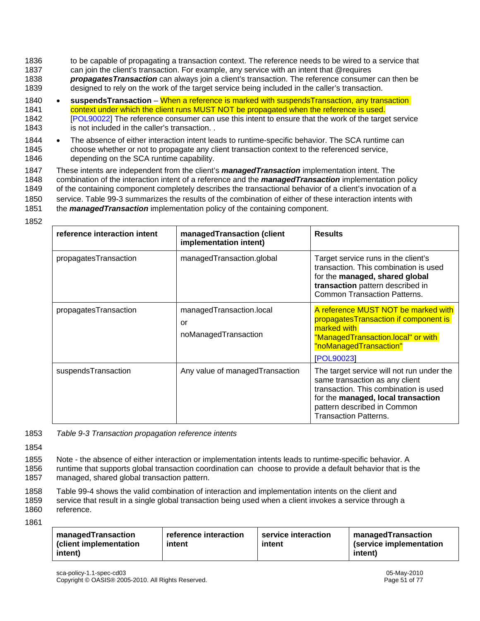- 1836 to be capable of propagating a transaction context. The reference needs to be wired to a service that 1837 can join the client's transaction. For example, any service with an intent that @requires 1838 *propagatesTransaction* can always join a client's transaction. The reference consumer can then be 1839 designed to rely on the work of the target service being included in the caller's transaction.
- 1840 **suspendsTransaction** When a reference is marked with suspendsTransaction, any transaction 1841 context under which the client runs MUST NOT be propagated when the reference is used. 1842 [POL90022] The reference consumer can use this intent to ensure that the work of the target service 1843 is not included in the caller's transaction. .
- 1844 The absence of either interaction intent leads to runtime-specific behavior. The SCA runtime can 1845 choose whether or not to propagate any client transaction context to the referenced service, 1846 depending on the SCA runtime capability.
- 1847 These intents are independent from the client's *managedTransaction* implementation intent. The 1848 combination of the interaction intent of a reference and the *managedTransaction* implementation policy 1849 of the containing component completely describes the transactional behavior of a client's invocation of a 1850 service. Table 99-3 summarizes the results of the combination of either of these interaction intents with 1851 the *managedTransaction* implementation policy of the containing component.
- 1852

| reference interaction intent | managedTransaction (client<br>implementation intent)   | <b>Results</b>                                                                                                                                                                                                            |
|------------------------------|--------------------------------------------------------|---------------------------------------------------------------------------------------------------------------------------------------------------------------------------------------------------------------------------|
| propagatesTransaction        | managedTransaction.global                              | Target service runs in the client's<br>transaction. This combination is used<br>for the managed, shared global<br>transaction pattern described in<br><b>Common Transaction Patterns.</b>                                 |
| propagatesTransaction        | managedTransaction.local<br>or<br>noManagedTransaction | A reference MUST NOT be marked with<br>propagatesTransaction if component is<br>marked with<br>"ManagedTransaction.local" or with<br>"noManagedTransaction"<br>[POL90023]                                                 |
| suspendsTransaction          | Any value of managed Transaction                       | The target service will not run under the<br>same transaction as any client<br>transaction. This combination is used<br>for the managed, local transaction<br>pattern described in Common<br><b>Transaction Patterns.</b> |

- 1853 *Table 9-3 Transaction propagation reference intents*
- 1854

1855 Note - the absence of either interaction or implementation intents leads to runtime-specific behavior. A 1856 runtime that supports global transaction coordination can choose to provide a default behavior that is the 1857 managed, shared global transaction pattern.

1858 Table 99-4 shows the valid combination of interaction and implementation intents on the client and

1859 service that result in a single global transaction being used when a client invokes a service through a 1860 reference.

1861

| managedTransaction<br>reference interaction<br>(client implementation<br>intent<br>intent) | service interaction<br>intent | managedTransaction<br>(service implementation<br>(intent |
|--------------------------------------------------------------------------------------------|-------------------------------|----------------------------------------------------------|
|--------------------------------------------------------------------------------------------|-------------------------------|----------------------------------------------------------|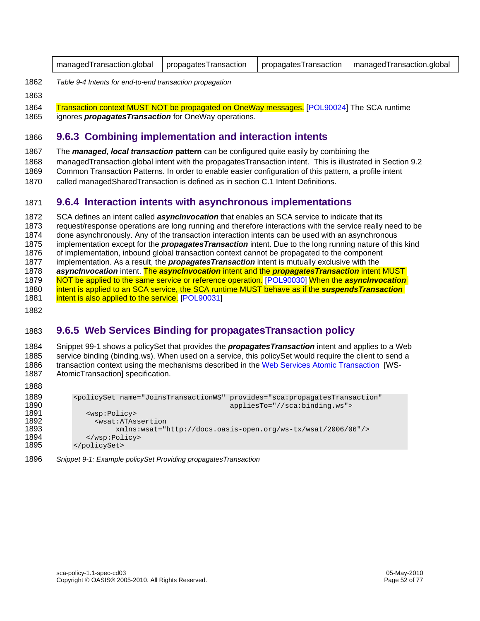| managedTransaction.global   propagatesTransaction   propagatesTransaction   managedTransaction.global |  |  |  |
|-------------------------------------------------------------------------------------------------------|--|--|--|
|-------------------------------------------------------------------------------------------------------|--|--|--|

- 
- 1863
- 1862 *Table 9-4 Intents for end-to-end transaction propagation*
- 1864 Transaction context MUST NOT be propagated on OneWay messages. [POL90024] The SCA runtime 1865 ignores *propagatesTransaction* for OneWay operations.

#### 1866 **9.6.3 Combining implementation and interaction intents**

1867 The *managed, local transaction* **pattern** can be configured quite easily by combining the

1868 managedTransaction.global intent with the propagatesTransaction intent. This is illustrated in Section 9.2

1869 Common Transaction Patterns. In order to enable easier configuration of this pattern, a profile intent

1870 called managedSharedTransaction is defined as in section C.1 Intent Definitions.

#### 1871 **9.6.4 Interaction intents with asynchronous implementations**

1872 SCA defines an intent called *asyncInvocation* that enables an SCA service to indicate that its 1873 request/response operations are long running and therefore interactions with the service really need to be 1874 done asynchronously. Any of the transaction interaction intents can be used with an asynchronous 1875 implementation except for the *propagatesTransaction* intent. Due to the long running nature of this kind 1876 of implementation, inbound global transaction context cannot be propagated to the component 1877 implementation. As a result, the *propagatesTransaction* intent is mutually exclusive with the 1878 *asyncInvocation* intent. The *asyncInvocation* intent and the *propagatesTransaction* intent MUST 1879 NOT be applied to the same service or reference operation. [POL90030] When the *asyncInvocation* 1880 intent is applied to an SCA service, the SCA runtime MUST behave as if the *suspendsTransaction* 1881 intent is also applied to the service. [POL90031] 1882

#### 1883 **9.6.5 Web Services Binding for propagatesTransaction policy**

1884 Snippet 99-1 shows a policySet that provides the *propagatesTransaction* intent and applies to a Web 1885 service binding (binding.ws). When used on a service, this policySet would require the client to send a 1886 transaction context using the mechanisms described in the Web Services Atomic Transaction [WS-1887 AtomicTransaction] specification.

1888

| 1889 | <policyset <="" name="JoinsTransactionWS" provides="sca:propagatesTransaction" th=""></policyset> |
|------|---------------------------------------------------------------------------------------------------|
| 1890 | appliesTo="//sca:binding.ws">                                                                     |
| 1891 | <wsp:policy></wsp:policy>                                                                         |
| 1892 | <wsat:atassertion< th=""></wsat:atassertion<>                                                     |
| 1893 | $xmlns:wsat="http://docs.oasis-open.org/ws-tx/wsat/2006/06*/>$                                    |
| 1894 | $\langle$ /wsp:Policy>                                                                            |
| 1895 |                                                                                                   |

1896 *Snippet 9-1: Example policySet Providing propagatesTransaction*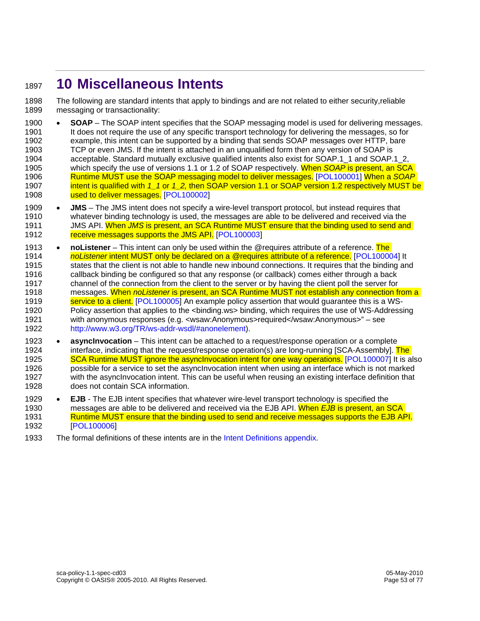## <sup>1897</sup>**10 Miscellaneous Intents**

1898 The following are standard intents that apply to bindings and are not related to either security,reliable 1899 messaging or transactionality:

- 1900 **SOAP** The SOAP intent specifies that the SOAP messaging model is used for delivering messages. 1901 It does not require the use of any specific transport technology for delivering the messages, so for 1902 example, this intent can be supported by a binding that sends SOAP messages over HTTP, bare 1903 TCP or even JMS. If the intent is attached in an unqualified form then any version of SOAP is 1904 acceptable. Standard mutually exclusive qualified intents also exist for SOAP.1\_1 and SOAP.1\_2, 1905 which specify the use of versions 1.1 or 1.2 of SOAP respectively. When *SOAP* is present, an SCA 1906 Runtime MUST use the SOAP messaging model to deliver messages. [POL100001] When a *SOAP* 1907 intent is qualified with *1\_1* or *1\_2,* then SOAP version 1.1 or SOAP version 1.2 respectively MUST be 1908 used to deliver messages. [POL100002]
- 1909 **JMS** The JMS intent does not specify a wire-level transport protocol, but instead requires that 1910 whatever binding technology is used, the messages are able to be delivered and received via the whatever binding technology is used, the messages are able to be delivered and received via the 1911 JMS API. When *JMS* is present, an SCA Runtime MUST ensure that the binding used to send and 1912 receive messages supports the JMS API. [POL100003]
- 1913 **noListener**  This intent can only be used within the @requires attribute of a reference. The 1914 *noListener* intent MUST only be declared on a @requires attribute of a reference. [POL100004] It 1915 states that the client is not able to handle new inbound connections. It requires that the binding and 1916 callback binding be configured so that any response (or callback) comes either through a back 1917 channel of the connection from the client to the server or by having the client poll the server for 1918 messages. When *noListener* is present, an SCA Runtime MUST not establish any connection from a 1919 service to a client. [POL100005] An example policy assertion that would guarantee this is a WS-1920 Policy assertion that applies to the <binding.ws> binding, which requires the use of WS-Addressing 1921 with anonymous responses (e.g. <wsaw:Anonymous>required</wsaw:Anonymous>" – see<br>1922 http://www.w3.org/TR/ws-addr-wsdl/#anonelement). http://www.w3.org/TR/ws-addr-wsdl/#anonelement).
- 1923 **asyncInvocation** This intent can be attached to a request/response operation or a complete 1924 interface, indicating that the request/response operation(s) are long-running [SCA-Assembly]. The 1925 SCA Runtime MUST ignore the asyncInvocation intent for one way operations. [POL100007] It is also 1926 possible for a service to set the asyncInvocation intent when using an interface which is not marked 1927 with the asyncInvocation intent. This can be useful when reusing an existing interface definition that 1928 does not contain SCA information.
- 1929 **EJB**  The EJB intent specifies that whatever wire-level transport technology is specified the 1930 messages are able to be delivered and received via the EJB API. When *EJB* is present, an SCA 1931 Runtime MUST ensure that the binding used to send and receive messages supports the EJB API. 1932 [POL100006]
- 1933 The formal definitions of these intents are in the Intent Definitions appendix.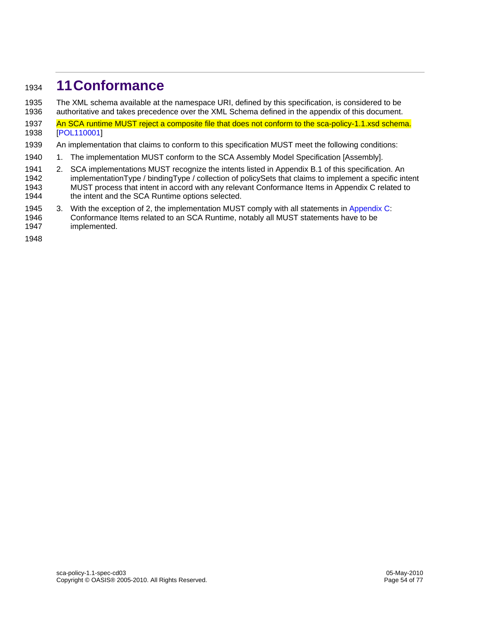## <sup>1934</sup>**11 Conformance**

1935 The XML schema available at the namespace URI, defined by this specification, is considered to be

- 1936 authoritative and takes precedence over the XML Schema defined in the appendix of this document. 1937 An SCA runtime MUST reject a composite file that does not conform to the sca-policy-1.1.xsd schema.
- 1938 [POL110001]
- 1939 An implementation that claims to conform to this specification MUST meet the following conditions:
- 1940 1. The implementation MUST conform to the SCA Assembly Model Specification [Assembly].
- 1941 2. SCA implementations MUST recognize the intents listed in Appendix B.1 of this specification. An 1942 implementationType / bindingType / collection of policySets that claims to implement a specific intent 1943 MUST process that intent in accord with any relevant Conformance Items in Appendix C related to 1944 the intent and the SCA Runtime options selected.
- 1945 3. With the exception of 2, the implementation MUST comply with all statements in Appendix C: 1946 Conformance Items related to an SCA Runtime, notably all MUST statements have to be
- 1947 implemented.
- 1948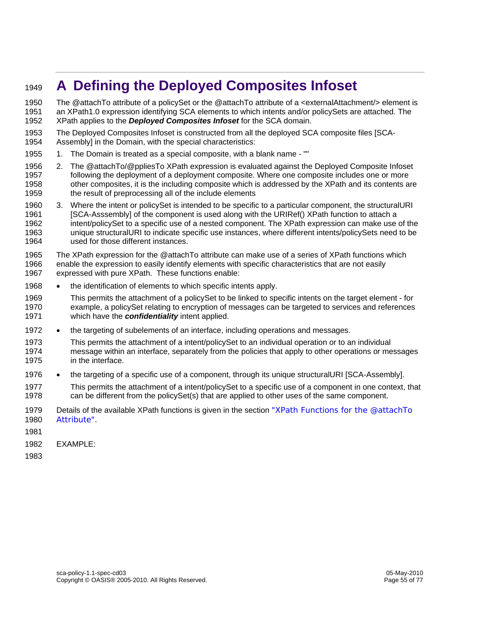# <sup>1949</sup>**A Defining the Deployed Composites Infoset**

1950 The @attachTo attribute of a policySet or the @attachTo attribute of a <externalAttachment/> element is 1951 an XPath1.0 expression identifying SCA elements to which intents and/or policySets are attached. The 1952 XPath applies to the *Deployed Composites Infoset* for the SCA domain.

- 1953 The Deployed Composites Infoset is constructed from all the deployed SCA composite files [SCA-<br>1954 Assembly] in the Domain, with the special characteristics: Assembly] in the Domain, with the special characteristics:
- 1955 1. The Domain is treated as a special composite, with a blank name ""
- 1956 2. The @attachTo/@ppliesTo XPath expression is evaluated against the Deployed Composite Infoset 1957 following the deployment of a deployment composite. Where one composite includes one or more 1958 other composites, it is the including composite which is addressed by the XPath and its contents are 1959 the result of preprocessing all of the include elements
- 1960 3. Where the intent or policySet is intended to be specific to a particular component, the structuralURI 1961 [SCA-Asssembly] of the component is used along with the URIRef() XPath function to attach a 1962 intent/policySet to a specific use of a nested component. The XPath expression can make use of the 1963 unique structuralURI to indicate specific use instances, where different intents/policySets need to be 1964 used for those different instances.
- 1965 The XPath expression for the @attachTo attribute can make use of a series of XPath functions which 1966 enable the expression to easily identify elements with specific characteristics that are not easily enable the expression to easily identify elements with specific characteristics that are not easily 1967 expressed with pure XPath. These functions enable:
- 1968 the identification of elements to which specific intents apply.
- 1969 This permits the attachment of a policySet to be linked to specific intents on the target element for 1970 example, a policySet relating to encryption of messages can be targeted to services and references 1971 which have the *confidentiality* intent applied.
- 1972 the targeting of subelements of an interface, including operations and messages.
- 1973 This permits the attachment of a intent/policySet to an individual operation or to an individual 1974 message within an interface, separately from the policies that apply to other operations or messages 1975 in the interface.
- 1976 the targeting of a specific use of a component, through its unique structuralURI [SCA-Assembly].
- 1977 This permits the attachment of a intent/policySet to a specific use of a component in one context, that 1978 can be different from the policySet(s) that are applied to other uses of the same component.
- 1979 Details of the available XPath functions is given in the section "XPath Functions for the @attachTo 1980 Attribute".
- 1981
- 1982 EXAMPLE:

1983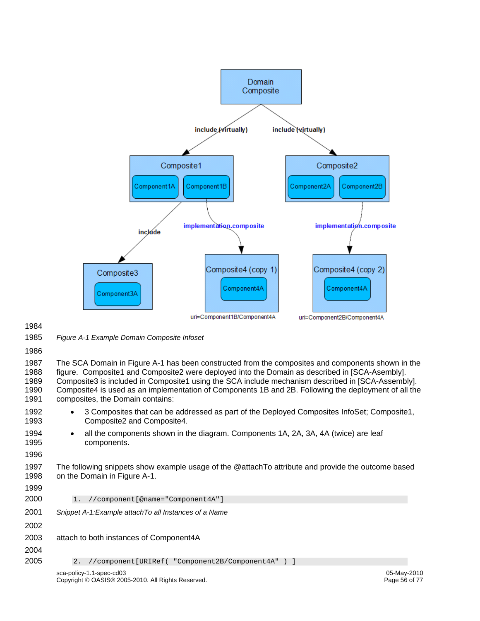

1984

1985 *Figure A-1 Example Domain Composite Infoset* 

1986

1987 The SCA Domain in Figure A-1 has been constructed from the composites and components shown in the 1988 figure. Composite1 and Composite2 were deployed into the Domain as described in [SCA-Asembly]. figure. Composite1 and Composite2 were deployed into the Domain as described in [SCA-Asembly]. 1989 Composite3 is included in Composite1 using the SCA include mechanism described in [SCA-Assembly]. 1990 Composite4 is used as an implementation of Components 1B and 2B. Following the deployment of all the 1991 composites, the Domain contains:

- 1992 3 Composites that can be addressed as part of the Deployed Composites InfoSet; Composite1, 1993 Composite2 and Composite4.
- 1994 all the components shown in the diagram. Components 1A, 2A, 3A, 4A (twice) are leaf 1995 components.
- 1996
- 1997 The following snippets show example usage of the @attachTo attribute and provide the outcome based 1998 on the Domain in Figure A-1.
- 1999

2000 1. //component[@name="Component4A"]

- 2001 *Snippet A-1:Example attachTo all Instances of a Name*
- 2002
- 2003 attach to both instances of Component4A 2004

```
2005 2. //component[URIRef( "Component2B/Component4A" ) ]
```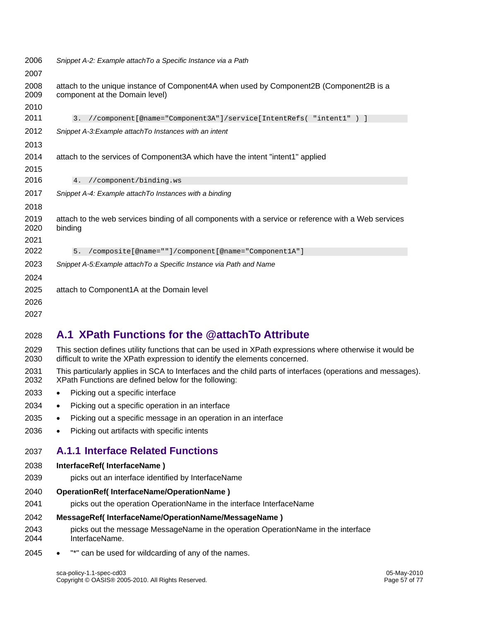| 2006         | Snippet A-2: Example attachTo a Specific Instance via a Path                                                              |
|--------------|---------------------------------------------------------------------------------------------------------------------------|
| 2007         |                                                                                                                           |
| 2008<br>2009 | attach to the unique instance of Component4A when used by Component2B (Component2B is a<br>component at the Domain level) |
| 2010         |                                                                                                                           |
| 2011         | //component[@name="Component3A"]/service[IntentRefs( "intent1" ) ]<br>3.                                                  |
| 2012         | Snippet A-3: Example attach To Instances with an intent                                                                   |
| 2013         |                                                                                                                           |
| 2014         | attach to the services of Component3A which have the intent "intent1" applied                                             |
| 2015         |                                                                                                                           |
| 2016         | //component/binding.ws<br>4.                                                                                              |
| 2017         | Snippet A-4: Example attachTo Instances with a binding                                                                    |
| 2018         |                                                                                                                           |
| 2019<br>2020 | attach to the web services binding of all components with a service or reference with a Web services<br>binding           |
| 2021         |                                                                                                                           |
| 2022         | 5.<br>/composite[@name=""]/component[@name="Component1A"]                                                                 |
| 2023         | Snippet A-5: Example attach To a Specific Instance via Path and Name                                                      |
| 2024         |                                                                                                                           |
| 2025         | attach to Component1A at the Domain level                                                                                 |
| 2026         |                                                                                                                           |
| 2027         |                                                                                                                           |

## 2028 **A.1 XPath Functions for the @attachTo Attribute**

2029 This section defines utility functions that can be used in XPath expressions where otherwise it would be <br>2030 difficult to write the XPath expression to identify the elements concerned. difficult to write the XPath expression to identify the elements concerned.

- 2031 This particularly applies in SCA to Interfaces and the child parts of interfaces (operations and messages).<br>2032 XPath Functions are defined below for the following: XPath Functions are defined below for the following:
- 2033 Picking out a specific interface
- 2034 Picking out a specific operation in an interface
- 2035 Picking out a specific message in an operation in an interface
- 2036 Picking out artifacts with specific intents

#### 2037 **A.1.1 Interface Related Functions**

#### 2038 **InterfaceRef( InterfaceName )**

- 2039 picks out an interface identified by InterfaceName
- 2040 **OperationRef( InterfaceName/OperationName )**
- 2041 picks out the operation OperationName in the interface InterfaceName

#### 2042 **MessageRef( InterfaceName/OperationName/MessageName )**

- 2043 picks out the message MessageName in the operation OperationName in the interface 2044 InterfaceName.
- 2045 "\*" can be used for wildcarding of any of the names.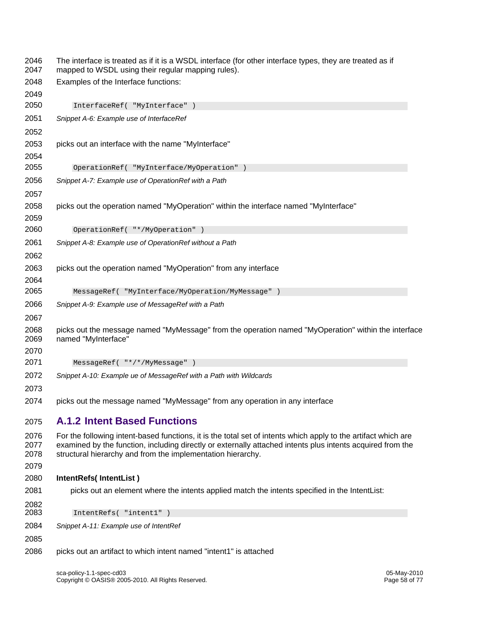| 2046<br>2047 | The interface is treated as if it is a WSDL interface (for other interface types, they are treated as if<br>mapped to WSDL using their regular mapping rules).            |
|--------------|---------------------------------------------------------------------------------------------------------------------------------------------------------------------------|
| 2048         | Examples of the Interface functions:                                                                                                                                      |
| 2049         |                                                                                                                                                                           |
| 2050         | InterfaceRef( "MyInterface" )                                                                                                                                             |
| 2051         | Snippet A-6: Example use of InterfaceRef                                                                                                                                  |
| 2052         |                                                                                                                                                                           |
| 2053<br>2054 | picks out an interface with the name "MyInterface"                                                                                                                        |
| 2055         | OperationRef( "MyInterface/MyOperation" )                                                                                                                                 |
| 2056         | Snippet A-7: Example use of OperationRef with a Path                                                                                                                      |
| 2057         |                                                                                                                                                                           |
| 2058         | picks out the operation named "MyOperation" within the interface named "MyInterface"                                                                                      |
| 2059         |                                                                                                                                                                           |
| 2060         | OperationRef( "*/MyOperation" )                                                                                                                                           |
| 2061         | Snippet A-8: Example use of OperationRef without a Path                                                                                                                   |
| 2062         |                                                                                                                                                                           |
| 2063         | picks out the operation named "MyOperation" from any interface                                                                                                            |
| 2064         |                                                                                                                                                                           |
| 2065         | MessageRef( "MyInterface/MyOperation/MyMessage" )                                                                                                                         |
| 2066         | Snippet A-9: Example use of MessageRef with a Path                                                                                                                        |
| 2067         |                                                                                                                                                                           |
| 2068<br>2069 | picks out the message named "MyMessage" from the operation named "MyOperation" within the interface<br>named "MyInterface"                                                |
| 2070         |                                                                                                                                                                           |
| 2071         | MessageRef( "*/*/MyMessage" )                                                                                                                                             |
| 2072         | Snippet A-10: Example ue of MessageRef with a Path with Wildcards                                                                                                         |
| 2073         |                                                                                                                                                                           |
| 2074         | picks out the message named "MyMessage" from any operation in any interface                                                                                               |
| 2075         | <b>A.1.2 Intent Based Functions</b>                                                                                                                                       |
| 2076         | For the following intent-based functions, it is the total set of intents which apply to the artifact which are                                                            |
| 2077<br>2078 | examined by the function, including directly or externally attached intents plus intents acquired from the<br>structural hierarchy and from the implementation hierarchy. |
| 2079         |                                                                                                                                                                           |
| 2080         | IntentRefs(IntentList)                                                                                                                                                    |
| 2081         | picks out an element where the intents applied match the intents specified in the IntentList:                                                                             |
| 2082         |                                                                                                                                                                           |
| 2083         | IntentRefs( "intent1" )                                                                                                                                                   |
| 2084         | Snippet A-11: Example use of IntentRef                                                                                                                                    |
| 2085         |                                                                                                                                                                           |
| 2086         | picks out an artifact to which intent named "intent1" is attached                                                                                                         |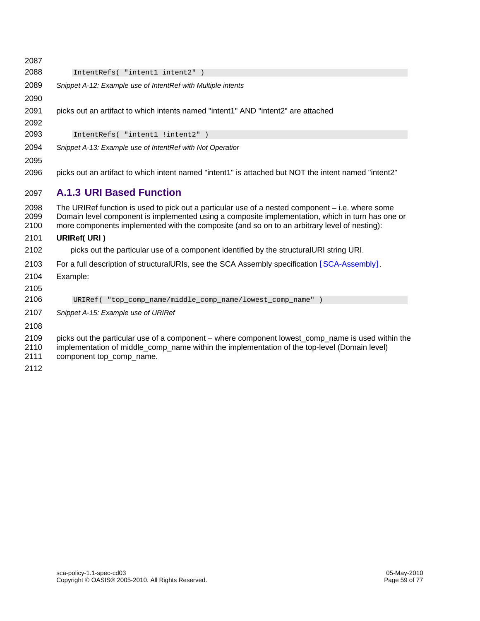| 2087                 |                                                                                                                                                                                                                                                                                                        |
|----------------------|--------------------------------------------------------------------------------------------------------------------------------------------------------------------------------------------------------------------------------------------------------------------------------------------------------|
| 2088                 | IntentRefs( "intent1 intent2")                                                                                                                                                                                                                                                                         |
| 2089                 | Snippet A-12: Example use of IntentRef with Multiple intents                                                                                                                                                                                                                                           |
| 2090                 |                                                                                                                                                                                                                                                                                                        |
| 2091<br>2092         | picks out an artifact to which intents named "intent1" AND "intent2" are attached                                                                                                                                                                                                                      |
| 2093                 | IntentRefs( "intent1 !intent2" )                                                                                                                                                                                                                                                                       |
| 2094                 | Snippet A-13: Example use of IntentRef with Not Operatior                                                                                                                                                                                                                                              |
| 2095                 |                                                                                                                                                                                                                                                                                                        |
| 2096                 | picks out an artifact to which intent named "intent1" is attached but NOT the intent named "intent2"                                                                                                                                                                                                   |
| 2097                 | <b>A.1.3 URI Based Function</b>                                                                                                                                                                                                                                                                        |
| 2098<br>2099<br>2100 | The URIRef function is used to pick out a particular use of a nested component $-$ i.e. where some<br>Domain level component is implemented using a composite implementation, which in turn has one or<br>more components implemented with the composite (and so on to an arbitrary level of nesting): |
| 2101                 | <b>URIRef( URI )</b>                                                                                                                                                                                                                                                                                   |
| 2102                 | picks out the particular use of a component identified by the structural URI string URI.                                                                                                                                                                                                               |
| 2103                 | For a full description of structuralURIs, see the SCA Assembly specification [SCA-Assembly].                                                                                                                                                                                                           |
| 2104                 | Example:                                                                                                                                                                                                                                                                                               |
| 2105                 |                                                                                                                                                                                                                                                                                                        |
| 2106                 | URIRef ( "top_comp_name/middle_comp_name/lowest_comp_name" )                                                                                                                                                                                                                                           |
| 2107                 | Snippet A-15: Example use of URIRef                                                                                                                                                                                                                                                                    |
| 2108                 |                                                                                                                                                                                                                                                                                                        |
| 2109<br>2110<br>2111 | picks out the particular use of a component – where component lowest_comp_name is used within the<br>implementation of middle_comp_name within the implementation of the top-level (Domain level)<br>component top_comp_name.                                                                          |
| 2112                 |                                                                                                                                                                                                                                                                                                        |

2112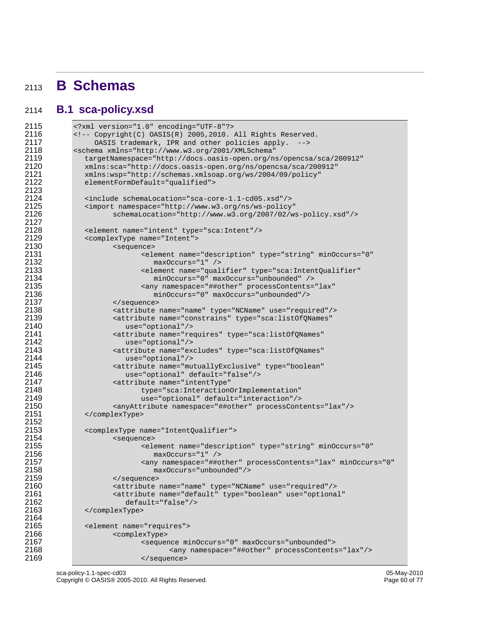## <sup>2113</sup>**B Schemas**

#### 2114 **B.1 sca-policy.xsd**

```
2115 <?xml version="1.0" encoding="UTF-8"?><br>2116 <!-- Copyright(C) OASIS(R) 2005,2010.
2116 \leq -- Copyright(C) OASIS(R) 2005, 2010. All Rights Reserved.<br>2117 OASIS trademark, IPR and other policies apply. -->
2117 OASIS trademark, IPR and other policies apply.<br>2118 Schema xmlns="http://www.w3.org/2001/XMLSchema"
2118 < schema xmlns="http://www.w3.org/2001/XMLSchema"<br>2119 targetNamespace="http://docs.oasis-open.org/na
2119 targetNamespace="http://docs.oasis-open.org/ns/opencsa/sca/200912"<br>2120 mmlns:sca="http://docs.oasis-open.org/ns/opencsa/sca/200912"
2120 xmlns:sca="http://docs.oasis-open.org/ns/opencsa/sca/200912"<br>2121 xmlns:wsp="http://schemas.xmlsoap.org/ws/2004/09/policy"
2121 xmlns:wsp="http://schemas.xmlsoap.org/ws/2004/09/policy"<br>2122 elementFormDefault="qualified">
                elementFormDefault="qualified">
2123 
2124 <include schemaLocation="sca-core-1.1-cd05.xsd"/><br>2125 <import namespace="http://www.w3.org/ns/ws-policy
2125 <import namespace="http://www.w3.org/ns/ws-policy"<br>
2126 schemaLocation="http://www.w3.org/2007/02/w
                       2126 schemaLocation="http://www.w3.org/2007/02/ws-policy.xsd"/> 
2127<br>2128
2128 <element name="intent" type="sca:Intent"/><br>2129 <complexType name="Intent">
2129 <complexType name="Intent"><br>2130 <sequence>
2130 <sequence> 
2131 <element name="description" type="string" minOccurs="0"<br>2132 maxOccurs="1" />
2132 maxOccurs="1" /> 
2133 element name="qualifier" type="sca:IntentQualifier"<br>2134 minOccurs="0" maxOccurs="unbounded" />
2134 minOccurs="0" maxOccurs="unbounded" /> 
2135 <any namespace="##other" processContents="lax" 
2136 minOccurs="0" maxOccurs="unbounded"/> 
2137 </sequence> 
2138 <attribute name="name" type="NCName" use="required"/><br>2139 <attribute name="constrains" type="sca:listOfQNames"
2139 <attribute name="constrains" type="sca:listOfQNames" 
2140 use="optional"/> 
2141 <attribute name="requires" type="sca:listOfQNames"<br>2142 vise="optional"/>
2142 use="optional"/> 
2143 <attribute name="excludes" type="sca:listOfQNames"<br>2144 use="optional"/>
2144 use="optional"/> 
2145 - attribute name="mutuallyExclusive" type="boolean"<br>2146 - use="optional" default="false"/>
2146 use="optional" default="false"/> 
2147 <attribute name="intentType" 
2148 type="sca:InteractionOrImplementation" 
2149 use="optional" default="interaction"/> 
2150 <anyAttribute namespace="##other" processContents="lax"/><br>2151 </complexType>
                2151 </complexType> 
2152 
2153 <complexType name="IntentQualifier"><br>2154 <sequence>
2154 <sequence> 
2155 <element name="description" type="string" minOccurs="0"<br>2156 maxOccurs="1" />
2156 maxOccurs="1" /> 
2157 \leq \leq \leq \leq \leq \leq \leq \leq \leq \leq \leq \leq \leq \leq \leq \leq \leq \leq \leq \leq \leq \leq \leq \leq \leq \leq \leq \leq \leq \leq \leq \leq \leq \leq \leq \leq 2158 maxOccurs="unbounded"/> 
2159 </sequence> 
                        2160 <attribute name="name" type="NCName" use="required"/> 
2161 <attribute name="default" type="boolean" use="optional" 
2162 default="false"/><br>2163 </complexType>
                2163 </complexType> 
2164 
2165 <element name="requires"><br>2166 <complexType>
2166 <complexType><br>2167 <complexType>
2167 <sequence minOccurs="0" maxOccurs="unbounded"> 
2168 \langleany namespace="##other" processContents="lax"/><br>2169 \langle/sequence>
                               </sequence>
```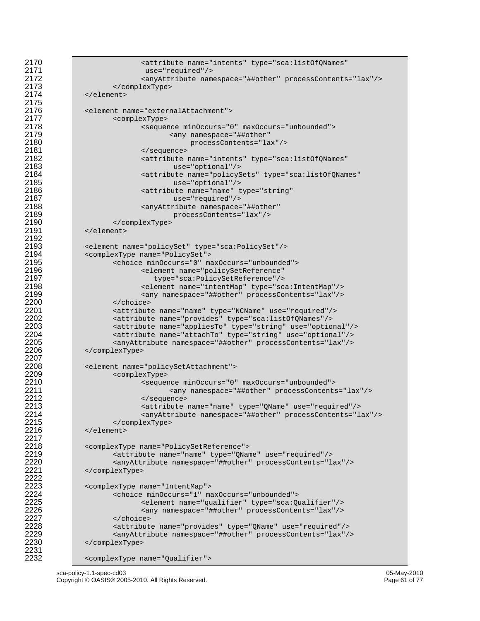```
2170 \leq - \leq \leq \leq \leq \leq \leq \leq \leq \leq \leq \leq \leq \leq \leq \leq \leq \leq \leq \leq \leq \leq \leq \leq \leq \leq \leq \leq \leq \leq \leq \leq \leq \leq \leq \leq2171 use="required"/> 
2172 <anyAttribute namespace="##other" processContents="lax"/><br>2173 </complexType>
2173 </complexType><br>2174 </clement>
             </element>
2176 <element name="externalAttachment"><br>2177 <complexType>
2177 <complexType> 
2178 <sequence minOccurs="0" maxOccurs="unbounded"> 
2179 <any namespace="##other"<br>2180 \gamma processContents="la
2180 processContents="lax"/> 
2181 </sequence> 
2182 <attribute name="intents" type="sca:listOfQNames" 
2183 use="optional"/> 
2184 <attribute name="policySets" type="sca:listOfQNames" 
2185 use="optional"/> 
2186 \le - attribute name="name" type="string"<br>2187 use="required*/>2187 use="required"/> 
2188 <anyAttribute namespace="##other"<br>2189 processContents="lax"/>
2189 processContents="lax"/><br>2190 </complexType>
2190 </complexType><br>2191 </clement>
             2191 </element> 
2193 <element name="policySet" type="sca:PolicySet"/><br>2194 <complexType name="PolicySet">
2194 <complexType name="PolicySet"><br>2195 <choice minOccurs="0" ma
2195 <choice minOccurs="0" maxOccurs="unbounded"> 
2196 <element name="policySetReference"<br>2197 type="sca:PolicySetReference"/>
2197 type="sca:PolicySetReference"/> 
2198 <element name="intentMap" type="sca:IntentMap"/> 
2199 <any namespace="##other" processContents="lax"/><br>2200 </choice>
2200 </choice> 
2201 <attribute name="name" type="NCName" use="required"/><br>2202 <attribute name="provides" type="sca:listOfQNames"/>
2202 <attribute name="provides" type="sca:listOfQNames"/> 
2203 <attribute name="appliesTo" type="string" use="optional"/> 
2204 <attribute name="attachTo" type="string" use="optional"/> 
2205 <anyAttribute namespace="##other" processContents="lax"/> 
             2206 </complexType> 
2208 <element name="policySetAttachment"><br>2209 <complexType>
2209 <complexType> 
2210 <sequence minOccurs="0" maxOccurs="unbounded"> 
2211 <any namespace="##other" processContents="lax"/> 
2212 </sequence> 
2213 <attribute name="name" type="QName" use="required"/> 
2214 <anyAttribute namespace="##other" processContents="lax"/><br>2215 </complexType>
2215 </complexType><br>2216 </clement>
             </element>
2218 <complexType name="PolicySetReference"><br>2219 <complexType name="name" type="OName="0.
2219 <attribute name="name" type="QName" use="required"/> 
2220 <anyAttribute namespace="##other" processContents="lax"/> 
             2221 </complexType> 
2223 <complexType name="IntentMap"><br>2224 <choice minOccurs="1" ma
2224 <choice minOccurs="1" maxOccurs="unbounded"> 
2225 <element name="qualifier" type="sca:Qualifier"/> 
2226 <any namespace="##other" processContents="lax"/> 
2227 </choice> 
2228 <attribute name="provides" type="QName" use="required"/> 
2229 <anyAttribute namespace="##other" processContents="lax"/> 
             2230 </complexType>
```

```
<complexType name="Qualifier">
```
2175<br>2176

2192<br>2193

2207<br>2208

2217<br>2218

2222<br>2223

2231<br>2232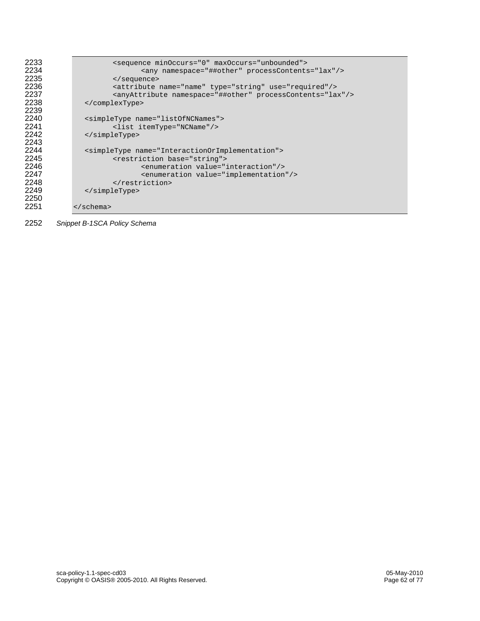```
2233 <sequence minOccurs="0" maxOccurs="unbounded"> 
2234 <any namespace="##other" processContents="lax"/><br>2235 </sequence>
2235 </sequence><br>2236 <attribute
2236 <attribute name="name" type="string" use="required"/><br>2237 <anyAttribute namespace="##other" processContents="la
2237 <anyAttribute namespace="##other" processContents="lax"/><br>2238 </complexType>
                2238 </complexType> 
2239<br>2240
2240 <simpleType name="listOfNCNames"><br>2241 <list_itemType="NCName"/>
2241 <list itemType="NCName"/><br>2242 </simpleType>
                2242 </simpleType> 
2243<br>2244
2244 <simpleType name="InteractionOrImplementation"><br>2245 <restriction base="string">
2245 <restriction base="string"> 
2246 <enumeration value="interaction"/> 
2247 <enumeration value="implementation"/><br>2248 </restriction>
2248 </restriction><br>2249 </simpleType>
                2249 </simpleType> 
2250<br>2251
             </schema>
```
2252 *Snippet B-1SCA Policy Schema*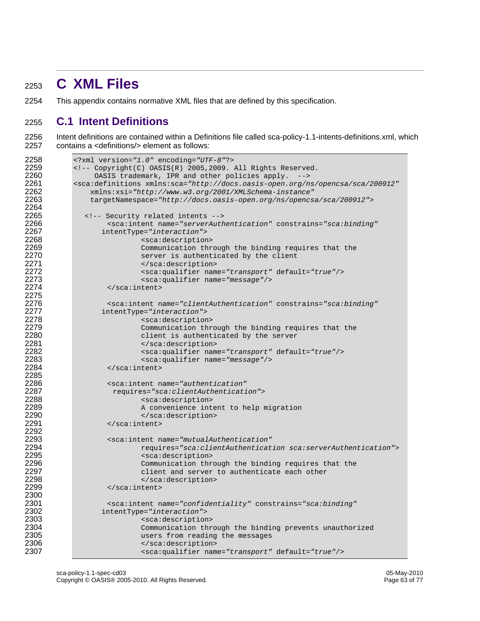# <sup>2253</sup>**C XML Files**

2254 This appendix contains normative XML files that are defined by this specification.

#### 2255 **C.1 Intent Definitions**

2256 Intent definitions are contained within a Definitions file called sca-policy-1.1-intents-definitions.xml, which 2257 contains a <definitions/> element as follows:

```
2258 <?xml version="1.0" encoding="UTF-8"?> 
2259 \leq -- Copyright(C) OASIS(R) 2005, 2009. All Rights Reserved.<br>2260 OASIS trademark, IPR and other policies apply. -->
2260 OASIS trademark, IPR and other policies apply. --> 2261 seca:definitions xmlns:sca="http://docs.oasis-open.org/n
2261 <sca:definitions xmlns:sca="http://docs.oasis-open.org/ns/opencsa/sca/200912"
2262 xmlns:xsi="http://www.w3.org/2001/XMLSchema-instance"
                2263 targetNamespace="http://docs.oasis-open.org/ns/opencsa/sca/200912"> 
2264<br>2265
2265 <!-- Security related intents --><br>2266 <sca:intent name="serverAuth
2266 <br>
2267 EXECRYPE-TIME-TIME-TIME-TIME-SERVERIAL CONSTRAINS-"SCA:binding"<br>
2267 <b>CONSTRAIN
2267 intentType="interaction"> 
2268 <sca:description><br>2269 <communication thr
2269 Communication through the binding requires that the 2270 Communication through the binding requires that the
2270 server is authenticated by the client<br>2271 server is authenticated by the client
2271 </sca:description> 
2272 <sca:qualifier name="transport" default="true"/><br>2273 <sca:qualifier name="message"/>
2273 <sca:qualifier name="message"/><br>2274 </sca:intent>
                     2274 </sca:intent> 
2275 
2276 <sca:intent name="clientAuthentication" constrains="sca:binding"<br>2277 intentType="interaction">
2277 intentType="interaction"> 
2278 <sca:description> 
2279 Communication through the binding requires that the 2280
2280 client is authenticated by the server<br>2281 client is authenticated by the server
2281 </sca:description> 
2282 <sca:qualifier name="transport" default="true"/><br>2283 <sca:qualifier name="message"/>
2283 <sca:qualifier name="message"/><br>2284 </sca:intent>
                     </sca:intent>
2285<br>2286
2286 <sca:intent name="authentication" 
2287 requires="sca:clientAuthentication"> 
2288 <sca:description> 
2289 A convenience intent to help migration<br>2290 <br>2290 <br>2290
2290 </sca:description><br>2291 </sca:intent>
                     </sca:intent>
2292<br>2293
2293 <sca:intent name="mutualAuthentication"
2294 requires="sca:clientAuthentication sca:serverAuthentication"> 
2295 <sca:description> 
2296 Communication through the binding requires that the 2297 Communication through the binding requires that the
2297 client and server to authenticate each other<br>2298 c/sca:description>
2298 </sca:description><br>2299 </sca:intent>
                     2299 </sca:intent> 
2300<br>2301
2301 <sca:intent name="confidentiality" constrains="sca:binding"<br>2302 intentType="interaction">
2302 intentType="interaction"> 
2303 <sca:description><br>2304 - Communication thr
2304 Communication through the binding prevents unauthorized<br>2305 Communication reading the messages
2305 users from reading the messages 
2306 </sca:description><br>2307 </sca:dualifier nam
                             2307 <sca:qualifier name="transport" default="true"/>
```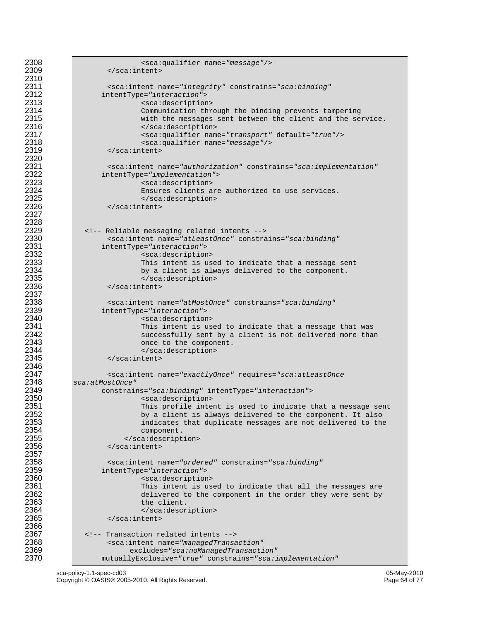```
2308 <sca:qualifier name="message"/><br>2309 </sca:intent>
                       2309 </sca:intent> 
2310 
2311 <sca:intent name="integrity" constrains="sca:binding"<br>2312 intentType="interaction">
2312 intentType="interaction"> 
2313 <sca:description><br>2314 Communication thr
2314 Communication through the binding prevents tampering 
2315 with the messages sent between the client and the service. 
2316 </sca:description> 
2317 > <sca:qualifier name="transport" default="true"/><br>2318 > <sca:qualifier name="message"/>
2318 <sca:qualifier name="message"/><br>2319 </sca:intent>
                       2319 </sca:intent> 
2320<br>2321
2321 <sca:intent name="authorization" constrains="sca:implementation"<br>2322 intentType="implementation">
2322 intentType="implementation"> 
2323 <sca:description> 
2324 Ensures clients are authorized to use services. 
2325 </sca:description><br>2326 </sca:intent>
                       2326 </sca:intent> 
2327 
2328<br>2329
2329 <!-- Reliable messaging related intents --><br>2330 <sca:intent name="atLeastOnce" constra
2330 <sca:intent name="atLeastOnce" constrains="sca:binding"<br>2331 intentType="interaction">
2331 intentType="interaction"> 
2332 <sca:description><br>2333 This intent is us
2333 2333 This intent is used to indicate that a message sent 2334
2334 by a client is always delivered to the component.<br>2335 c/sca:description>
2335 </sca:description><br>2336 </sca:intent>
                       2336 </sca:intent> 
2337<br>2338
2338 external to the set of the set of the set of the set of the set of the set of the set of the set of the s<br>2339 extinct intent type="interaction">
2339 intentType="interaction"> 
2340 esca:description><br>2341 estate de la proponent de la proponent de la proponent de la proponent de la proponent de la proponent<br>2341 de la proponent de la proponent de la proponent de la proponent de la proponent de la 
2341 This intent is used to indicate that a message that was<br>2342 Successfully sent by a client is not delivered more than
2342 successfully sent by a client is not delivered more than<br>2343 sent once to the component.
2343 once to the component. 
2344 </sca:description><br>2345 </sca:intent>
                       2345 </sca:intent> 
2346<br>2347
2347 <sca:intent name="exactlyOnce" requires="sca:atLeastOnce 
2348 sca:atMostOnce"
2349 constrains="sca:binding" intentType="interaction"> 
2350 <sca:description> 
2351 This profile intent is used to indicate that a message sent<br>2352 This profile intent is always delivered to the component. It also
2352 by a client is always delivered to the component. It also<br>2353                           indicates that duplicate messages are not delivered to the
2353 indicates that duplicate messages are not delivered to the<br>2354 component.
2354 component.<br>2355 </br/>
2355 </br/>
2355 </br/>
2355 </br/>
2355 </br/>
2355 </br/>
2355 </br/>
2355 </br/>
2355 </br/>
2355 </br/>
2355 </br/>
2355 </br/>
2355 </br/>
2355 </br/>
2355 </br/>
2355 </br/>
2355 </br/>
23
2355 </sca:description><br>2356 </sca:intent>
                       \langlesca:intent>
2357<br>2358
2358 <sca:intent name="ordered" constrains="sca:binding"<br>2359 intentType="interaction">
2359 intentType="interaction"> 
2360 <sca:description> 
2361 This intent is used to indicate that all the messages are<br>2362 delivered to the component in the order they were sent by
2362 delivered to the component in the order they were sent by<br>2363 the client.
2363 the client. 
2364 </sca:description><br>2365 </sca:intent>
                       2365 </sca:intent> 
2366<br>2367
2367 <!-- Transaction related intents --><br>2368 <sca:intent name="managedTransa
2368 <sca:intent name="managedTransaction" 
2369 excludes="sca:noManagedTransaction"
                     2370 mutuallyExclusive="true" constrains="sca:implementation"
```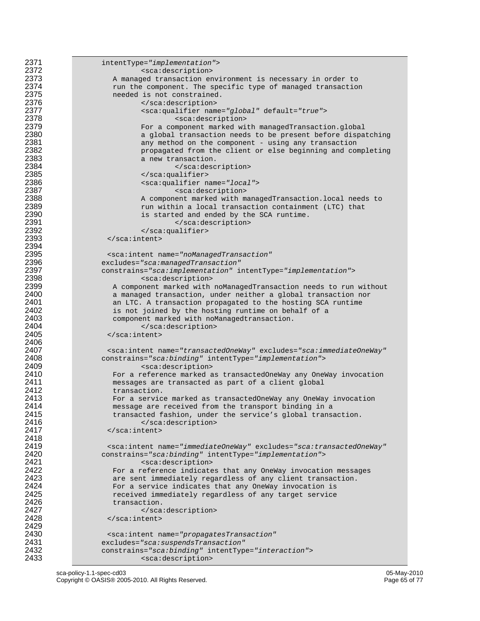```
2371 intentType="implementation"> 
2372 <sca:description><br>2373 A managed transaction en
2373 A managed transaction environment is necessary in order to<br>2374 Tun the component. The specific type of managed transaction
2374 change the component. The specific type of managed transaction<br>2375 changed the specific type of managed transaction
2375 1992 needed is not constrained.<br>2376 1992 - Alexander Strainer Strainer
2376 </sca:description> 
2377 <sca:qualifier name="global" default="true"> 
2378 <sca:description> 
2379 For a component marked with managedTransaction.global 2380<br>2380 Ann a global transaction needs to be present before dispa
2380 a global transaction needs to be present before dispatching<br>2381 any method on the component - using any transaction
2381 any method on the component - using any transaction<br>2382 and the client or else beginning and component of the client or else beginning and component
2382 propagated from the client or else beginning and completing<br>2383 propagated from the client or else beginning and completing
2383 a new transaction. 
2384 </sca:description><br>2385 </sca:description>
2385 </sca:qualifier><br>2386 </sca:qualifier name (sca:qualifier name (sca
2386 <sca:qualifier name="local"> 
2387 esca:description><br>2388 a component marked with m
2388 A component marked with managedTransaction.local needs to 
2389 1988 run within a local transaction containment (LTC) that 2390
2390 is started and ended by the SCA runtime. 
2391 </sca:description><br>2392 </sca:description>
2392 </sca:qualifier><br>2393 </sca:intent>
                       \langlesca:intent>
2394<br>2395
2395 <sca:intent name="noManagedTransaction" 
2396 excludes="sca:managedTransaction"
2397 constrains="sca:implementation" intentType="implementation"> 
2398 <sca:description><br>2399 <sca:description><br>2399 A component marked with
2399 A component marked with noManagedTransaction needs to run without<br>2400 a managed transaction, under neither a global transaction nor
2400 a managed transaction, under neither a global transaction nor 
2401 2401 an LTC. A transaction propagated to the hosting SCA runtime<br>2402 2402 is not joined by the hosting runtime on behalf of a
2402 is not joined by the hosting runtime on behalf of a<br>2403 component marked with noManagedtransaction.
2403 component marked with noManagedtransaction.<br>2404 </sca:description>
2404 </sca:description><br>2405 </sca:intent>
                       2405 </sca:intent> 
2406<br>2407
2407 <sca:intent name="transactedOneWay" excludes="sca:immediateOneWay"
2408 constrains="sca:binding" intentType="implementation"> 
2409 <sca:description><br>2410 > For a reference marked a
2410 For a reference marked as transactedOneWay any OneWay invocation<br>2411 The same same transacted as part of a client global
2411 messages are transacted as part of a client global 
2412 transaction.<br>2413 For a servic
2413 For a service marked as transactedOneWay any OneWay invocation<br>2414 message are received from the transport binding in a
2414 120 message are received from the transport binding in a<br>2415 120 message are received fashion, under the service's global transe
2415 transacted fashion, under the service's global transaction.<br>2416 (sca:description>
2416 </sca:description><br>2417 </sca:intent>
                       </sca:intent>
2418<br>2419
2419 \leqsca:intent name="immediateOneWay" excludes="sca:transactedOneWay"<br>2420 constrains="sca:binding" intentType="implementation">
2420 constrains="sca:binding" intentType="implementation"> 
2421 <sca:description> 
2422 Example 12 For a reference indicates that any OneWay invocation messages<br>2423 Property are sent immediately regardless of any client transaction.
2423 are sent immediately regardless of any client transaction.<br>2424 belogy of the service indicates that any OneWay invocation is
2424 1983 For a service indicates that any OneWay invocation is<br>2425 Property and Service immediately regardless of any target service
2425 received immediately regardless of any target service<br>2426 reading transaction.
2426 transaction.<br>2427 </sca
2427 </sca:description><br>2428 </sca:intent>
                       \langle sca:intent>
2429<br>2430
2430 <sca:intent name="propagatesTransaction" 
2431 excludes="sca:suspendsTransaction"
2432 constrains="sca:binding" intentType="interaction"> 
                                 <sca:description>
```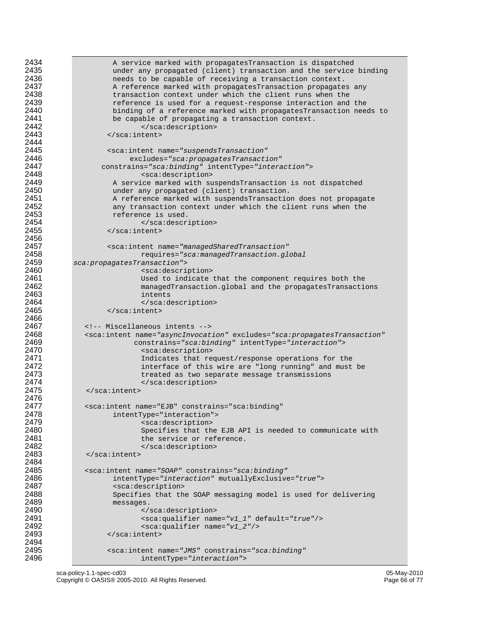```
2434 A service marked with propagatesTransaction is dispatched<br>2435 A service marked (client) transaction and the service
2435 under any propagated (client) transaction and the service binding 
2436 120 needs to be capable of receiving a transaction context.<br>2437 120 A reference marked with propagatesTransaction propagate
2437 A reference marked with propagatesTransaction propagates any 
2438 transaction context under which the client runs when the<br>2439 the example of the context request-response interaction and
2439 2439 reference is used for a request-response interaction and the 2440
2440 binding of a reference marked with propagatesTransaction needs to<br>2441 be capable of propagating a transaction context.
2441 be capable of propagating a transaction context. 
2442 </sca:description><br>2443 </sca:intent>
                      2443 </sca:intent> 
2444<br>2445
2445 <sca:intent name="suspendsTransaction" 
2446 excludes="sca:propagatesTransaction"
2447 constrains="sca:binding" intentType="interaction"> 
2448 <sca:description> 
2449 A service marked with suspendsTransaction is not dispatched<br>2450                      under any propagated (client) transaction.
2450 120 under any propagated (client) transaction.<br>2451 120 2451 2451 2451 2451 2451 2451 25
2451 A reference marked with suspendsTransaction does not propagate 
2452 any transaction context under which the client runs when the 2453
2453 reference is used.<br>2454 </a> />
2454 </a></a>
2454 </a></a>
2455 </a>
2455 </a>
2456 </a>
2456 </a>
2456 </a>
2456 </a>
2456 </a>
2456 </a>
2456 </a>
2456 </a>
2456 </a>
2456 </a>
2456 </a>
2456 </a</a>
2456 </a>
2456
2454 </sca:description><br>2455 </sca:intent>
                      \langle/sca:intent>
2456<br>2457
2457 <sca:intent name="managedSharedTransaction"
2458 requires="sca:managedTransaction.global 
2459 sca:propagatesTransaction"> 
2460 <sca:description> 
2461 Used to indicate that the component requires both the 
2462 managedTransaction.global and the propagatesTransactions<br>2463 managedTransaction.global and the propagatesTransactions
2463 intents 
2464 </sca:description><br>2465 </sca:intent>
                      </sca:intent>
2466 
2467 <!-- Miscellaneous intents --><br>2468 <sca:intent name="asyncInvocat
2468 \leq \leq \leq \leq \leq \leq \leq \leq \leq \leq \leq \leq \leq \leq \leq \leq \leq \leq \leq \leq \leq \leq \leq \leq \leq \leq \leq \leq \leq \leq \leq \leq \leq \leq \leq \leq 2469 constrains="sca:binding" intentType="interaction"> 
2470 <sca:description><br>2471 The Indicates that results
2471 120 Indicates that request/response operations for the 2472 121 minute interface of this wire are "long running" and must
2472 122 interface of this wire are "long running" and must be 2473
2473 treated as two separate message transmissions<br>2474 \langle/sca:description>
2474 </sca:description><br>2475 </sca:intent>
                \langlesca:intent>
2476<br>2477
2477 <sca:intent name="EJB" constrains="sca:binding" 
2478 intentType="interaction"> 
2479 esca:description><br>2480 esca:description><br>2480 specifies that the
2480 Specifies that the EJB API is needed to communicate with<br>2481 Service or reference.
2481 the service or reference.<br>2482 \leq/sca:description>
2482 </sca:description><br>2483 </sca:intent>
                2483 </sca:intent> 
2484<br>2485
2485 <sca:intent name="SOAP" constrains="sca:binding" 
2486 intentType="interaction" mutuallyExclusive="true"> 
2487 <sca:description> 
2488 Specifies that the SOAP messaging model is used for delivering<br>2489 Sheessages.
2489 messages. 
2490 </sca:description> 
2491 <sca:qualifier name="v1_1" default="true"/> 
2492 <sca:qualifier name="v1_2"/><br>2493 </sca:intent>
                      2493 </sca:intent> 
2494<br>2495
2495 <sca:intent name="JMS" constrains="sca:binding" 
                               2496 intentType="interaction">
```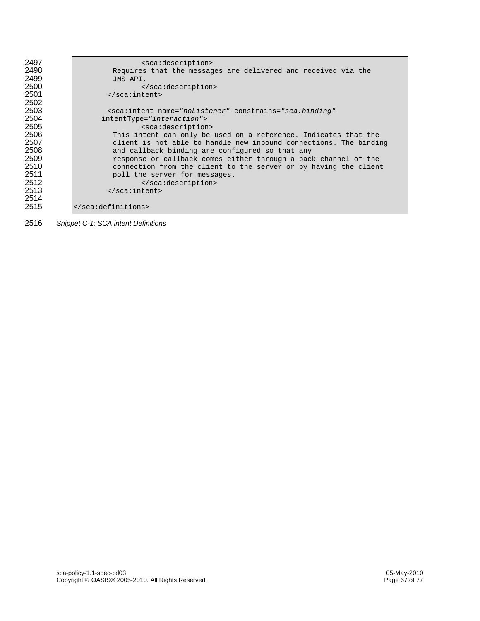| 2497 | <sca:description></sca:description>                                             |
|------|---------------------------------------------------------------------------------|
| 2498 | Requires that the messages are delivered and received via the                   |
| 2499 | JMS API.                                                                        |
| 2500 |                                                                                 |
| 2501 | $\langle$ sca: intent>                                                          |
| 2502 |                                                                                 |
| 2503 | <sca:intent <="" constrains="sca:binding" name="noListener" th=""></sca:intent> |
| 2504 | intentType="interaction">                                                       |
| 2505 | <sca:description></sca:description>                                             |
| 2506 | This intent can only be used on a reference. Indicates that the                 |
| 2507 | client is not able to handle new inbound connections. The binding               |
| 2508 | and callback binding are configured so that any                                 |
| 2509 | response or callback comes either through a back channel of the                 |
| 2510 | connection from the client to the server or by having the client                |
| 2511 | poll the server for messages.                                                   |
| 2512 |                                                                                 |
| 2513 | $\langle$ /sca:intent>                                                          |
| 2514 |                                                                                 |
| 2515 |                                                                                 |

*Snippet C-1: SCA intent Definitions*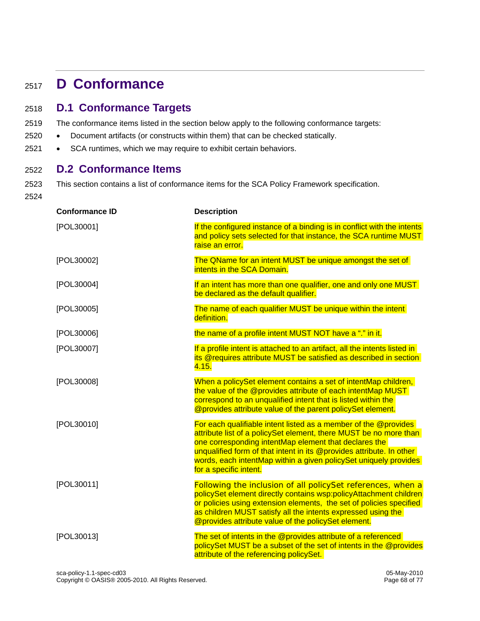## <sup>2517</sup>**D Conformance**

#### 2518 **D.1 Conformance Targets**

- 2519 The conformance items listed in the section below apply to the following conformance targets:
- 2520 Document artifacts (or constructs within them) that can be checked statically.
- 2521 SCA runtimes, which we may require to exhibit certain behaviors.

#### 2522 **D.2 Conformance Items**

2523 This section contains a list of conformance items for the SCA Policy Framework specification.

2524

| <b>Conformance ID</b> | <b>Description</b>                                                                                                                                                                                                                                                                                                                                                  |
|-----------------------|---------------------------------------------------------------------------------------------------------------------------------------------------------------------------------------------------------------------------------------------------------------------------------------------------------------------------------------------------------------------|
| [POL30001]            | If the configured instance of a binding is in conflict with the intents<br>and policy sets selected for that instance, the SCA runtime MUST<br>raise an error.                                                                                                                                                                                                      |
| [POL30002]            | The QName for an intent MUST be unique amongst the set of<br>intents in the SCA Domain.                                                                                                                                                                                                                                                                             |
| [POL30004]            | If an intent has more than one qualifier, one and only one MUST<br>be declared as the default qualifier.                                                                                                                                                                                                                                                            |
| [POL30005]            | The name of each qualifier MUST be unique within the intent<br>definition.                                                                                                                                                                                                                                                                                          |
| [POL30006]            | the name of a profile intent MUST NOT have a "." in it.                                                                                                                                                                                                                                                                                                             |
| [POL30007]            | If a profile intent is attached to an artifact, all the intents listed in<br>its @requires attribute MUST be satisfied as described in section<br>4.15.                                                                                                                                                                                                             |
| [POL30008]            | When a policySet element contains a set of intentMap children,<br>the value of the @provides attribute of each intentMap MUST<br>correspond to an unqualified intent that is listed within the<br>@provides attribute value of the parent policySet element.                                                                                                        |
| [POL30010]            | For each qualifiable intent listed as a member of the @provides<br>attribute list of a policySet element, there MUST be no more than<br>one corresponding intentMap element that declares the<br>unqualified form of that intent in its @provides attribute. In other<br>words, each intentMap within a given policySet uniquely provides<br>for a specific intent. |
| [POL30011]            | Following the inclusion of all policySet references, when a<br>policySet element directly contains wsp:policyAttachment children<br>or policies using extension elements, the set of policies specified<br>as children MUST satisfy all the intents expressed using the<br>@provides attribute value of the policySet element.                                      |
| [POL30013]            | The set of intents in the @provides attribute of a referenced<br>policySet MUST be a subset of the set of intents in the @provides<br>attribute of the referencing policySet.                                                                                                                                                                                       |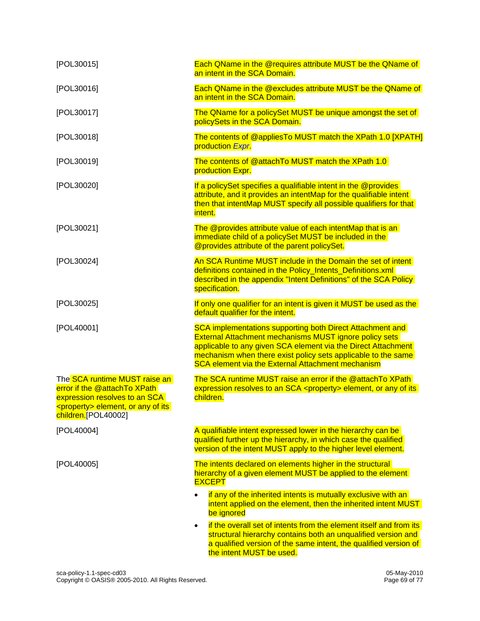| [POL30015]                                                                                                                                                             | Each QName in the @requires attribute MUST be the QName of<br>an intent in the SCA Domain.                                                                                                                                                                                                                               |
|------------------------------------------------------------------------------------------------------------------------------------------------------------------------|--------------------------------------------------------------------------------------------------------------------------------------------------------------------------------------------------------------------------------------------------------------------------------------------------------------------------|
| [POL30016]                                                                                                                                                             | Each QName in the @excludes attribute MUST be the QName of<br>an intent in the SCA Domain.                                                                                                                                                                                                                               |
| [POL30017]                                                                                                                                                             | The QName for a policySet MUST be unique amongst the set of<br>policySets in the SCA Domain.                                                                                                                                                                                                                             |
| [POL30018]                                                                                                                                                             | The contents of @appliesTo MUST match the XPath 1.0 [XPATH]<br>production Expr.                                                                                                                                                                                                                                          |
| [POL30019]                                                                                                                                                             | The contents of @attachTo MUST match the XPath 1.0<br>production Expr.                                                                                                                                                                                                                                                   |
| [POL30020]                                                                                                                                                             | If a policySet specifies a qualifiable intent in the @provides<br>attribute, and it provides an intentMap for the qualifiable intent<br>then that intentMap MUST specify all possible qualifiers for that<br>intent.                                                                                                     |
| [POL30021]                                                                                                                                                             | The @provides attribute value of each intentMap that is an<br>immediate child of a policySet MUST be included in the<br>@provides attribute of the parent policySet.                                                                                                                                                     |
| [POL30024]                                                                                                                                                             | An SCA Runtime MUST include in the Domain the set of intent<br>definitions contained in the Policy Intents Definitions.xml<br>described in the appendix "Intent Definitions" of the SCA Policy<br>specification.                                                                                                         |
| [POL30025]                                                                                                                                                             | If only one qualifier for an intent is given it MUST be used as the<br>default qualifier for the intent.                                                                                                                                                                                                                 |
| [POL40001]                                                                                                                                                             | SCA implementations supporting both Direct Attachment and<br><b>External Attachment mechanisms MUST ignore policy sets</b><br>applicable to any given SCA element via the Direct Attachment<br>mechanism when there exist policy sets applicable to the same<br><b>SCA element via the External Attachment mechanism</b> |
| The SCA runtime MUST raise an<br>error if the @attachTo XPath<br>expression resolves to an SCA<br><property> element, or any of its<br/>children.[POL40002]</property> | The SCA runtime MUST raise an error if the @attachTo XPath<br>expression resolves to an SCA <property> element, or any of its<br/>children.</property>                                                                                                                                                                   |
| [POL40004]                                                                                                                                                             | A qualifiable intent expressed lower in the hierarchy can be<br>qualified further up the hierarchy, in which case the qualified<br>version of the intent MUST apply to the higher level element.                                                                                                                         |
| [POL40005]                                                                                                                                                             | The intents declared on elements higher in the structural<br>hierarchy of a given element MUST be applied to the element<br><b>EXCEPT</b>                                                                                                                                                                                |
|                                                                                                                                                                        | if any of the inherited intents is mutually exclusive with an<br>intent applied on the element, then the inherited intent MUST<br>be ignored                                                                                                                                                                             |
|                                                                                                                                                                        | if the overall set of intents from the element itself and from its<br>structural hierarchy contains both an unqualified version and<br>a qualified version of the same intent, the qualified version of<br>the intent MUST be used.                                                                                      |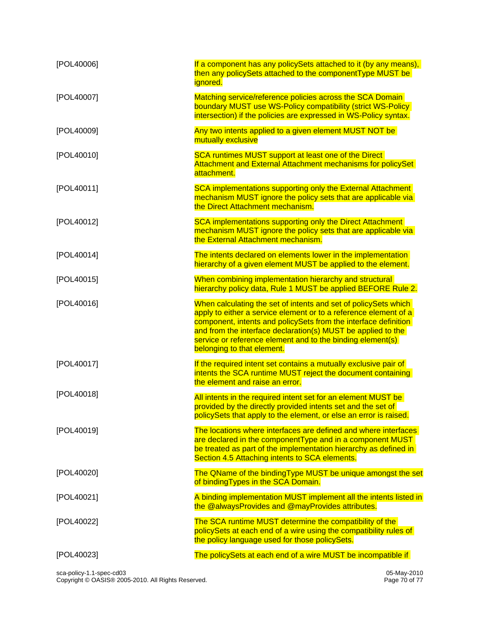| [POL40006] | If a component has any policySets attached to it (by any means),<br>then any policySets attached to the componentType MUST be<br><i>ignored.</i>                                                                                                                                                                                                                   |
|------------|--------------------------------------------------------------------------------------------------------------------------------------------------------------------------------------------------------------------------------------------------------------------------------------------------------------------------------------------------------------------|
| [POL40007] | Matching service/reference policies across the SCA Domain<br>boundary MUST use WS-Policy compatibility (strict WS-Policy<br>intersection) if the policies are expressed in WS-Policy syntax.                                                                                                                                                                       |
| [POL40009] | Any two intents applied to a given element MUST NOT be<br>mutually exclusive                                                                                                                                                                                                                                                                                       |
| [POL40010] | SCA runtimes MUST support at least one of the Direct<br>Attachment and External Attachment mechanisms for policySet<br>attachment.                                                                                                                                                                                                                                 |
| [POL40011] | SCA implementations supporting only the External Attachment<br>mechanism MUST ignore the policy sets that are applicable via<br>the Direct Attachment mechanism.                                                                                                                                                                                                   |
| [POL40012] | <b>SCA implementations supporting only the Direct Attachment</b><br>mechanism MUST ignore the policy sets that are applicable via<br>the External Attachment mechanism.                                                                                                                                                                                            |
| [POL40014] | The intents declared on elements lower in the implementation<br>hierarchy of a given element MUST be applied to the element.                                                                                                                                                                                                                                       |
| [POL40015] | When combining implementation hierarchy and structural<br>hierarchy policy data, Rule 1 MUST be applied BEFORE Rule 2.                                                                                                                                                                                                                                             |
| [POL40016] | When calculating the set of intents and set of policySets which<br>apply to either a service element or to a reference element of a<br>component, intents and policySets from the interface definition<br>and from the interface declaration(s) MUST be applied to the<br>service or reference element and to the binding element(s)<br>belonging to that element. |
| [POL40017] | If the required intent set contains a mutually exclusive pair of<br>intents the SCA runtime MUST reject the document containing<br>the element and raise an error.                                                                                                                                                                                                 |
| [POL40018] | All intents in the required intent set for an element MUST be<br>provided by the directly provided intents set and the set of<br>policySets that apply to the element, or else an error is raised.                                                                                                                                                                 |
| [POL40019] | The locations where interfaces are defined and where interfaces<br>are declared in the componentType and in a component MUST<br>be treated as part of the implementation hierarchy as defined in<br>Section 4.5 Attaching intents to SCA elements.                                                                                                                 |
| [POL40020] | The QName of the bindingType MUST be unique amongst the set<br>of binding Types in the SCA Domain.                                                                                                                                                                                                                                                                 |
| [POL40021] | A binding implementation MUST implement all the intents listed in<br>the @alwaysProvides and @mayProvides attributes.                                                                                                                                                                                                                                              |
| [POL40022] | The SCA runtime MUST determine the compatibility of the<br>policySets at each end of a wire using the compatibility rules of<br>the policy language used for those policySets.                                                                                                                                                                                     |
| [POL40023] | The policySets at each end of a wire MUST be incompatible if                                                                                                                                                                                                                                                                                                       |

sca-policy-1.1-spec-cd03 05-May-2010 Copyright © OASIS® 2005-2010. All Rights Reserved. Page 70 of 77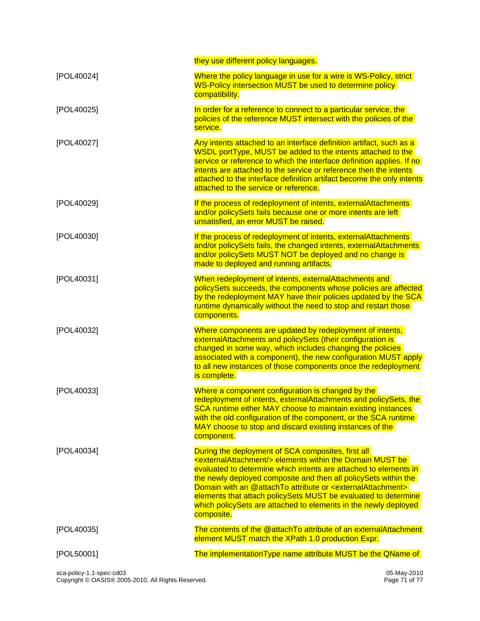|            | they use different policy languages.                                                                                                                                                                                                                                                                                                                                                                                                                                                                               |
|------------|--------------------------------------------------------------------------------------------------------------------------------------------------------------------------------------------------------------------------------------------------------------------------------------------------------------------------------------------------------------------------------------------------------------------------------------------------------------------------------------------------------------------|
| [POL40024] | Where the policy language in use for a wire is WS-Policy, strict<br>WS-Policy intersection MUST be used to determine policy<br>compatibility.                                                                                                                                                                                                                                                                                                                                                                      |
| [POL40025] | In order for a reference to connect to a particular service, the<br>policies of the reference MUST intersect with the policies of the<br>service.                                                                                                                                                                                                                                                                                                                                                                  |
| [POL40027] | Any intents attached to an interface definition artifact, such as a<br>WSDL portType, MUST be added to the intents attached to the<br>service or reference to which the interface definition applies. If no<br>intents are attached to the service or reference then the intents<br>attached to the interface definition artifact become the only intents<br>attached to the service or reference.                                                                                                                 |
| [POL40029] | If the process of redeployment of intents, externalAttachments<br>and/or policySets fails because one or more intents are left<br>unsatisfied, an error MUST be raised.                                                                                                                                                                                                                                                                                                                                            |
| [POL40030] | If the process of redeployment of intents, externalAttachments<br>and/or policySets fails, the changed intents, externalAttachments<br>and/or policySets MUST NOT be deployed and no change is<br>made to deployed and running artifacts.                                                                                                                                                                                                                                                                          |
| [POL40031] | When redeployment of intents, externalAttachments and<br>policySets succeeds, the components whose policies are affected<br>by the redeployment MAY have their policies updated by the SCA<br>runtime dynamically without the need to stop and restart those<br>components.                                                                                                                                                                                                                                        |
| [POL40032] | Where components are updated by redeployment of intents,<br>externalAttachments and policySets (their configuration is<br>changed in some way, which includes changing the policies<br>associated with a component), the new configuration MUST apply<br>to all new instances of those components once the redeployment<br>is complete.                                                                                                                                                                            |
| [POL40033] | Where a component configuration is changed by the<br>redeployment of intents, externalAttachments and policySets, the<br>SCA runtime either MAY choose to maintain existing instances<br>with the old configuration of the component, or the SCA runtime<br>MAY choose to stop and discard existing instances of the<br>component.                                                                                                                                                                                 |
| [POL40034] | During the deployment of SCA composites, first all<br><externalattachment></externalattachment> elements within the Domain MUST be<br>evaluated to determine which intents are attached to elements in<br>the newly deployed composite and then all policySets within the<br>Domain with an @attachTo attribute or <externalattachment><br/>elements that attach policySets MUST be evaluated to determine<br/>which policySets are attached to elements in the newly deployed<br/>composite.</externalattachment> |
| [POL40035] | The contents of the @attachTo attribute of an externalAttachment<br>element MUST match the XPath 1.0 production Expr.                                                                                                                                                                                                                                                                                                                                                                                              |
| [POL50001] | The implementation Type name attribute MUST be the QName of                                                                                                                                                                                                                                                                                                                                                                                                                                                        |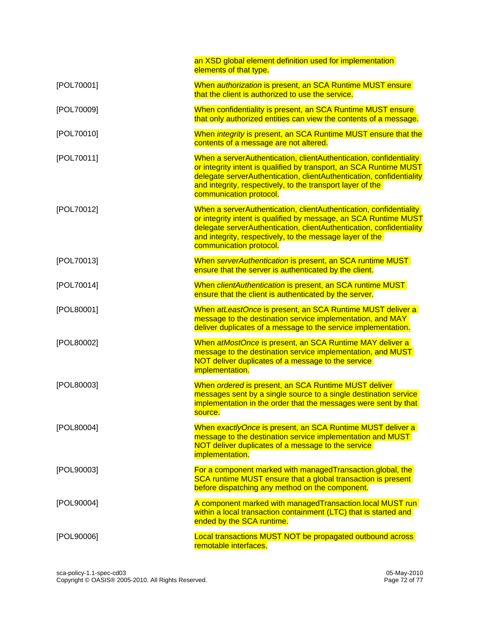|            | an XSD global element definition used for implementation<br>elements of that type.                                                                                                                                                                                                                        |
|------------|-----------------------------------------------------------------------------------------------------------------------------------------------------------------------------------------------------------------------------------------------------------------------------------------------------------|
| [POL70001] | When <i>authorization</i> is present, an SCA Runtime MUST ensure<br>that the client is authorized to use the service.                                                                                                                                                                                     |
| [POL70009] | When confidentiality is present, an SCA Runtime MUST ensure<br>that only authorized entities can view the contents of a message.                                                                                                                                                                          |
| [POL70010] | When integrity is present, an SCA Runtime MUST ensure that the<br>contents of a message are not altered.                                                                                                                                                                                                  |
| [POL70011] | When a serverAuthentication, clientAuthentication, confidentiality<br>or integrity intent is qualified by transport, an SCA Runtime MUST<br>delegate serverAuthentication, clientAuthentication, confidentiality<br>and integrity, respectively, to the transport layer of the<br>communication protocol. |
| [POL70012] | When a serverAuthentication, clientAuthentication, confidentiality<br>or integrity intent is qualified by message, an SCA Runtime MUST<br>delegate serverAuthentication, clientAuthentication, confidentiality<br>and integrity, respectively, to the message layer of the<br>communication protocol.     |
| [POL70013] | When serverAuthentication is present, an SCA runtime MUST<br>ensure that the server is authenticated by the client.                                                                                                                                                                                       |
| [POL70014] | When clientAuthentication is present, an SCA runtime MUST<br>ensure that the client is authenticated by the server.                                                                                                                                                                                       |
| [POL80001] | When atLeastOnce is present, an SCA Runtime MUST deliver a<br>message to the destination service implementation, and MAY<br>deliver duplicates of a message to the service implementation.                                                                                                                |
| [POL80002] | When atMostOnce is present, an SCA Runtime MAY deliver a<br>message to the destination service implementation, and MUST<br>NOT deliver duplicates of a message to the service<br><i>implementation.</i>                                                                                                   |
| [POL80003] | When ordered is present, an SCA Runtime MUST deliver<br>messages sent by a single source to a single destination service<br>implementation in the order that the messages were sent by that<br>source.                                                                                                    |
| [POL80004] | When exactlyOnce is present, an SCA Runtime MUST deliver a<br>message to the destination service implementation and MUST<br>NOT deliver duplicates of a message to the service<br><i>implementation.</i>                                                                                                  |
| [POL90003] | For a component marked with managedTransaction.global, the<br>SCA runtime MUST ensure that a global transaction is present<br>before dispatching any method on the component.                                                                                                                             |
| [POL90004] | A component marked with managedTransaction.local MUST run<br>within a local transaction containment (LTC) that is started and<br>ended by the SCA runtime.                                                                                                                                                |
| [POL90006] | <b>Local transactions MUST NOT be propagated outbound across</b><br>remotable interfaces.                                                                                                                                                                                                                 |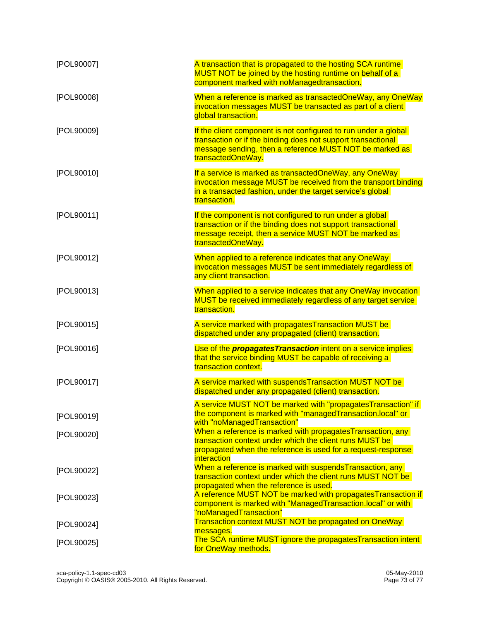| [POL90007] | A transaction that is propagated to the hosting SCA runtime<br>MUST NOT be joined by the hosting runtime on behalf of a<br>component marked with noManagedtransaction.                                          |
|------------|-----------------------------------------------------------------------------------------------------------------------------------------------------------------------------------------------------------------|
| [POL90008] | When a reference is marked as transactedOneWay, any OneWay<br>invocation messages MUST be transacted as part of a client<br>global transaction.                                                                 |
| [POL90009] | If the client component is not configured to run under a global<br>transaction or if the binding does not support transactional<br>message sending, then a reference MUST NOT be marked as<br>transactedOneWay. |
| [POL90010] | If a service is marked as transactedOneWay, any OneWay<br>invocation message MUST be received from the transport binding<br>in a transacted fashion, under the target service's global<br>transaction.          |
| [POL90011] | If the component is not configured to run under a global<br>transaction or if the binding does not support transactional<br>message receipt, then a service MUST NOT be marked as<br>transactedOneWay.          |
| [POL90012] | When applied to a reference indicates that any OneWay<br>invocation messages MUST be sent immediately regardless of<br>any client transaction.                                                                  |
| [POL90013] | When applied to a service indicates that any OneWay invocation<br>MUST be received immediately regardless of any target service<br>transaction.                                                                 |
| [POL90015] | A service marked with propagates Transaction MUST be<br>dispatched under any propagated (client) transaction.                                                                                                   |
| [POL90016] | Use of the <i>propagates Transaction</i> intent on a service implies<br>that the service binding MUST be capable of receiving a<br>transaction context.                                                         |
| [POL90017] | A service marked with suspendsTransaction MUST NOT be<br>dispatched under any propagated (client) transaction.                                                                                                  |
| [POL90019] | A service MUST NOT be marked with "propagatesTransaction" if<br>the component is marked with "managedTransaction.local" or<br>with "noManagedTransaction"                                                       |
| [POL90020] | When a reference is marked with propagates Transaction, any<br>transaction context under which the client runs MUST be<br>propagated when the reference is used for a request-response<br>interaction           |
| [POL90022] | When a reference is marked with suspendsTransaction, any<br>transaction context under which the client runs MUST NOT be<br>propagated when the reference is used.                                               |
| [POL90023] | A reference MUST NOT be marked with propagates Transaction if<br>component is marked with "ManagedTransaction.local" or with<br>"noManagedTransaction"                                                          |
| [POL90024] | <b>Transaction context MUST NOT be propagated on OneWay</b><br>messages.                                                                                                                                        |
| [POL90025] | The SCA runtime MUST ignore the propagates Transaction intent<br>for OneWay methods.                                                                                                                            |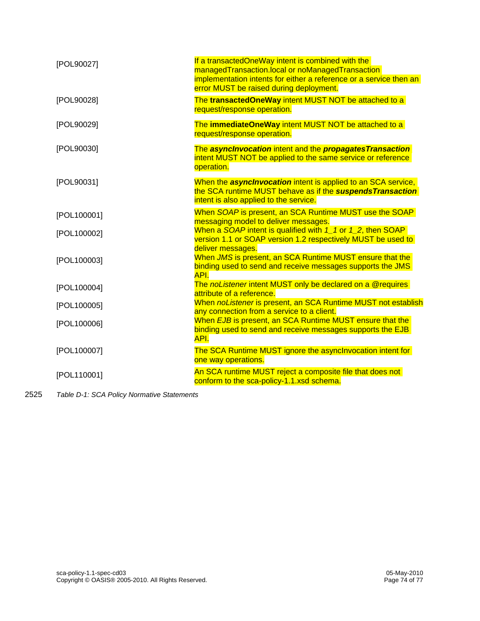| [POL90027]  | If a transactedOneWay intent is combined with the<br>managedTransaction.local or noManagedTransaction<br>implementation intents for either a reference or a service then an<br>error MUST be raised during deployment. |
|-------------|------------------------------------------------------------------------------------------------------------------------------------------------------------------------------------------------------------------------|
| [POL90028]  | The transactedOneWay intent MUST NOT be attached to a<br>request/response operation.                                                                                                                                   |
| [POL90029]  | The immediateOneWay intent MUST NOT be attached to a<br>request/response operation.                                                                                                                                    |
| [POL90030]  | The asynclnvocation intent and the propagatesTransaction<br>intent MUST NOT be applied to the same service or reference<br>operation.                                                                                  |
| [POL90031]  | When the <b>asyncinvocation</b> intent is applied to an SCA service,<br>the SCA runtime MUST behave as if the suspends Transaction<br>intent is also applied to the service.                                           |
| [POL100001] | When SOAP is present, an SCA Runtime MUST use the SOAP<br>messaging model to deliver messages.                                                                                                                         |
| [POL100002] | When a SOAP intent is qualified with $1_1$ or $1_2$ , then SOAP<br>version 1.1 or SOAP version 1.2 respectively MUST be used to<br>deliver messages.                                                                   |
| [POL100003] | When JMS is present, an SCA Runtime MUST ensure that the<br>binding used to send and receive messages supports the JMS<br>API.                                                                                         |
| [POL100004] | The noListener intent MUST only be declared on a @requires<br>attribute of a reference.                                                                                                                                |
| [POL100005] | When noListener is present, an SCA Runtime MUST not establish<br>any connection from a service to a client.                                                                                                            |
| [POL100006] | When EJB is present, an SCA Runtime MUST ensure that the<br>binding used to send and receive messages supports the EJB<br>API.                                                                                         |
| [POL100007] | The SCA Runtime MUST ignore the asynclnvocation intent for<br>one way operations.                                                                                                                                      |
| [POL110001] | An SCA runtime MUST reject a composite file that does not<br>conform to the sca-policy-1.1.xsd schema.                                                                                                                 |

2525 *Table D-1: SCA Policy Normative Statements*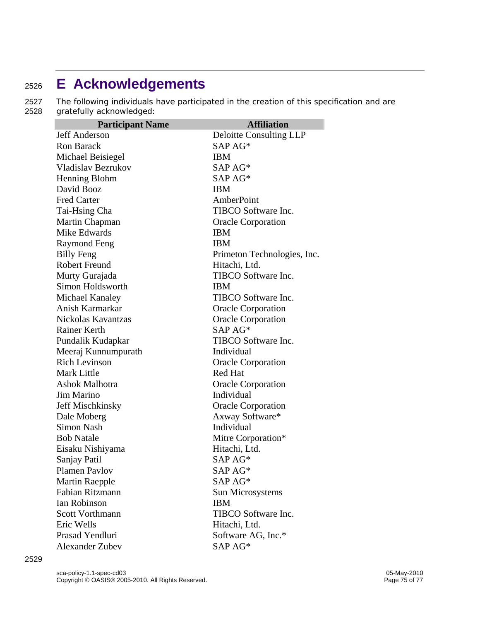## <sup>2526</sup>**E Acknowledgements**

2527 The following individuals have participated in the creation of this specification and are 2528 gratefully acknowledged:

| <b>Participant Name</b>   | <b>Affiliation</b>          |
|---------------------------|-----------------------------|
| <b>Jeff Anderson</b>      | Deloitte Consulting LLP     |
| <b>Ron Barack</b>         | SAP AG*                     |
| Michael Beisiegel         | <b>IBM</b>                  |
| <b>Vladislav Bezrukov</b> | SAP AG*                     |
| Henning Blohm             | SAP AG*                     |
| David Booz                | <b>IBM</b>                  |
| <b>Fred Carter</b>        | AmberPoint                  |
| Tai-Hsing Cha             | TIBCO Software Inc.         |
| Martin Chapman            | <b>Oracle Corporation</b>   |
| Mike Edwards              | <b>IBM</b>                  |
| Raymond Feng              | <b>IBM</b>                  |
| <b>Billy Feng</b>         | Primeton Technologies, Inc. |
| <b>Robert Freund</b>      | Hitachi, Ltd.               |
| Murty Gurajada            | TIBCO Software Inc.         |
| Simon Holdsworth          | <b>IBM</b>                  |
| Michael Kanaley           | <b>TIBCO Software Inc.</b>  |
| Anish Karmarkar           | <b>Oracle Corporation</b>   |
| Nickolas Kavantzas        | <b>Oracle Corporation</b>   |
| <b>Rainer Kerth</b>       | $SAPAG*$                    |
| Pundalik Kudapkar         | TIBCO Software Inc.         |
| Meeraj Kunnumpurath       | Individual                  |
| <b>Rich Levinson</b>      | <b>Oracle Corporation</b>   |
| <b>Mark Little</b>        | Red Hat                     |
| Ashok Malhotra            | <b>Oracle Corporation</b>   |
| Jim Marino                | Individual                  |
| Jeff Mischkinsky          | <b>Oracle Corporation</b>   |
| Dale Moberg               | Axway Software*             |
| <b>Simon Nash</b>         | Individual                  |
| <b>Bob Natale</b>         | Mitre Corporation*          |
| Eisaku Nishiyama          | Hitachi, Ltd.               |
| Sanjay Patil              | SAP AG*                     |
| Plamen Pavlov             | SAP AG*                     |
| <b>Martin Raepple</b>     | SAP AG*                     |
| Fabian Ritzmann           | Sun Microsystems            |
| <b>Ian Robinson</b>       | <b>IBM</b>                  |
| <b>Scott Vorthmann</b>    | TIBCO Software Inc.         |
| Eric Wells                | Hitachi, Ltd.               |
| Prasad Yendluri           | Software AG, Inc.*          |
| <b>Alexander Zubev</b>    | SAP AG*                     |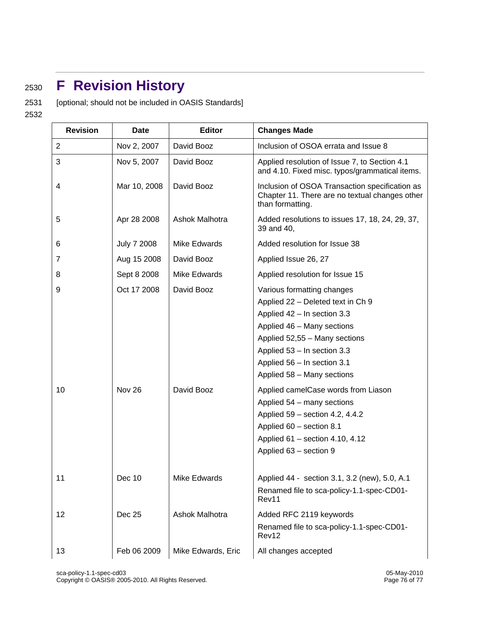## <sup>2530</sup>**F Revision History**

2531 [optional; should not be included in OASIS Standards]

2532

| <b>Revision</b> | Date                  | <b>Editor</b>            | <b>Changes Made</b>                                                                                                                                                                                                                                                                                                                                                                                                                                        |
|-----------------|-----------------------|--------------------------|------------------------------------------------------------------------------------------------------------------------------------------------------------------------------------------------------------------------------------------------------------------------------------------------------------------------------------------------------------------------------------------------------------------------------------------------------------|
| $\overline{c}$  | Nov 2, 2007           | David Booz               | Inclusion of OSOA errata and Issue 8                                                                                                                                                                                                                                                                                                                                                                                                                       |
| 3               | Nov 5, 2007           | David Booz               | Applied resolution of Issue 7, to Section 4.1<br>and 4.10. Fixed misc. typos/grammatical items.                                                                                                                                                                                                                                                                                                                                                            |
| 4               | Mar 10, 2008          | David Booz               | Inclusion of OSOA Transaction specification as<br>Chapter 11. There are no textual changes other<br>than formatting.                                                                                                                                                                                                                                                                                                                                       |
| 5               | Apr 28 2008           | Ashok Malhotra           | Added resolutions to issues 17, 18, 24, 29, 37,<br>39 and 40,                                                                                                                                                                                                                                                                                                                                                                                              |
| 6               | <b>July 7 2008</b>    | Mike Edwards             | Added resolution for Issue 38                                                                                                                                                                                                                                                                                                                                                                                                                              |
| 7               | Aug 15 2008           | David Booz               | Applied Issue 26, 27                                                                                                                                                                                                                                                                                                                                                                                                                                       |
| 8               | Sept 8 2008           | Mike Edwards             | Applied resolution for Issue 15                                                                                                                                                                                                                                                                                                                                                                                                                            |
| 9<br>10         | Oct 17 2008<br>Nov 26 | David Booz<br>David Booz | Various formatting changes<br>Applied 22 - Deleted text in Ch 9<br>Applied 42 - In section 3.3<br>Applied 46 - Many sections<br>Applied 52,55 - Many sections<br>Applied 53 - In section 3.3<br>Applied 56 - In section 3.1<br>Applied 58 - Many sections<br>Applied camelCase words from Liason<br>Applied 54 - many sections<br>Applied 59 - section 4.2, 4.4.2<br>Applied 60 - section 8.1<br>Applied 61 - section 4.10, 4.12<br>Applied 63 - section 9 |
| 11              | Dec 10                | Mike Edwards             | Applied 44 - section 3.1, 3.2 (new), 5.0, A.1<br>Renamed file to sca-policy-1.1-spec-CD01-<br>Rev11                                                                                                                                                                                                                                                                                                                                                        |
| 12              | Dec 25                | Ashok Malhotra           | Added RFC 2119 keywords<br>Renamed file to sca-policy-1.1-spec-CD01-<br>Rev12                                                                                                                                                                                                                                                                                                                                                                              |
| 13              | Feb 06 2009           | Mike Edwards, Eric       | All changes accepted                                                                                                                                                                                                                                                                                                                                                                                                                                       |